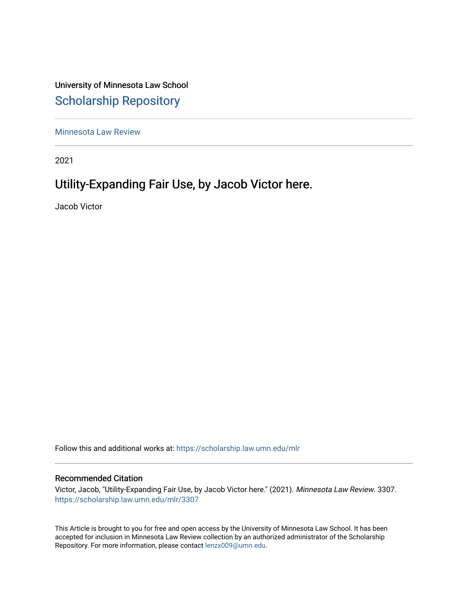University of Minnesota Law School [Scholarship Repository](https://scholarship.law.umn.edu/) 

[Minnesota Law Review](https://scholarship.law.umn.edu/mlr) 

2021

# Utility-Expanding Fair Use, by Jacob Victor here.

Jacob Victor

Follow this and additional works at: [https://scholarship.law.umn.edu/mlr](https://scholarship.law.umn.edu/mlr?utm_source=scholarship.law.umn.edu%2Fmlr%2F3307&utm_medium=PDF&utm_campaign=PDFCoverPages)

## Recommended Citation

Victor, Jacob, "Utility-Expanding Fair Use, by Jacob Victor here." (2021). Minnesota Law Review. 3307. [https://scholarship.law.umn.edu/mlr/3307](https://scholarship.law.umn.edu/mlr/3307?utm_source=scholarship.law.umn.edu%2Fmlr%2F3307&utm_medium=PDF&utm_campaign=PDFCoverPages)

This Article is brought to you for free and open access by the University of Minnesota Law School. It has been accepted for inclusion in Minnesota Law Review collection by an authorized administrator of the Scholarship Repository. For more information, please contact [lenzx009@umn.edu.](mailto:lenzx009@umn.edu)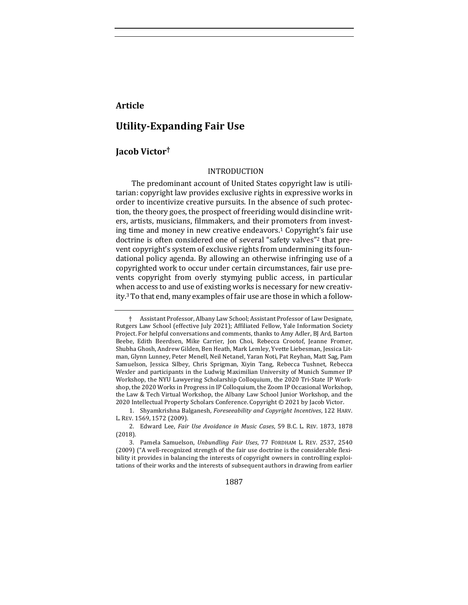## **Article**

## **Utility-Expanding Fair Use**

## **Jacob Victor†**

### INTRODUCTION

The predominant account of United States copyright law is utilitarian: copyright law provides exclusive rights in expressive works in order to incentivize creative pursuits. In the absence of such protection, the theory goes, the prospect of freeriding would disincline writers, artists, musicians, filmmakers, and their promoters from investing time and money in new creative endeavors.<sup>1</sup> Copyright's fair use doctrine is often considered one of several "safety valves"<sup>2</sup> that prevent copyright's system of exclusive rights from undermining its foundational policy agenda. By allowing an otherwise infringing use of a copyrighted work to occur under certain circumstances, fair use prevents copyright from overly stymying public access, in particular when access to and use of existing works is necessary for new creativity.<sup>3</sup> To that end, many examples of fair use are those in which a follow-

1887

Assistant Professor, Albany Law School; Assistant Professor of Law Designate, Rutgers Law School (effective July 2021); Affiliated Fellow, Yale Information Society Project. For helpful conversations and comments, thanks to Amy Adler, BJ Ard, Barton Beebe, Edith Beerdsen, Mike Carrier, Jon Choi, Rebecca Crootof, Jeanne Fromer, Shubha Ghosh, Andrew Gilden, Ben Heath, Mark Lemley, Yvette Liebesman, Jessica Litman, Glynn Lunney, Peter Menell, Neil Netanel, Yaran Noti, Pat Reyhan, Matt Sag, Pam Samuelson, Jessica Silbey, Chris Sprigman, Xiyin Tang, Rebecca Tushnet, Rebecca Wexler and participants in the Ludwig Maximilian University of Munich Summer IP Workshop, the NYU Lawyering Scholarship Colloquium, the 2020 Tri-State IP Workshop, the 2020 Works in Progress in IP Colloquium, the Zoom IP Occasional Workshop, the Law & Tech Virtual Workshop, the Albany Law School Junior Workshop, and the 2020 Intellectual Property Scholars Conference. Copyright © 2021 by Jacob Victor.

<sup>1.</sup> Shyamkrishna Balganesh, *Foreseeability and Copyright Incentives*, 122 HARV. L. REV. 1569, 1572 (2009).

<sup>2.</sup> Edward Lee, Fair Use Avoidance in Music Cases, 59 B.C. L. REV. 1873, 1878 (2018).

<sup>3.</sup> Pamela Samuelson, *Unbundling Fair Uses*, 77 FORDHAM L. REV. 2537, 2540 (2009) ("A well-recognized strength of the fair use doctrine is the considerable flexibility it provides in balancing the interests of copyright owners in controlling exploitations of their works and the interests of subsequent authors in drawing from earlier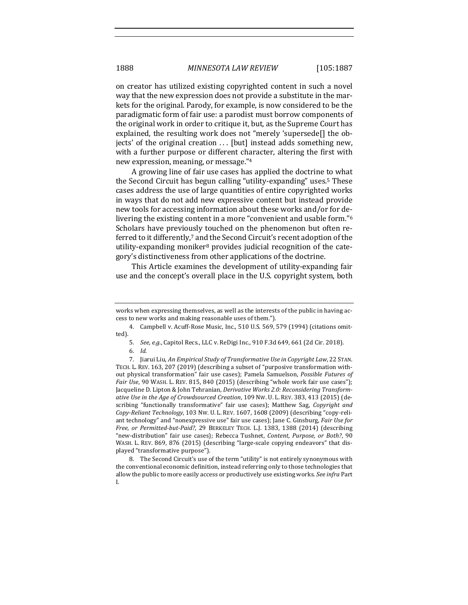on creator has utilized existing copyrighted content in such a novel way that the new expression does not provide a substitute in the markets for the original. Parody, for example, is now considered to be the paradigmatic form of fair use: a parodist must borrow components of the original work in order to critique it, but, as the Supreme Court has explained, the resulting work does not "merely 'supersede[] the objects' of the original creation ... [but] instead adds something new, with a further purpose or different character, altering the first with new expression, meaning, or message."4

A growing line of fair use cases has applied the doctrine to what the Second Circuit has begun calling "utility-expanding" uses.<sup>5</sup> These cases address the use of large quantities of entire copyrighted works in ways that do not add new expressive content but instead provide new tools for accessing information about these works and/or for delivering the existing content in a more "convenient and usable form."<sup>6</sup> Scholars have previously touched on the phenomenon but often referred to it differently,<sup>7</sup> and the Second Circuit's recent adoption of the utility-expanding moniker<sup>8</sup> provides judicial recognition of the category's distinctiveness from other applications of the doctrine.

This Article examines the development of utility-expanding fair use and the concept's overall place in the U.S. copyright system, both

8. The Second Circuit's use of the term "utility" is not entirely synonymous with the conventional economic definition, instead referring only to those technologies that allow the public to more easily access or productively use existing works. See infra Part I.

works when expressing themselves, as well as the interests of the public in having access to new works and making reasonable uses of them.").

<sup>4.</sup> Campbell v. Acuff-Rose Music, Inc., 510 U.S. 569, 579 (1994) (citations omitted).

<sup>5.</sup> *See, e.g.*, Capitol Recs., LLC v. ReDigi Inc., 910 F.3d 649, 661 (2d Cir. 2018).

<sup>6.</sup> *Id.*

<sup>7.</sup> Jiarui Liu, *An Empirical Study of Transformative Use in Copyright Law*, 22 STAN. TECH. L. REV. 163, 207 (2019) (describing a subset of "purposive transformation without physical transformation" fair use cases); Pamela Samuelson, *Possible Futures of Fair Use*, 90 WASH. L. REV. 815, 840 (2015) (describing "whole work fair use cases"); Jacqueline D. Lipton & John Tehranian, *Derivative Works 2.0: Reconsidering Transformative Use in the Age of Crowdsourced Creation,* 109 NW. U. L. REV. 383, 413 (2015) (describing "functionally transformative" fair use cases); Matthew Sag, *Copyright and Copy-Reliant Technology, 103 Nw. U. L. REV. 1607, 1608 (2009)* (describing "copy-reliant technology" and "nonexpressive use" fair use cases); Jane C. Ginsburg, *Fair Use for* Free, or Permitted-but-Paid?, 29 BERKELEY TECH. L.J. 1383, 1388 (2014) (describing "new-distribution" fair use cases); Rebecca Tushnet, *Content, Purpose, or Both?*, 90 WASH. L. REV. 869, 876 (2015) (describing "large-scale copying endeavors" that displayed "transformative purpose").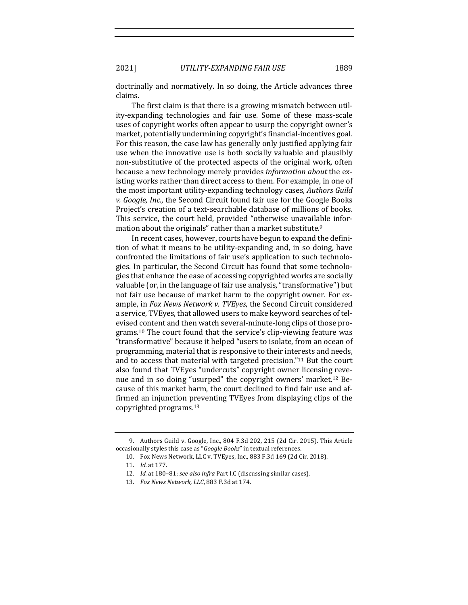### 2021] *UTILITY-EXPANDING FAIR USE* 1889

doctrinally and normatively. In so doing, the Article advances three claims. 

The first claim is that there is a growing mismatch between utility-expanding technologies and fair use. Some of these mass-scale uses of copyright works often appear to usurp the copyright owner's market, potentially undermining copyright's financial-incentives goal. For this reason, the case law has generally only justified applying fair use when the innovative use is both socially valuable and plausibly non-substitutive of the protected aspects of the original work, often because a new technology merely provides *information about* the existing works rather than direct access to them. For example, in one of the most important utility-expanding technology cases, *Authors Guild v. Google, Inc.*, the Second Circuit found fair use for the Google Books Project's creation of a text-searchable database of millions of books. This service, the court held, provided "otherwise unavailable information about the originals" rather than a market substitute.<sup>9</sup>

In recent cases, however, courts have begun to expand the definition of what it means to be utility-expanding and, in so doing, have confronted the limitations of fair use's application to such technologies. In particular, the Second Circuit has found that some technologies that enhance the ease of accessing copyrighted works are socially valuable (or, in the language of fair use analysis, "transformative") but not fair use because of market harm to the copyright owner. For example, in *Fox News Network v. TVEyes*, the Second Circuit considered a service, TVEyes, that allowed users to make keyword searches of televised content and then watch several-minute-long clips of those programs.<sup>10</sup> The court found that the service's clip-viewing feature was "transformative" because it helped "users to isolate, from an ocean of programming, material that is responsive to their interests and needs, and to access that material with targeted precision."<sup>11</sup> But the court also found that TVEyes "undercuts" copyright owner licensing revenue and in so doing "usurped" the copyright owners' market.<sup>12</sup> Because of this market harm, the court declined to find fair use and affirmed an injunction preventing TVEyes from displaying clips of the copyrighted programs.<sup>13</sup>

<sup>9.</sup> Authors Guild v. Google, Inc., 804 F.3d 202, 215 (2d Cir. 2015). This Article occasionally styles this case as "*Google Books*" in textual references.

<sup>10.</sup> Fox News Network, LLC v. TVEyes, Inc., 883 F.3d 169 (2d Cir. 2018).

<sup>11.</sup> *Id.* at 177.

<sup>12.</sup> *Id.* at 180-81; see also infra Part I.C (discussing similar cases).

<sup>13.</sup> *Fox News Network, LLC*, 883 F.3d at 174.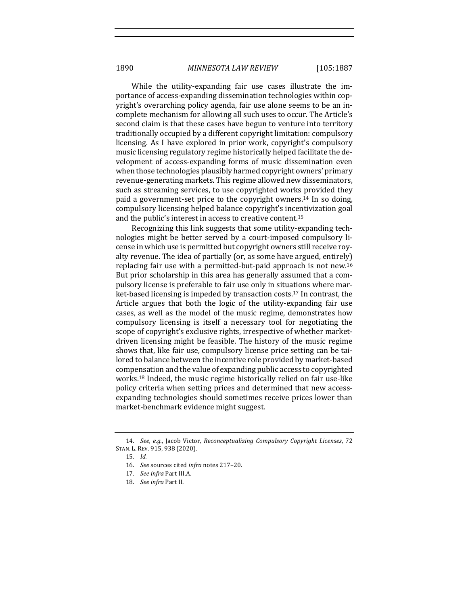While the utility-expanding fair use cases illustrate the importance of access-expanding dissemination technologies within copyright's overarching policy agenda, fair use alone seems to be an incomplete mechanism for allowing all such uses to occur. The Article's second claim is that these cases have begun to venture into territory traditionally occupied by a different copyright limitation: compulsory licensing. As I have explored in prior work, copyright's compulsory music licensing regulatory regime historically helped facilitate the development of access-expanding forms of music dissemination even when those technologies plausibly harmed copyright owners' primary revenue-generating markets. This regime allowed new disseminators, such as streaming services, to use copyrighted works provided they paid a government-set price to the copyright owners.<sup>14</sup> In so doing, compulsory licensing helped balance copyright's incentivization goal and the public's interest in access to creative content.<sup>15</sup>

Recognizing this link suggests that some utility-expanding technologies might be better served by a court-imposed compulsory license in which use is permitted but copyright owners still receive royalty revenue. The idea of partially (or, as some have argued, entirely) replacing fair use with a permitted-but-paid approach is not new.<sup>16</sup> But prior scholarship in this area has generally assumed that a compulsory license is preferable to fair use only in situations where market-based licensing is impeded by transaction costs.<sup>17</sup> In contrast, the Article argues that both the logic of the utility-expanding fair use cases, as well as the model of the music regime, demonstrates how compulsory licensing is itself a necessary tool for negotiating the scope of copyright's exclusive rights, irrespective of whether marketdriven licensing might be feasible. The history of the music regime shows that, like fair use, compulsory license price setting can be tailored to balance between the incentive role provided by market-based compensation and the value of expanding public access to copyrighted works.<sup>18</sup> Indeed, the music regime historically relied on fair use-like policy criteria when setting prices and determined that new accessexpanding technologies should sometimes receive prices lower than market-benchmark evidence might suggest.

<sup>14.</sup> *See, e.g.*, Jacob Victor, *Reconceptualizing Compulsory Copyright Licenses*, 72 STAN. L. REV. 915, 938 (2020).

<sup>15.</sup> *Id.*

<sup>16.</sup> *See* sources cited *infra* notes 217-20.

<sup>17.</sup> *See infra* Part III.A.

<sup>18.</sup> *See infra* Part II.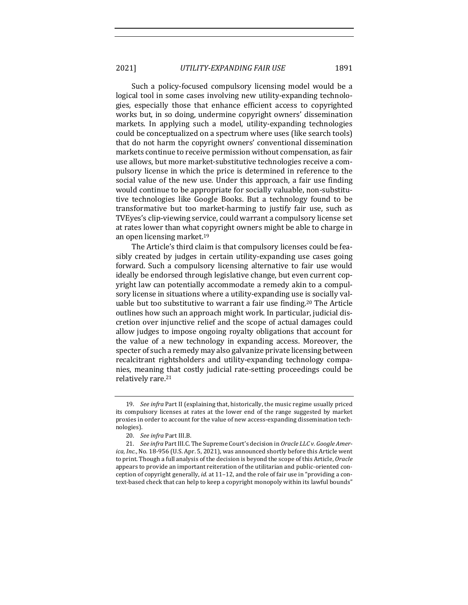Such a policy-focused compulsory licensing model would be a logical tool in some cases involving new utility-expanding technologies, especially those that enhance efficient access to copyrighted works but, in so doing, undermine copyright owners' dissemination markets. In applying such a model, utility-expanding technologies could be conceptualized on a spectrum where uses (like search tools) that do not harm the copyright owners' conventional dissemination markets continue to receive permission without compensation, as fair use allows, but more market-substitutive technologies receive a compulsory license in which the price is determined in reference to the social value of the new use. Under this approach, a fair use finding would continue to be appropriate for socially valuable, non-substitutive technologies like Google Books. But a technology found to be transformative but too market-harming to justify fair use, such as TVEyes's clip-viewing service, could warrant a compulsory license set at rates lower than what copyright owners might be able to charge in an open licensing market.<sup>19</sup>

The Article's third claim is that compulsory licenses could be feasibly created by judges in certain utility-expanding use cases going forward. Such a compulsory licensing alternative to fair use would ideally be endorsed through legislative change, but even current copyright law can potentially accommodate a remedy akin to a compulsory license in situations where a utility-expanding use is socially valuable but too substitutive to warrant a fair use finding.<sup>20</sup> The Article outlines how such an approach might work. In particular, judicial discretion over injunctive relief and the scope of actual damages could allow judges to impose ongoing royalty obligations that account for the value of a new technology in expanding access. Moreover, the specter of such a remedy may also galvanize private licensing between recalcitrant rightsholders and utility-expanding technology companies, meaning that costly judicial rate-setting proceedings could be relatively rare.<sup>21</sup>

<sup>19.</sup> *See infra* Part II (explaining that, historically, the music regime usually priced its compulsory licenses at rates at the lower end of the range suggested by market proxies in order to account for the value of new access-expanding dissemination technologies).

<sup>20.</sup> *See infra Part III.B.* 

<sup>21.</sup> *See infra* Part III.C. The Supreme Court's decision in *Oracle LLC v. Google America, Inc.*, No. 18-956 (U.S. Apr. 5, 2021), was announced shortly before this Article went to print. Though a full analysis of the decision is beyond the scope of this Article, *Oracle* appears to provide an important reiteration of the utilitarian and public-oriented conception of copyright generally, *id.* at 11–12, and the role of fair use in "providing a context-based check that can help to keep a copyright monopoly within its lawful bounds"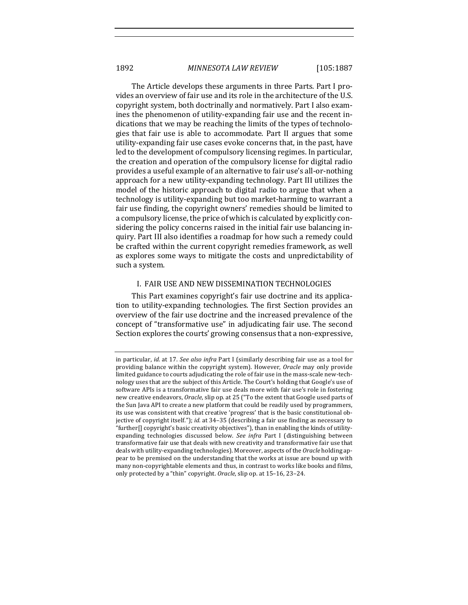The Article develops these arguments in three Parts. Part I provides an overview of fair use and its role in the architecture of the U.S. copyright system, both doctrinally and normatively. Part I also examines the phenomenon of utility-expanding fair use and the recent indications that we may be reaching the limits of the types of technologies that fair use is able to accommodate. Part II argues that some utility-expanding fair use cases evoke concerns that, in the past, have led to the development of compulsory licensing regimes. In particular, the creation and operation of the compulsory license for digital radio provides a useful example of an alternative to fair use's all-or-nothing approach for a new utility-expanding technology. Part III utilizes the model of the historic approach to digital radio to argue that when a technology is utility-expanding but too market-harming to warrant a fair use finding, the copyright owners' remedies should be limited to a compulsory license, the price of which is calculated by explicitly considering the policy concerns raised in the initial fair use balancing inquiry. Part III also identifies a roadmap for how such a remedy could be crafted within the current copyright remedies framework, as well as explores some ways to mitigate the costs and unpredictability of such a system.

## I. FAIR USE AND NEW DISSEMINATION TECHNOLOGIES

This Part examines copyright's fair use doctrine and its application to utility-expanding technologies. The first Section provides an overview of the fair use doctrine and the increased prevalence of the concept of "transformative use" in adjudicating fair use. The second Section explores the courts' growing consensus that a non-expressive,

in particular, *id.* at 17. *See also infra* Part I (similarly describing fair use as a tool for providing balance within the copyright system). However, *Oracle* may only provide limited guidance to courts adjudicating the role of fair use in the mass-scale new-technology uses that are the subject of this Article. The Court's holding that Google's use of software APIs is a transformative fair use deals more with fair use's role in fostering new creative endeavors, *Oracle*, slip op. at 25 ("To the extent that Google used parts of the Sun Java API to create a new platform that could be readily used by programmers, its use was consistent with that creative 'progress' that is the basic constitutional objective of copyright itself."); *id.* at 34-35 (describing a fair use finding as necessary to "further[] copyright's basic creativity objectives"), than in enabling the kinds of utilityexpanding technologies discussed below. *See infra* Part I (distinguishing between transformative fair use that deals with new creativity and transformative fair use that deals with utility-expanding technologies). Moreover, aspects of the *Oracle* holding appear to be premised on the understanding that the works at issue are bound up with many non-copyrightable elements and thus, in contrast to works like books and films, only protected by a "thin" copyright. Oracle, slip op. at 15-16, 23-24.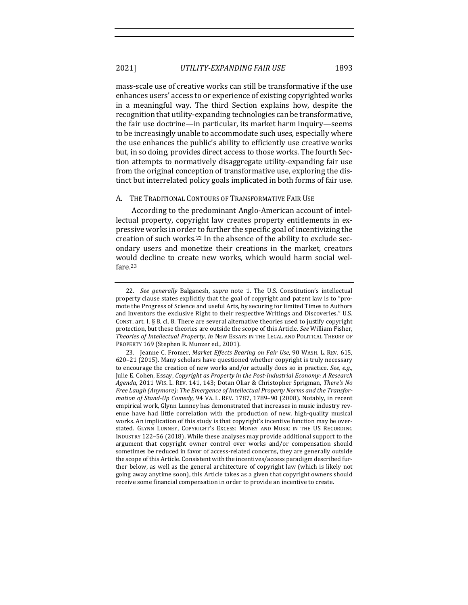mass-scale use of creative works can still be transformative if the use enhances users' access to or experience of existing copyrighted works in a meaningful way. The third Section explains how, despite the recognition that utility-expanding technologies can be transformative, the fair use doctrine—in particular, its market harm inquiry—seems to be increasingly unable to accommodate such uses, especially where the use enhances the public's ability to efficiently use creative works but, in so doing, provides direct access to those works. The fourth Section attempts to normatively disaggregate utility-expanding fair use from the original conception of transformative use, exploring the distinct but interrelated policy goals implicated in both forms of fair use.

### A. THE TRADITIONAL CONTOURS OF TRANSFORMATIVE FAIR USE

According to the predominant Anglo-American account of intellectual property, copyright law creates property entitlements in expressive works in order to further the specific goal of incentivizing the creation of such works.<sup>22</sup> In the absence of the ability to exclude secondary users and monetize their creations in the market, creators would decline to create new works, which would harm social welfare.23

<sup>22.</sup> *See generally* Balganesh, *supra* note 1. The U.S. Constitution's intellectual property clause states explicitly that the goal of copyright and patent law is to "promote the Progress of Science and useful Arts, by securing for limited Times to Authors and Inventors the exclusive Right to their respective Writings and Discoveries." U.S. CONST. art. I,  $\S$  8, cl. 8. There are several alternative theories used to justify copyright protection, but these theories are outside the scope of this Article. See William Fisher, Theories of Intellectual Property, in NEW ESSAYS IN THE LEGAL AND POLITICAL THEORY OF PROPERTY 169 (Stephen R. Munzer ed., 2001).

<sup>23.</sup> Jeanne C. Fromer, Market Effects Bearing on Fair Use, 90 WASH. L. REV. 615, 620-21 (2015). Many scholars have questioned whether copyright is truly necessary to encourage the creation of new works and/or actually does so in practice. See, e.g., Julie E. Cohen, Essay, *Copyright as Property in the Post-Industrial Economy: A Research* Agenda, 2011 WIS. L. REV. 141, 143; Dotan Oliar & Christopher Sprigman, There's No Free Laugh (Anymore): The Emergence of Intellectual Property Norms and the Transfor*mation of Stand-Up Comedy*, 94 VA. L. REV. 1787, 1789-90 (2008). Notably, in recent empirical work, Glynn Lunney has demonstrated that increases in music industry revenue have had little correlation with the production of new, high-quality musical works. An implication of this study is that copyright's incentive function may be overstated. GLYNN LUNNEY, COPYRIGHT'S EXCESS: MONEY AND MUSIC IN THE US RECORDING INDUSTRY 122-56 (2018). While these analyses may provide additional support to the argument that copyright owner control over works and/or compensation should sometimes be reduced in favor of access-related concerns, they are generally outside the scope of this Article. Consistent with the incentives/access paradigm described further below, as well as the general architecture of copyright law (which is likely not going away anytime soon), this Article takes as a given that copyright owners should receive some financial compensation in order to provide an incentive to create.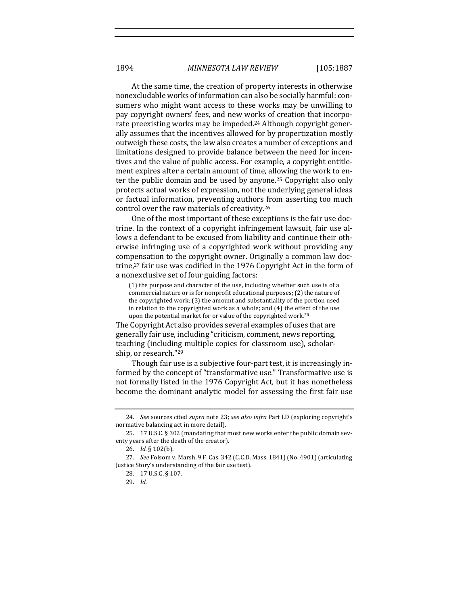At the same time, the creation of property interests in otherwise nonexcludable works of information can also be socially harmful: consumers who might want access to these works may be unwilling to pay copyright owners' fees, and new works of creation that incorporate preexisting works may be impeded.<sup>24</sup> Although copyright generally assumes that the incentives allowed for by propertization mostly outweigh these costs, the law also creates a number of exceptions and limitations designed to provide balance between the need for incentives and the value of public access. For example, a copyright entitlement expires after a certain amount of time, allowing the work to enter the public domain and be used by anyone.<sup>25</sup> Copyright also only protects actual works of expression, not the underlying general ideas or factual information, preventing authors from asserting too much control over the raw materials of creativity.<sup>26</sup>

One of the most important of these exceptions is the fair use doctrine. In the context of a copyright infringement lawsuit, fair use allows a defendant to be excused from liability and continue their otherwise infringing use of a copyrighted work without providing any compensation to the copyright owner. Originally a common law doctrine,<sup>27</sup> fair use was codified in the 1976 Copyright Act in the form of a nonexclusive set of four guiding factors:

(1) the purpose and character of the use, including whether such use is of a commercial nature or is for nonprofit educational purposes; (2) the nature of the copyrighted work;  $(3)$  the amount and substantiality of the portion used in relation to the copyrighted work as a whole; and  $(4)$  the effect of the use upon the potential market for or value of the copyrighted work.<sup>28</sup>

The Copyright Act also provides several examples of uses that are generally fair use, including "criticism, comment, news reporting, teaching (including multiple copies for classroom use), scholarship, or research."<sup>29</sup>

Though fair use is a subjective four-part test, it is increasingly informed by the concept of "transformative use." Transformative use is not formally listed in the 1976 Copyright Act, but it has nonetheless become the dominant analytic model for assessing the first fair use

<sup>24.</sup> *See* sources cited *supra* note 23; *see also infra* Part I.D (exploring copyright's normative balancing act in more detail).

<sup>25. 17</sup> U.S.C. § 302 (mandating that most new works enter the public domain seventy years after the death of the creator).

<sup>26.</sup> *Id.* § 102(b).

<sup>27.</sup> *See* Folsom v. Marsh, 9 F. Cas. 342 (C.C.D. Mass. 1841) (No. 4901) (articulating Justice Story's understanding of the fair use test).

<sup>28. 17</sup> U.S.C. § 107.

<sup>29.</sup> *Id.*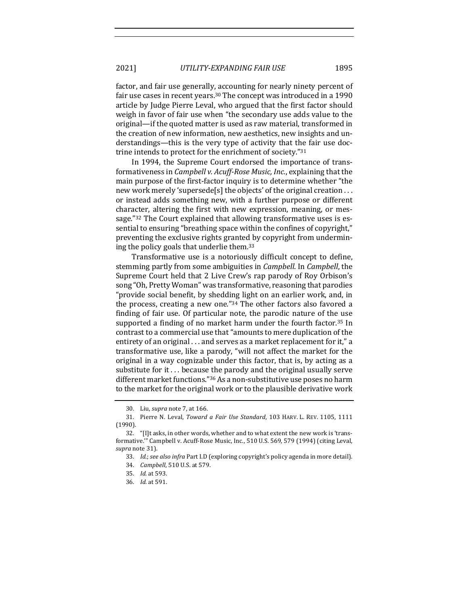factor, and fair use generally, accounting for nearly ninety percent of fair use cases in recent years.<sup>30</sup> The concept was introduced in a 1990 article by Judge Pierre Leval, who argued that the first factor should weigh in favor of fair use when "the secondary use adds value to the original—if the quoted matter is used as raw material, transformed in the creation of new information, new aesthetics, new insights and understandings—this is the very type of activity that the fair use doctrine intends to protect for the enrichment of society." $31$ 

In 1994, the Supreme Court endorsed the importance of transformativeness in *Campbell v. Acuff-Rose Music, Inc.*, explaining that the main purpose of the first-factor inquiry is to determine whether "the new work merely 'supersede[s] the objects' of the original creation  $\dots$ or instead adds something new, with a further purpose or different character, altering the first with new expression, meaning, or message."32 The Court explained that allowing transformative uses is essential to ensuring "breathing space within the confines of copyright," preventing the exclusive rights granted by copyright from undermining the policy goals that underlie them. $33$ 

Transformative use is a notoriously difficult concept to define, stemming partly from some ambiguities in *Campbell*. In *Campbell*, the Supreme Court held that 2 Live Crew's rap parody of Roy Orbison's song "Oh, Pretty Woman" was transformative, reasoning that parodies "provide social benefit, by shedding light on an earlier work, and, in the process, creating a new one." $34$  The other factors also favored a finding of fair use. Of particular note, the parodic nature of the use supported a finding of no market harm under the fourth factor.<sup>35</sup> In contrast to a commercial use that "amounts to mere duplication of the entirety of an original ... and serves as a market replacement for it," a transformative use, like a parody, "will not affect the market for the original in a way cognizable under this factor, that is, by acting as a substitute for it  $\dots$  because the parody and the original usually serve different market functions."<sup>36</sup> As a non-substitutive use poses no harm to the market for the original work or to the plausible derivative work

<sup>30.</sup> Liu, *supra* note 7, at 166.

<sup>31.</sup> Pierre N. Leval, *Toward a Fair Use Standard*, 103 HARV. L. REV. 1105, 1111 (1990).

<sup>32. &</sup>quot;[I]t asks, in other words, whether and to what extent the new work is 'transformative."' Campbell v. Acuff-Rose Music, Inc., 510 U.S. 569, 579 (1994) (citing Leval, supra note 31).

<sup>33.</sup> *Id.*; see also infra Part I.D (exploring copyright's policy agenda in more detail). 34. *Campbell*, 510 U.S. at 579.

<sup>35.</sup> *Id.* at 593.

<sup>36.</sup> *Id.* at 591.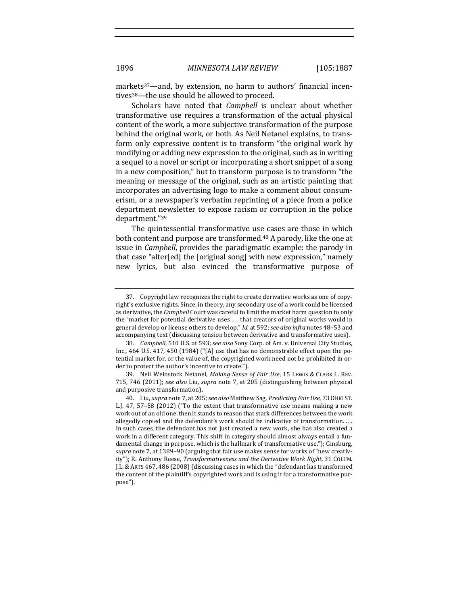markets<sup>37</sup>—and, by extension, no harm to authors' financial incentives<sup>38</sup>—the use should be allowed to proceed.

Scholars have noted that *Campbell* is unclear about whether transformative use requires a transformation of the actual physical content of the work, a more subjective transformation of the purpose behind the original work, or both. As Neil Netanel explains, to transform only expressive content is to transform "the original work by modifying or adding new expression to the original, such as in writing a sequel to a novel or script or incorporating a short snippet of a song in a new composition," but to transform purpose is to transform "the meaning or message of the original, such as an artistic painting that incorporates an advertising logo to make a comment about consumerism, or a newspaper's verbatim reprinting of a piece from a police department newsletter to expose racism or corruption in the police department."39

The quintessential transformative use cases are those in which both content and purpose are transformed.<sup>40</sup> A parody, like the one at issue in *Campbell*, provides the paradigmatic example: the parody in that case "alter[ed] the [original song] with new expression," namely new lyrics, but also evinced the transformative purpose of

<sup>37.</sup> Copyright law recognizes the right to create derivative works as one of copyright's exclusive rights. Since, in theory, any secondary use of a work could be licensed as derivative, the *Campbell* Court was careful to limit the market harm question to only the "market for potential derivative uses  $\dots$  that creators of original works would in general develop or license others to develop." Id. at 592; see also infra notes 48-53 and accompanying text (discussing tension between derivative and transformative uses).

<sup>38.</sup> *Campbell*, 510 U.S. at 593; *see also* Sony Corp. of Am. v. Universal City Studios, Inc.,  $464$  U.S.  $417$ ,  $450$  (1984) ("[A] use that has no demonstrable effect upon the potential market for, or the value of, the copyrighted work need not be prohibited in order to protect the author's incentive to create.").

<sup>39.</sup> Neil Weinstock Netanel, *Making Sense of Fair Use*, 15 LEWIS & CLARK L. REV. 715, 746 (2011); see also Liu, supra note 7, at 205 (distinguishing between physical and purposive transformation).

<sup>40.</sup> Liu, *supra* note 7, at 205; *see also* Matthew Sag, *Predicting Fair Use*, 73 OHIO ST. L.J.  $47, 57-58$  (2012) ("To the extent that transformative use means making a new work out of an old one, then it stands to reason that stark differences between the work allegedly copied and the defendant's work should be indicative of transformation. . . . In such cases, the defendant has not just created a new work, she has also created a work in a different category. This shift in category should almost always entail a fundamental change in purpose, which is the hallmark of transformative use."); Ginsburg, supra note 7, at 1389-90 (arguing that fair use makes sense for works of "new creativity"); R. Anthony Reese, *Transformativeness and the Derivative Work Right*, 31 COLUM. J.L. & ARTS 467, 486 (2008) (discussing cases in which the "defendant has transformed the content of the plaintiff's copyrighted work and is using it for a transformative purpose").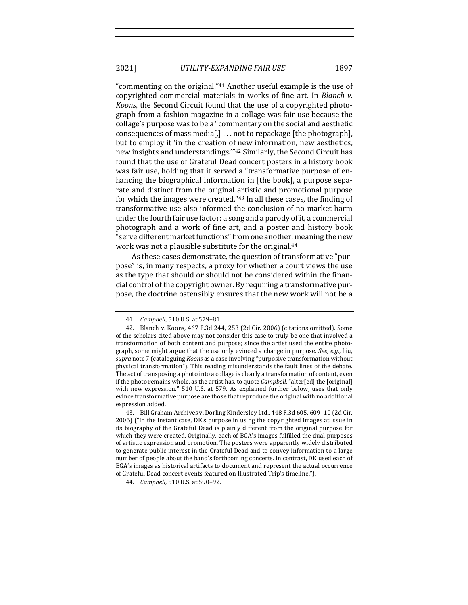2021] *UTILITY-EXPANDING FAIR USE* 1897

"commenting on the original." $41$  Another useful example is the use of copyrighted commercial materials in works of fine art. In *Blanch v. Koons*, the Second Circuit found that the use of a copyrighted photograph from a fashion magazine in a collage was fair use because the collage's purpose was to be a "commentary on the social and aesthetic consequences of mass media[,]  $\dots$  not to repackage [the photograph], but to employ it 'in the creation of new information, new aesthetics, new insights and understandings."<sup>42</sup> Similarly, the Second Circuit has found that the use of Grateful Dead concert posters in a history book was fair use, holding that it served a "transformative purpose of enhancing the biographical information in [the book], a purpose separate and distinct from the original artistic and promotional purpose for which the images were created."<sup>43</sup> In all these cases, the finding of transformative use also informed the conclusion of no market harm under the fourth fair use factor: a song and a parody of it, a commercial photograph and a work of fine art, and a poster and history book "serve different market functions" from one another, meaning the new work was not a plausible substitute for the original.<sup>44</sup>

As these cases demonstrate, the question of transformative "purpose" is, in many respects, a proxy for whether a court views the use as the type that should or should not be considered within the financial control of the copyright owner. By requiring a transformative purpose, the doctrine ostensibly ensures that the new work will not be a

<sup>41.</sup> *Campbell*, 510 U.S. at 579-81.

<sup>42.</sup> Blanch v. Koons, 467 F.3d 244, 253 (2d Cir. 2006) (citations omitted). Some of the scholars cited above may not consider this case to truly be one that involved a transformation of both content and purpose; since the artist used the entire photograph, some might argue that the use only evinced a change in purpose. *See, e.g.*, Liu, supra note 7 (cataloguing *Koons* as a case involving "purposive transformation without physical transformation"). This reading misunderstands the fault lines of the debate. The act of transposing a photo into a collage is clearly a transformation of content, even if the photo remains whole, as the artist has, to quote *Campbell*, "alter[ed] the [original] with new expression." 510 U.S. at 579. As explained further below, uses that only evince transformative purpose are those that reproduce the original with no additional expression added.

<sup>43.</sup> Bill Graham Archives v. Dorling Kindersley Ltd., 448 F.3d 605, 609-10 (2d Cir. 2006) ("In the instant case, DK's purpose in using the copyrighted images at issue in its biography of the Grateful Dead is plainly different from the original purpose for which they were created. Originally, each of BGA's images fulfilled the dual purposes of artistic expression and promotion. The posters were apparently widely distributed to generate public interest in the Grateful Dead and to convey information to a large number of people about the band's forthcoming concerts. In contrast, DK used each of BGA's images as historical artifacts to document and represent the actual occurrence of Grateful Dead concert events featured on Illustrated Trip's timeline.").

<sup>44.</sup> *Campbell*, 510 U.S. at 590-92.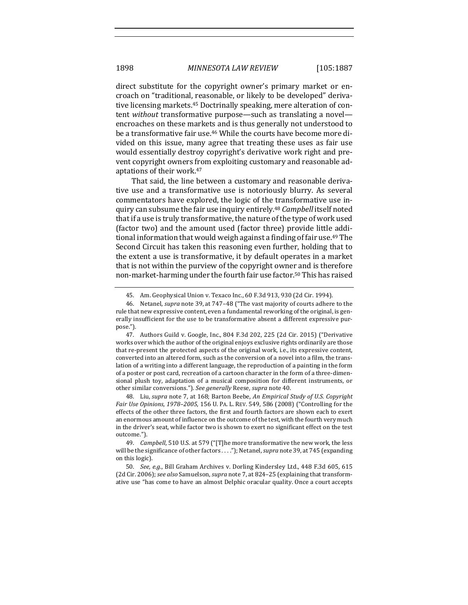direct substitute for the copyright owner's primary market or encroach on "traditional, reasonable, or likely to be developed" derivative licensing markets.<sup>45</sup> Doctrinally speaking, mere alteration of content *without* transformative purpose—such as translating a novel encroaches on these markets and is thus generally not understood to be a transformative fair use.<sup>46</sup> While the courts have become more divided on this issue, many agree that treating these uses as fair use would essentially destroy copyright's derivative work right and prevent copyright owners from exploiting customary and reasonable adaptations of their work.<sup>47</sup>

That said, the line between a customary and reasonable derivative use and a transformative use is notoriously blurry. As several commentators have explored, the logic of the transformative use inquiry can subsume the fair use inquiry entirely.<sup>48</sup> *Campbell* itself noted that if a use is truly transformative, the nature of the type of work used (factor two) and the amount used (factor three) provide little additional information that would weigh against a finding of fair use.<sup>49</sup> The Second Circuit has taken this reasoning even further, holding that to the extent a use is transformative, it by default operates in a market that is not within the purview of the copyright owner and is therefore non-market-harming under the fourth fair use factor.<sup>50</sup> This has raised

48. Liu, *supra* note 7, at 168; Barton Beebe, An Empirical Study of U.S. Copyright *Fair Use Opinions, 1978-2005, 156 U. PA. L. REV. 549, 586 (2008) ("Controlling for the* effects of the other three factors, the first and fourth factors are shown each to exert an enormous amount of influence on the outcome of the test, with the fourth very much in the driver's seat, while factor two is shown to exert no significant effect on the test outcome.").

<sup>45.</sup> Am. Geophysical Union v. Texaco Inc., 60 F.3d 913, 930 (2d Cir. 1994).

<sup>46.</sup> Netanel, *supra* note 39, at 747–48 ("The vast majority of courts adhere to the rule that new expressive content, even a fundamental reworking of the original, is generally insufficient for the use to be transformative absent a different expressive purpose.").

<sup>47.</sup> Authors Guild v. Google, Inc., 804 F.3d 202, 225 (2d Cir. 2015) ("Derivative works over which the author of the original enjoys exclusive rights ordinarily are those that re-present the protected aspects of the original work, i.e., its expressive content, converted into an altered form, such as the conversion of a novel into a film, the translation of a writing into a different language, the reproduction of a painting in the form of a poster or post card, recreation of a cartoon character in the form of a three-dimensional plush toy, adaptation of a musical composition for different instruments, or other similar conversions."). See generally Reese, *supra* note 40.

<sup>49.</sup> *Campbell*, 510 U.S. at 579 ("[T]he more transformative the new work, the less will be the significance of other factors . . . ."); Netanel, *supra* note 39, at 745 (expanding on this logic).

<sup>50.</sup> *See, e.g.*, Bill Graham Archives v. Dorling Kindersley Ltd., 448 F.3d 605, 615 (2d Cir. 2006); see also Samuelson, *supra* note 7, at 824–25 (explaining that transformative use "has come to have an almost Delphic oracular quality. Once a court accepts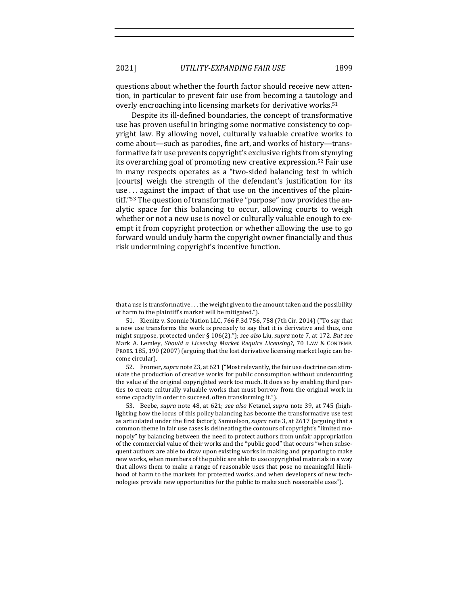questions about whether the fourth factor should receive new attention, in particular to prevent fair use from becoming a tautology and overly encroaching into licensing markets for derivative works.<sup>51</sup>

Despite its ill-defined boundaries, the concept of transformative use has proven useful in bringing some normative consistency to copyright law. By allowing novel, culturally valuable creative works to come about—such as parodies, fine art, and works of history—transformative fair use prevents copyright's exclusive rights from stymying its overarching goal of promoting new creative expression.<sup>52</sup> Fair use in many respects operates as a "two-sided balancing test in which [courts] weigh the strength of the defendant's justification for its use  $\ldots$  against the impact of that use on the incentives of the plaintiff."<sup>53</sup> The question of transformative "purpose" now provides the analytic space for this balancing to occur, allowing courts to weigh whether or not a new use is novel or culturally valuable enough to exempt it from copyright protection or whether allowing the use to go forward would unduly harm the copyright owner financially and thus risk undermining copyright's incentive function.

52. Fromer, *supra* note 23, at 621 ("Most relevantly, the fair use doctrine can stimulate the production of creative works for public consumption without undercutting the value of the original copyrighted work too much. It does so by enabling third parties to create culturally valuable works that must borrow from the original work in some capacity in order to succeed, often transforming it.").

53. Beebe, *supra* note 48, at 621; *see also* Netanel, *supra* note 39, at 745 (highlighting how the locus of this policy balancing has become the transformative use test as articulated under the first factor); Samuelson, *supra* note 3, at 2617 (arguing that a common theme in fair use cases is delineating the contours of copyright's "limited monopoly" by balancing between the need to protect authors from unfair appropriation of the commercial value of their works and the "public good" that occurs "when subsequent authors are able to draw upon existing works in making and preparing to make new works, when members of the public are able to use copyrighted materials in a way that allows them to make a range of reasonable uses that pose no meaningful likelihood of harm to the markets for protected works, and when developers of new technologies provide new opportunities for the public to make such reasonable uses").

that a use is transformative  $\dots$  the weight given to the amount taken and the possibility of harm to the plaintiff's market will be mitigated.").

<sup>51.</sup> Kienitz v. Sconnie Nation LLC, 766 F.3d 756, 758 (7th Cir. 2014) ("To say that a new use transforms the work is precisely to say that it is derivative and thus, one might suppose, protected under § 106(2)."); see also Liu, supra note 7, at 172. But see Mark A. Lemley, *Should a Licensing Market Require Licensing?*, 70 LAW & CONTEMP. PROBS. 185, 190 (2007) (arguing that the lost derivative licensing market logic can become circular).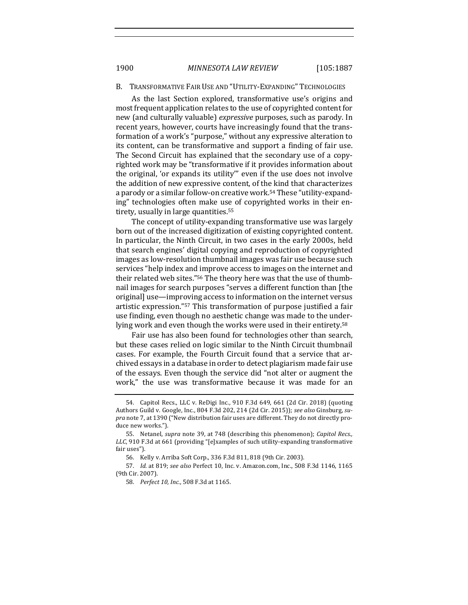#### B. TRANSFORMATIVE FAIR USE AND "UTILITY-EXPANDING" TECHNOLOGIES

As the last Section explored, transformative use's origins and most frequent application relates to the use of copyrighted content for new (and culturally valuable) *expressive* purposes, such as parody. In recent years, however, courts have increasingly found that the transformation of a work's "purpose," without any expressive alteration to its content, can be transformative and support a finding of fair use. The Second Circuit has explained that the secondary use of a copyrighted work may be "transformative if it provides information about the original, 'or expands its utility'" even if the use does not involve the addition of new expressive content, of the kind that characterizes a parody or a similar follow-on creative work.<sup>54</sup> These "utility-expanding" technologies often make use of copyrighted works in their entirety, usually in large quantities.<sup>55</sup>

The concept of utility-expanding transformative use was largely born out of the increased digitization of existing copyrighted content. In particular, the Ninth Circuit, in two cases in the early 2000s, held that search engines' digital copying and reproduction of copyrighted images as low-resolution thumbnail images was fair use because such services "help index and improve access to images on the internet and their related web sites."<sup>56</sup> The theory here was that the use of thumbnail images for search purposes "serves a different function than [the original] use—improving access to information on the internet versus artistic expression."<sup>57</sup> This transformation of purpose justified a fair use finding, even though no aesthetic change was made to the underlying work and even though the works were used in their entirety.<sup>58</sup>

Fair use has also been found for technologies other than search, but these cases relied on logic similar to the Ninth Circuit thumbnail cases. For example, the Fourth Circuit found that a service that archived essays in a database in order to detect plagiarism made fair use of the essays. Even though the service did "not alter or augment the work," the use was transformative because it was made for an

<sup>54.</sup> Capitol Recs., LLC v. ReDigi Inc., 910 F.3d 649, 661 (2d Cir. 2018) (quoting Authors Guild v. Google, Inc., 804 F.3d 202, 214 (2d Cir. 2015)); see also Ginsburg, su*pra* note 7, at 1390 ("New distribution fair uses are different. They do not directly produce new works.").

<sup>55.</sup> Netanel, *supra* note 39, at 748 (describing this phenomenon); *Capitol Recs.*, *LLC*, 910 F.3d at 661 (providing "[e]xamples of such utility-expanding transformative fair uses").

<sup>56.</sup> Kelly v. Arriba Soft Corp., 336 F.3d 811, 818 (9th Cir. 2003).

<sup>57.</sup> *Id.* at 819; see also Perfect 10, Inc. v. Amazon.com, Inc., 508 F.3d 1146, 1165 (9th Cir. 2007).

<sup>58.</sup> *Perfect 10, Inc.*, 508 F.3d at 1165.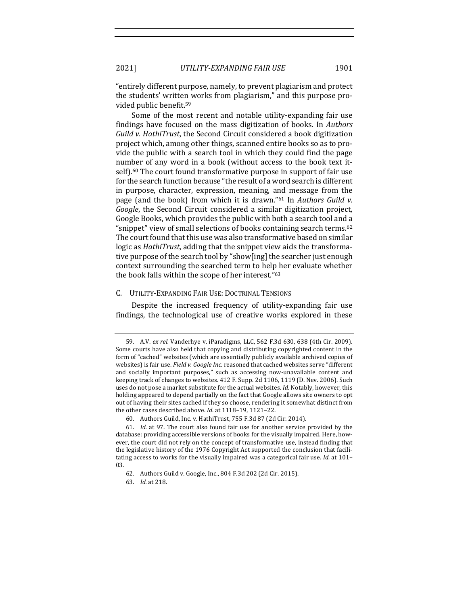"entirely different purpose, namely, to prevent plagiarism and protect the students' written works from plagiarism," and this purpose provided public benefit.<sup>59</sup>

Some of the most recent and notable utility-expanding fair use findings have focused on the mass digitization of books. In *Authors Guild v. HathiTrust*, the Second Circuit considered a book digitization project which, among other things, scanned entire books so as to provide the public with a search tool in which they could find the page number of any word in a book (without access to the book text itself).<sup>60</sup> The court found transformative purpose in support of fair use for the search function because "the result of a word search is different in purpose, character, expression, meaning, and message from the page (and the book) from which it is drawn."<sup>61</sup> In *Authors Guild v. Google*, the Second Circuit considered a similar digitization project, Google Books, which provides the public with both a search tool and a "snippet" view of small selections of books containing search terms.<sup>62</sup> The court found that this use was also transformative based on similar logic as *HathiTrust*, adding that the snippet view aids the transformative purpose of the search tool by "show[ing] the searcher just enough context surrounding the searched term to help her evaluate whether the book falls within the scope of her interest."<sup>63</sup>

#### C. UTILITY-EXPANDING FAIR USE: DOCTRINAL TENSIONS

Despite the increased frequency of utility-expanding fair use findings, the technological use of creative works explored in these

<sup>59.</sup> A.V. *ex rel.* Vanderhye v. iParadigms, LLC, 562 F.3d 630, 638 (4th Cir. 2009). Some courts have also held that copying and distributing copyrighted content in the form of "cached" websites (which are essentially publicly available archived copies of websites) is fair use. Field v. Google Inc. reasoned that cached websites serve "different and socially important purposes," such as accessing now-unavailable content and keeping track of changes to websites. 412 F. Supp. 2d 1106, 1119 (D. Nev. 2006). Such uses do not pose a market substitute for the actual websites. *Id.* Notably, however, this holding appeared to depend partially on the fact that Google allows site owners to opt out of having their sites cached if they so choose, rendering it somewhat distinct from the other cases described above. *Id.* at 1118-19, 1121-22.

<sup>60.</sup> Authors Guild, Inc. v. HathiTrust, 755 F.3d 87 (2d Cir. 2014).

<sup>61.</sup> *Id.* at 97. The court also found fair use for another service provided by the database: providing accessible versions of books for the visually impaired. Here, however, the court did not rely on the concept of transformative use, instead finding that the legislative history of the 1976 Copyright Act supported the conclusion that facilitating access to works for the visually impaired was a categorical fair use. *Id.* at 101-03.

<sup>62.</sup> Authors Guild v. Google, Inc., 804 F.3d 202 (2d Cir. 2015).

<sup>63.</sup> *Id.* at 218.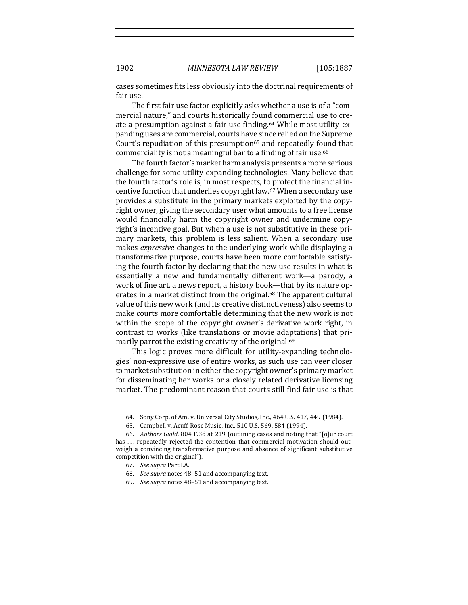cases sometimes fits less obviously into the doctrinal requirements of fair use.

The first fair use factor explicitly asks whether a use is of a "commercial nature," and courts historically found commercial use to create a presumption against a fair use finding.<sup>64</sup> While most utility-expanding uses are commercial, courts have since relied on the Supreme Court's repudiation of this presumption<sup>65</sup> and repeatedly found that commerciality is not a meaningful bar to a finding of fair use.<sup>66</sup>

The fourth factor's market harm analysis presents a more serious challenge for some utility-expanding technologies. Many believe that the fourth factor's role is, in most respects, to protect the financial incentive function that underlies copyright law.<sup>67</sup> When a secondary use provides a substitute in the primary markets exploited by the copyright owner, giving the secondary user what amounts to a free license would financially harm the copyright owner and undermine copyright's incentive goal. But when a use is not substitutive in these primary markets, this problem is less salient. When a secondary use makes *expressive* changes to the underlying work while displaying a transformative purpose, courts have been more comfortable satisfying the fourth factor by declaring that the new use results in what is essentially a new and fundamentally different work—a parody, a work of fine art, a news report, a history book—that by its nature operates in a market distinct from the original.<sup>68</sup> The apparent cultural value of this new work (and its creative distinctiveness) also seems to make courts more comfortable determining that the new work is not within the scope of the copyright owner's derivative work right, in contrast to works (like translations or movie adaptations) that primarily parrot the existing creativity of the original.<sup>69</sup>

This logic proves more difficult for utility-expanding technologies' non-expressive use of entire works, as such use can veer closer to market substitution in either the copyright owner's primary market for disseminating her works or a closely related derivative licensing market. The predominant reason that courts still find fair use is that

<sup>64.</sup> Sony Corp. of Am. v. Universal City Studios, Inc., 464 U.S. 417, 449 (1984).

<sup>65.</sup> Campbell v. Acuff-Rose Music, Inc., 510 U.S. 569, 584 (1994).

<sup>66.</sup> *Authors Guild*, 804 F.3d at 219 (outlining cases and noting that "[o]ur court has ... repeatedly rejected the contention that commercial motivation should outweigh a convincing transformative purpose and absence of significant substitutive competition with the original").

<sup>67.</sup> *See supra* Part I.A.

<sup>68.</sup> *See supra* notes 48-51 and accompanying text.

<sup>69.</sup> *See supra* notes 48-51 and accompanying text.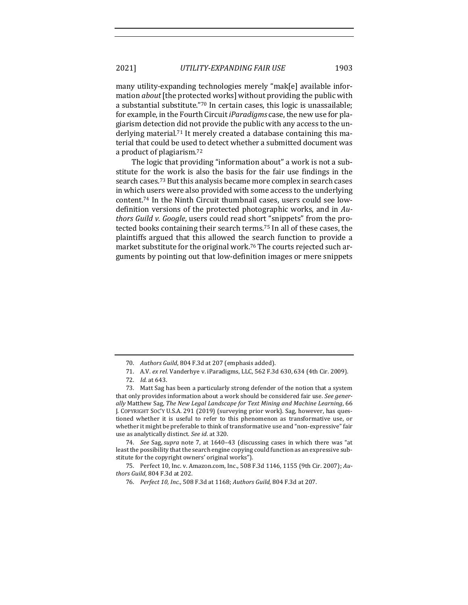many utility-expanding technologies merely "mak[e] available information *about* [the protected works] without providing the public with a substantial substitute."70 In certain cases, this logic is unassailable; for example, in the Fourth Circuit *iParadigms* case, the new use for plagiarism detection did not provide the public with any access to the underlying material.<sup>71</sup> It merely created a database containing this material that could be used to detect whether a submitted document was a product of plagiarism.<sup>72</sup>

The logic that providing "information about" a work is not a substitute for the work is also the basis for the fair use findings in the search cases.<sup>73</sup> But this analysis became more complex in search cases in which users were also provided with some access to the underlying content.<sup>74</sup> In the Ninth Circuit thumbnail cases, users could see lowdefinition versions of the protected photographic works, and in Au*thors Guild v. Google, users could read short* "snippets" from the protected books containing their search terms.<sup>75</sup> In all of these cases, the plaintiffs argued that this allowed the search function to provide a market substitute for the original work.<sup>76</sup> The courts rejected such arguments by pointing out that low-definition images or mere snippets

74. *See* Sag, *supra* note 7, at 1640-43 (discussing cases in which there was "at least the possibility that the search engine copying could function as an expressive substitute for the copyright owners' original works").

<sup>70.</sup> Authors Guild, 804 F.3d at 207 (emphasis added).

<sup>71.</sup> A.V. *ex rel.* Vanderhye v. iParadigms, LLC, 562 F.3d 630, 634 (4th Cir. 2009).

<sup>72.</sup> *Id.* at 643.

<sup>73.</sup> Matt Sag has been a particularly strong defender of the notion that a system that only provides information about a work should be considered fair use. See gener*ally* Matthew Sag, *The New Legal Landscape for Text Mining and Machine Learning*, 66 J. COPYRIGHT SOC'Y U.S.A. 291 (2019) (surveying prior work). Sag, however, has questioned whether it is useful to refer to this phenomenon as transformative use, or whether it might be preferable to think of transformative use and "non-expressive" fair use as analytically distinct. See id. at 320.

<sup>75.</sup> Perfect 10, Inc. v. Amazon.com, Inc., 508 F.3d 1146, 1155 (9th Cir. 2007); Au*thors Guild*, 804 F.3d at 202.

<sup>76.</sup> *Perfect 10, Inc.*, 508 F.3d at 1168; Authors Guild, 804 F.3d at 207.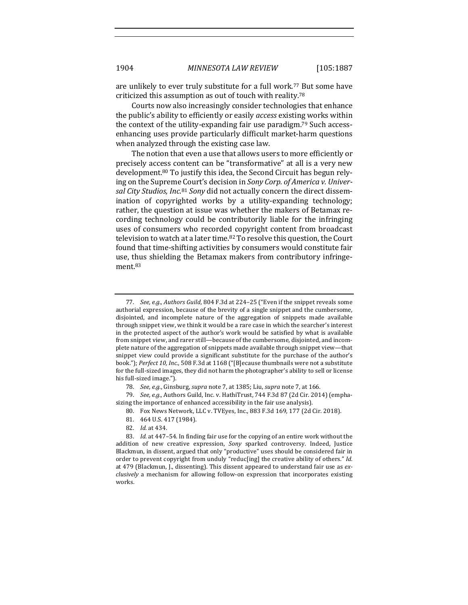are unlikely to ever truly substitute for a full work.<sup>77</sup> But some have criticized this assumption as out of touch with reality.<sup>78</sup>

Courts now also increasingly consider technologies that enhance the public's ability to efficiently or easily *access* existing works within the context of the utility-expanding fair use paradigm.<sup>79</sup> Such accessenhancing uses provide particularly difficult market-harm questions when analyzed through the existing case law.

The notion that even a use that allows users to more efficiently or precisely access content can be "transformative" at all is a very new development.<sup>80</sup> To justify this idea, the Second Circuit has begun relying on the Supreme Court's decision in *Sony Corp. of America v. Univer*sal City Studios, Inc.<sup>81</sup> Sony did not actually concern the direct dissemination of copyrighted works by a utility-expanding technology; rather, the question at issue was whether the makers of Betamax recording technology could be contributorily liable for the infringing uses of consumers who recorded copyright content from broadcast television to watch at a later time.<sup>82</sup> To resolve this question, the Court found that time-shifting activities by consumers would constitute fair use, thus shielding the Betamax makers from contributory infringement.83

<sup>77.</sup> *See, e.g., Authors Guild,* 804 F.3d at 224-25 ("Even if the snippet reveals some authorial expression, because of the brevity of a single snippet and the cumbersome, disjointed, and incomplete nature of the aggregation of snippets made available through snippet view, we think it would be a rare case in which the searcher's interest in the protected aspect of the author's work would be satisfied by what is available from snippet view, and rarer still—because of the cumbersome, disjointed, and incomplete nature of the aggregation of snippets made available through snippet view—that snippet view could provide a significant substitute for the purchase of the author's book."); *Perfect 10, Inc.*, 508 F.3d at 1168 ("[B]ecause thumbnails were not a substitute for the full-sized images, they did not harm the photographer's ability to sell or license his full-sized image.").

<sup>78.</sup> *See, e.g.*, Ginsburg, *supra* note 7, at 1385; Liu, *supra* note 7, at 166.

<sup>79.</sup> *See, e.g.*, Authors Guild, Inc. v. HathiTrust, 744 F.3d 87 (2d Cir. 2014) (emphasizing the importance of enhanced accessibility in the fair use analysis).

<sup>80.</sup> Fox News Network, LLC v. TVEyes, Inc., 883 F.3d 169, 177 (2d Cir. 2018).

<sup>81. 464</sup> U.S. 417 (1984).

<sup>82.</sup> *Id.* at 434.

<sup>83.</sup> *Id.* at 447-54. In finding fair use for the copying of an entire work without the addition of new creative expression, *Sony* sparked controversy. Indeed, Justice Blackmun, in dissent, argued that only "productive" uses should be considered fair in order to prevent copyright from unduly "reduc[ing] the creative ability of others." *Id.* at 479 (Blackmun, J., dissenting). This dissent appeared to understand fair use as ex*clusively* a mechanism for allowing follow-on expression that incorporates existing works.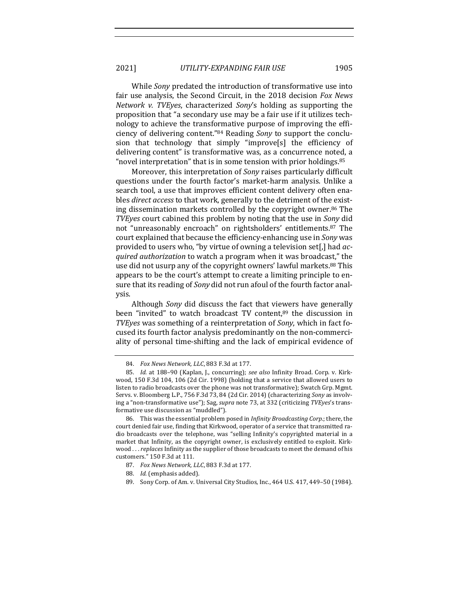2021] *UTILITY-EXPANDING FAIR USE* 1905

While *Sony* predated the introduction of transformative use into fair use analysis, the Second Circuit, in the 2018 decision *Fox News Network v. TVEyes*, characterized *Sony's* holding as supporting the proposition that "a secondary use may be a fair use if it utilizes technology to achieve the transformative purpose of improving the efficiency of delivering content."<sup>84</sup> Reading *Sony* to support the conclusion that technology that simply "improve[s] the efficiency of delivering content" is transformative was, as a concurrence noted, a " novel interpretation" that is in some tension with prior holdings.  $85$ 

Moreover, this interpretation of *Sony* raises particularly difficult questions under the fourth factor's market-harm analysis. Unlike a search tool, a use that improves efficient content delivery often enables *direct access* to that work, generally to the detriment of the existing dissemination markets controlled by the copyright owner.<sup>86</sup> The *TVEyes* court cabined this problem by noting that the use in *Sony* did not "unreasonably encroach" on rightsholders' entitlements.<sup>87</sup> The court explained that because the efficiency-enhancing use in *Sony* was provided to users who, "by virtue of owning a television set[,] had *acquired authorization* to watch a program when it was broadcast," the use did not usurp any of the copyright owners' lawful markets.<sup>88</sup> This appears to be the court's attempt to create a limiting principle to ensure that its reading of *Sony* did not run afoul of the fourth factor analysis. 

Although *Sony* did discuss the fact that viewers have generally been "invited" to watch broadcast TV content, $89$  the discussion in *TVEyes* was something of a reinterpretation of *Sony*, which in fact focused its fourth factor analysis predominantly on the non-commerciality of personal time-shifting and the lack of empirical evidence of

<sup>84.</sup> *Fox News Network, LLC*, 883 F.3d at 177.

<sup>85.</sup> *Id.* at 188-90 (Kaplan, J., concurring); see also Infinity Broad. Corp. v. Kirkwood, 150 F.3d 104, 106 (2d Cir. 1998) (holding that a service that allowed users to listen to radio broadcasts over the phone was not transformative); Swatch Grp. Mgmt. Servs. v. Bloomberg L.P., 756 F.3d 73, 84 (2d Cir. 2014) (characterizing *Sony* as involving a "non-transformative use"); Sag, *supra* note 73, at 332 (criticizing *TVEyes's* transformative use discussion as "muddled").

<sup>86.</sup> This was the essential problem posed in *Infinity Broadcasting Corp.*; there, the court denied fair use, finding that Kirkwood, operator of a service that transmitted radio broadcasts over the telephone, was "selling Infinity's copyrighted material in a market that Infinity, as the copyright owner, is exclusively entitled to exploit. Kirkwood . . . *replaces* Infinity as the supplier of those broadcasts to meet the demand of his customers." 150 F.3d at 111.

<sup>87.</sup> *Fox News Network, LLC*, 883 F.3d at 177.

<sup>88.</sup> *Id.* (emphasis added).

<sup>89.</sup> Sony Corp. of Am. v. Universal City Studios, Inc., 464 U.S. 417, 449-50 (1984).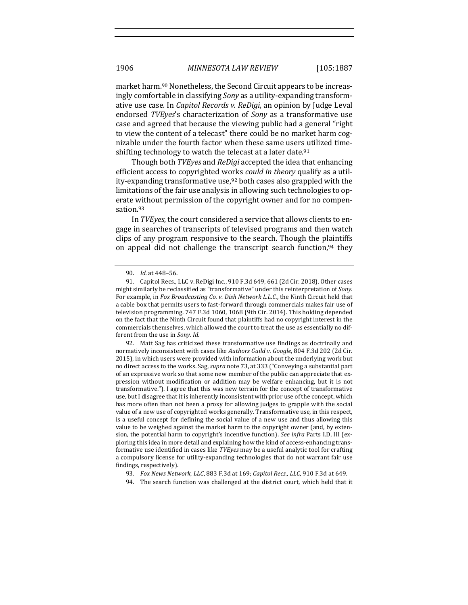market harm.<sup>90</sup> Nonetheless, the Second Circuit appears to be increasingly comfortable in classifying *Sony* as a utility-expanding transformative use case. In *Capitol Records v. ReDigi*, an opinion by Judge Leval endorsed *TVEyes*'s characterization of *Sony* as a transformative use case and agreed that because the viewing public had a general "right" to view the content of a telecast" there could be no market harm cognizable under the fourth factor when these same users utilized timeshifting technology to watch the telecast at a later date.<sup>91</sup>

Though both *TVEyes* and *ReDigi* accepted the idea that enhancing efficient access to copyrighted works *could in theory* qualify as a utility-expanding transformative use,  $92$  both cases also grappled with the limitations of the fair use analysis in allowing such technologies to operate without permission of the copyright owner and for no compensation.93

In *TVEyes*, the court considered a service that allows clients to engage in searches of transcripts of televised programs and then watch clips of any program responsive to the search. Though the plaintiffs on appeal did not challenge the transcript search function, $94$  they

<sup>90.</sup> *Id.* at 448–56.

<sup>91.</sup> Capitol Recs., LLC v. ReDigi Inc., 910 F.3d 649, 661 (2d Cir. 2018). Other cases might similarly be reclassified as "transformative" under this reinterpretation of *Sony*. For example, in *Fox Broadcasting Co. v. Dish Network L.L.C.*, the Ninth Circuit held that a cable box that permits users to fast-forward through commercials makes fair use of television programming. 747 F.3d 1060, 1068 (9th Cir. 2014). This holding depended on the fact that the Ninth Circuit found that plaintiffs had no copyright interest in the commercials themselves, which allowed the court to treat the use as essentially no different from the use in *Sony*. *Id.* 

<sup>92.</sup> Matt Sag has criticized these transformative use findings as doctrinally and normatively inconsistent with cases like *Authors Guild v. Google*, 804 F.3d 202 (2d Cir. 2015), in which users were provided with information about the underlying work but no direct access to the works. Sag, *supra* note 73, at 333 ("Conveying a substantial part of an expressive work so that some new member of the public can appreciate that expression without modification or addition may be welfare enhancing, but it is not transformative."). I agree that this was new terrain for the concept of transformative use, but I disagree that it is inherently inconsistent with prior use of the concept, which has more often than not been a proxy for allowing judges to grapple with the social value of a new use of copyrighted works generally. Transformative use, in this respect, is a useful concept for defining the social value of a new use and thus allowing this value to be weighed against the market harm to the copyright owner (and, by extension, the potential harm to copyright's incentive function). *See infra* Parts I.D, III (exploring this idea in more detail and explaining how the kind of access-enhancing transformative use identified in cases like *TVEyes* may be a useful analytic tool for crafting a compulsory license for utility-expanding technologies that do not warrant fair use findings, respectively).

<sup>93.</sup> *Fox News Network, LLC*, 883 F.3d at 169; *Capitol Recs., LLC*, 910 F.3d at 649.

<sup>94.</sup> The search function was challenged at the district court, which held that it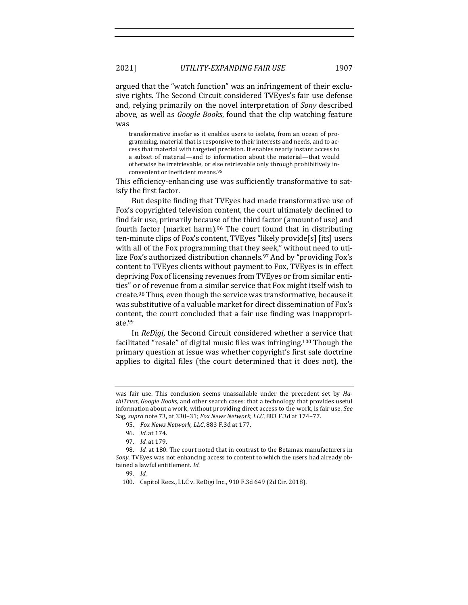argued that the "watch function" was an infringement of their exclusive rights. The Second Circuit considered TVEyes's fair use defense and, relying primarily on the novel interpretation of *Sony* described above, as well as *Google Books*, found that the clip watching feature was

transformative insofar as it enables users to isolate, from an ocean of programming, material that is responsive to their interests and needs, and to access that material with targeted precision. It enables nearly instant access to a subset of material—and to information about the material—that would otherwise be irretrievable, or else retrievable only through prohibitively inconvenient or inefficient means.<sup>95</sup>

This efficiency-enhancing use was sufficiently transformative to satisfy the first factor.

But despite finding that TVEyes had made transformative use of Fox's copyrighted television content, the court ultimately declined to find fair use, primarily because of the third factor (amount of use) and fourth factor (market harm). $96$  The court found that in distributing ten-minute clips of Fox's content, TVEyes "likely provide[s] [its] users with all of the Fox programming that they seek," without need to utilize Fox's authorized distribution channels.<sup>97</sup> And by "providing Fox's content to TVEyes clients without payment to Fox, TVEyes is in effect depriving Fox of licensing revenues from TVEyes or from similar entities" or of revenue from a similar service that Fox might itself wish to create.<sup>98</sup> Thus, even though the service was transformative, because it was substitutive of a valuable market for direct dissemination of Fox's content, the court concluded that a fair use finding was inappropriate.99

In *ReDigi*, the Second Circuit considered whether a service that facilitated "resale" of digital music files was infringing.<sup>100</sup> Though the primary question at issue was whether copyright's first sale doctrine applies to digital files (the court determined that it does not), the

was fair use. This conclusion seems unassailable under the precedent set by *HathiTrust, Google Books,* and other search cases: that a technology that provides useful information about a work, without providing direct access to the work, is fair use. See Sag, *supra* note 73, at 330-31; *Fox News Network, LLC*, 883 F.3d at 174-77.

<sup>95.</sup> *Fox News Network, LLC*, 883 F.3d at 177.

<sup>96.</sup> *Id.* at 174.

<sup>97.</sup> *Id.* at 179.

<sup>98.</sup> *Id.* at 180. The court noted that in contrast to the Betamax manufacturers in Sony, TVEyes was not enhancing access to content to which the users had already obtained a lawful entitlement. *Id.* 

<sup>99.</sup> *Id.*

<sup>100.</sup> Capitol Recs., LLC v. ReDigi Inc., 910 F.3d 649 (2d Cir. 2018).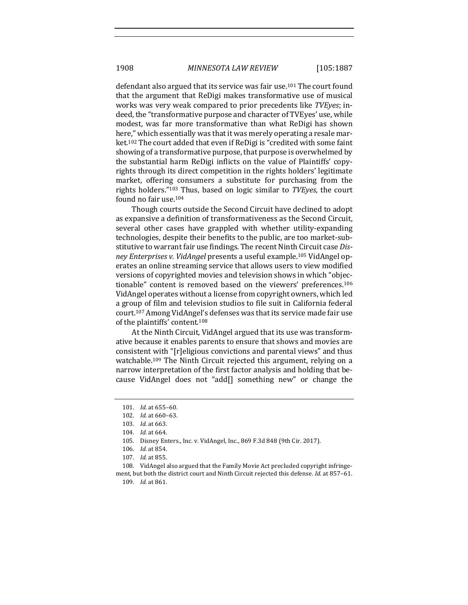defendant also argued that its service was fair use.<sup>101</sup> The court found that the argument that ReDigi makes transformative use of musical works was very weak compared to prior precedents like *TVEyes*; indeed, the "transformative purpose and character of TVEyes' use, while modest, was far more transformative than what ReDigi has shown here," which essentially was that it was merely operating a resale market.<sup>102</sup> The court added that even if ReDigi is "credited with some faint showing of a transformative purpose, that purpose is overwhelmed by the substantial harm ReDigi inflicts on the value of Plaintiffs' copyrights through its direct competition in the rights holders' legitimate market, offering consumers a substitute for purchasing from the rights holders."<sup>103</sup> Thus, based on logic similar to *TVEyes*, the court found no fair use.<sup>104</sup>

Though courts outside the Second Circuit have declined to adopt as expansive a definition of transformativeness as the Second Circuit, several other cases have grappled with whether utility-expanding technologies, despite their benefits to the public, are too market-substitutive to warrant fair use findings. The recent Ninth Circuit case *Dis*ney Enterprises v. VidAngel presents a useful example.<sup>105</sup> VidAngel operates an online streaming service that allows users to view modified versions of copyrighted movies and television shows in which "objectionable" content is removed based on the viewers' preferences.<sup>106</sup> VidAngel operates without a license from copyright owners, which led a group of film and television studios to file suit in California federal court.<sup>107</sup> Among VidAngel's defenses was that its service made fair use of the plaintiffs' content.<sup>108</sup>

At the Ninth Circuit, VidAngel argued that its use was transformative because it enables parents to ensure that shows and movies are consistent with "[r]eligious convictions and parental views" and thus watchable.<sup>109</sup> The Ninth Circuit rejected this argument, relying on a narrow interpretation of the first factor analysis and holding that because VidAngel does not "add[] something new" or change the

108. VidAngel also argued that the Family Movie Act precluded copyright infringement, but both the district court and Ninth Circuit rejected this defense. *Id.* at 857-61.

109. *Id.* at 861.

<sup>101.</sup> *Id.* at 655-60.

<sup>102.</sup> *Id.* at 660-63.

<sup>103.</sup> *Id.* at 663.

<sup>104.</sup> *Id.* at 664.

<sup>105.</sup> Disney Enters., Inc. v. VidAngel, Inc., 869 F.3d 848 (9th Cir. 2017).

<sup>106.</sup> *Id.* at 854.

<sup>107.</sup> *Id.* at 855.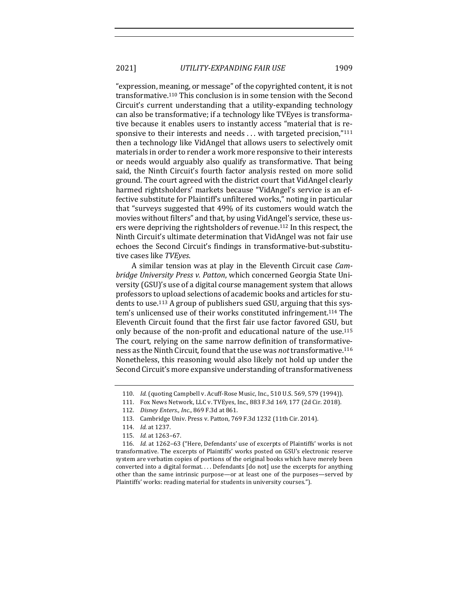2021] *UTILITY-EXPANDING FAIR USE* 1909

"expression, meaning, or message" of the copyrighted content, it is not transformative.<sup>110</sup> This conclusion is in some tension with the Second Circuit's current understanding that a utility-expanding technology can also be transformative; if a technology like TVEyes is transformative because it enables users to instantly access "material that is responsive to their interests and needs  $\dots$  with targeted precision," $^{111}$ then a technology like VidAngel that allows users to selectively omit materials in order to render a work more responsive to their interests or needs would arguably also qualify as transformative. That being said, the Ninth Circuit's fourth factor analysis rested on more solid ground. The court agreed with the district court that VidAngel clearly harmed rightsholders' markets because "VidAngel's service is an effective substitute for Plaintiff's unfiltered works," noting in particular that "surveys suggested that 49% of its customers would watch the movies without filters" and that, by using VidAngel's service, these users were depriving the rightsholders of revenue.<sup>112</sup> In this respect, the Ninth Circuit's ultimate determination that VidAngel was not fair use echoes the Second Circuit's findings in transformative-but-substitutive cases like *TVEyes*.

A similar tension was at play in the Eleventh Circuit case *Cambridge University Press v. Patton, which concerned Georgia State Uni*versity (GSU)'s use of a digital course management system that allows professors to upload selections of academic books and articles for students to use.<sup>113</sup> A group of publishers sued GSU, arguing that this system's unlicensed use of their works constituted infringement.<sup>114</sup> The Eleventh Circuit found that the first fair use factor favored GSU, but only because of the non-profit and educational nature of the use.<sup>115</sup> The court, relying on the same narrow definition of transformativeness as the Ninth Circuit, found that the use was *not* transformative.<sup>116</sup> Nonetheless, this reasoning would also likely not hold up under the Second Circuit's more expansive understanding of transformativeness

<sup>110.</sup> *Id.* (quoting Campbell v. Acuff-Rose Music, Inc., 510 U.S. 569, 579 (1994)).

<sup>111.</sup> Fox News Network, LLC v. TVEyes, Inc., 883 F.3d 169, 177 (2d Cir. 2018).

<sup>112.</sup> *Disney Enters., Inc.*, 869 F.3d at 861.

<sup>113.</sup> Cambridge Univ. Press v. Patton, 769 F.3d 1232 (11th Cir. 2014).

<sup>114.</sup> *Id.* at 1237.

<sup>115.</sup> *Id.* at 1263-67.

<sup>116.</sup> *Id.* at 1262-63 ("Here, Defendants' use of excerpts of Plaintiffs' works is not transformative. The excerpts of Plaintiffs' works posted on GSU's electronic reserve system are verbatim copies of portions of the original books which have merely been converted into a digital format.... Defendants [do not] use the excerpts for anything other than the same intrinsic purpose—or at least one of the purposes—served by Plaintiffs' works: reading material for students in university courses.").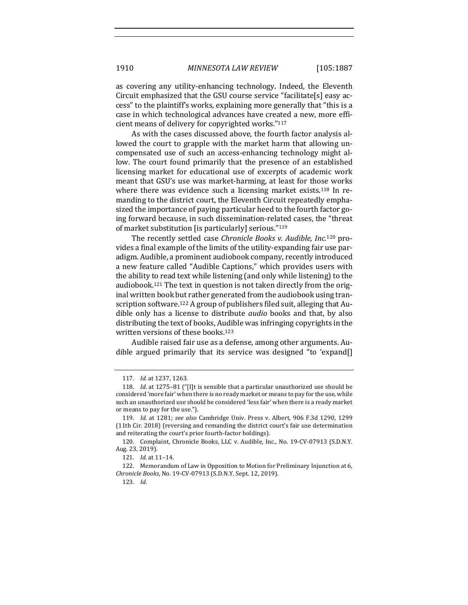as covering any utility-enhancing technology. Indeed, the Eleventh Circuit emphasized that the GSU course service "facilitate[s] easy access" to the plaintiff's works, explaining more generally that "this is a case in which technological advances have created a new, more efficient means of delivery for copyrighted works."117

As with the cases discussed above, the fourth factor analysis allowed the court to grapple with the market harm that allowing uncompensated use of such an access-enhancing technology might allow. The court found primarily that the presence of an established licensing market for educational use of excerpts of academic work meant that GSU's use was market-harming, at least for those works where there was evidence such a licensing market exists.<sup>118</sup> In remanding to the district court, the Eleventh Circuit repeatedly emphasized the importance of paying particular heed to the fourth factor going forward because, in such dissemination-related cases, the "threat of market substitution [is particularly] serious." $119$ 

The recently settled case *Chronicle Books v. Audible, Inc.*<sup>120</sup> provides a final example of the limits of the utility-expanding fair use paradigm. Audible, a prominent audiobook company, recently introduced a new feature called "Audible Captions," which provides users with the ability to read text while listening (and only while listening) to the audiobook.<sup>121</sup> The text in question is not taken directly from the original written book but rather generated from the audiobook using transcription software.<sup>122</sup> A group of publishers filed suit, alleging that Audible only has a license to distribute *audio* books and that, by also distributing the text of books, Audible was infringing copyrights in the written versions of these books.<sup>123</sup>

Audible raised fair use as a defense, among other arguments. Audible argued primarily that its service was designed "to 'expand[]

<sup>117.</sup> *Id.* at 1237, 1263.

<sup>118.</sup> *Id.* at 1275-81 ("[I]t is sensible that a particular unauthorized use should be considered 'more fair' when there is no ready market or means to pay for the use, while such an unauthorized use should be considered 'less fair' when there is a ready market or means to pay for the use.").

<sup>119.</sup> *Id.* at 1281; *see also* Cambridge Univ. Press v. Albert, 906 F.3d 1290, 1299 (11th Cir. 2018) (reversing and remanding the district court's fair use determination and reiterating the court's prior fourth-factor holdings).

<sup>120.</sup> Complaint, Chronicle Books, LLC v. Audible, Inc., No. 19-CV-07913 (S.D.N.Y. Aug. 23, 2019).

<sup>121.</sup> *Id.* at 11-14.

<sup>122.</sup> Memorandum of Law in Opposition to Motion for Preliminary Injunction at 6, *Chronicle Books*, No. 19-CV-07913 (S.D.N.Y. Sept. 12, 2019).

<sup>123.</sup> *Id.*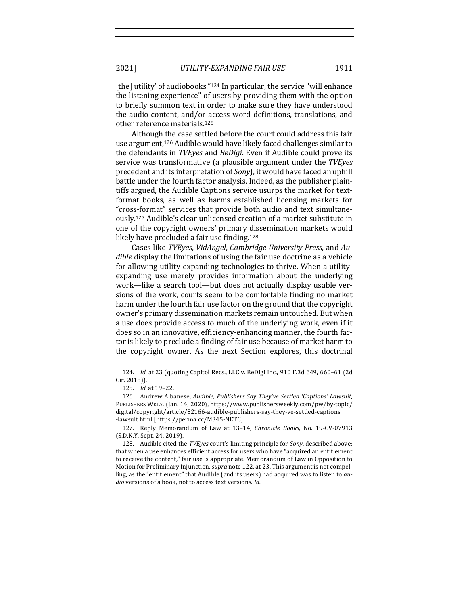2021] *UTILITY-EXPANDING FAIR USE* 1911

[the] utility' of audiobooks." $124$  In particular, the service "will enhance the listening experience" of users by providing them with the option to briefly summon text in order to make sure they have understood the audio content, and/or access word definitions, translations, and other reference materials.<sup>125</sup>

Although the case settled before the court could address this fair use argument,<sup>126</sup> Audible would have likely faced challenges similar to the defendants in *TVEyes* and *ReDigi*. Even if Audible could prove its service was transformative (a plausible argument under the *TVEyes* precedent and its interpretation of *Sony*), it would have faced an uphill battle under the fourth factor analysis. Indeed, as the publisher plaintiffs argued, the Audible Captions service usurps the market for textformat books, as well as harms established licensing markets for "cross-format" services that provide both audio and text simultaneously.<sup>127</sup> Audible's clear unlicensed creation of a market substitute in one of the copyright owners' primary dissemination markets would likely have precluded a fair use finding.<sup>128</sup>

Cases like *TVEyes, VidAngel, Cambridge University Press, and Audible* display the limitations of using the fair use doctrine as a vehicle for allowing utility-expanding technologies to thrive. When a utilityexpanding use merely provides information about the underlying work—like a search tool—but does not actually display usable versions of the work, courts seem to be comfortable finding no market harm under the fourth fair use factor on the ground that the copyright owner's primary dissemination markets remain untouched. But when a use does provide access to much of the underlying work, even if it does so in an innovative, efficiency-enhancing manner, the fourth factor is likely to preclude a finding of fair use because of market harm to the copyright owner. As the next Section explores, this doctrinal

<sup>124.</sup> *Id.* at 23 (quoting Capitol Recs., LLC v. ReDigi Inc., 910 F.3d 649, 660-61 (2d Cir. 2018)).

<sup>125.</sup> *Id.* at 19-22.

<sup>126.</sup> Andrew Albanese, *Audible, Publishers Say They've Settled 'Captions' Lawsuit*, PUBLISHERS WKLY. (Jan. 14, 2020), https://www.publishersweekly.com/pw/by-topic/ digital/copyright/article/82166-audible-publishers-say-they-ve-settled-captions -lawsuit.html [https://perma.cc/M345-NETC].

<sup>127.</sup> Reply Memorandum of Law at 13-14, *Chronicle Books*, No. 19-CV-07913 (S.D.N.Y. Sept. 24, 2019).

<sup>128.</sup> Audible cited the *TVEyes* court's limiting principle for *Sony*, described above: that when a use enhances efficient access for users who have "acquired an entitlement to receive the content," fair use is appropriate. Memorandum of Law in Opposition to Motion for Preliminary Injunction, *supra* note 122, at 23. This argument is not compelling, as the "entitlement" that Audible (and its users) had acquired was to listen to *audio* versions of a book, not to access text versions. *Id.*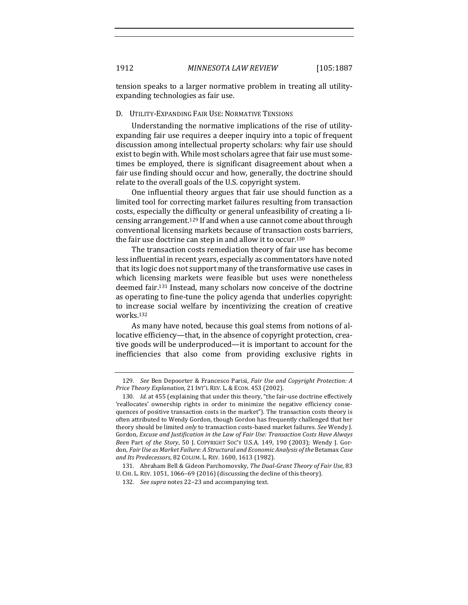tension speaks to a larger normative problem in treating all utilityexpanding technologies as fair use.

## D. UTILITY-EXPANDING FAIR USE: NORMATIVE TENSIONS

Understanding the normative implications of the rise of utilityexpanding fair use requires a deeper inquiry into a topic of frequent discussion among intellectual property scholars: why fair use should exist to begin with. While most scholars agree that fair use must sometimes be employed, there is significant disagreement about when a fair use finding should occur and how, generally, the doctrine should relate to the overall goals of the U.S. copyright system.

One influential theory argues that fair use should function as a limited tool for correcting market failures resulting from transaction costs, especially the difficulty or general unfeasibility of creating a licensing arrangement.<sup>129</sup> If and when a use cannot come about through conventional licensing markets because of transaction costs barriers, the fair use doctrine can step in and allow it to occur.<sup>130</sup>

The transaction costs remediation theory of fair use has become less influential in recent years, especially as commentators have noted that its logic does not support many of the transformative use cases in which licensing markets were feasible but uses were nonetheless deemed fair.<sup>131</sup> Instead, many scholars now conceive of the doctrine as operating to fine-tune the policy agenda that underlies copyright: to increase social welfare by incentivizing the creation of creative works. 132

As many have noted, because this goal stems from notions of allocative efficiency-that, in the absence of copyright protection, creative goods will be underproduced—it is important to account for the inefficiencies that also come from providing exclusive rights in

<sup>129.</sup> *See* Ben Depoorter & Francesco Parisi, *Fair Use and Copyright Protection: A Price Theory Explanation,* 21 INT'L REV. L. & ECON. 453 (2002).

<sup>130.</sup> *Id.* at 455 (explaining that under this theory, "the fair-use doctrine effectively 'reallocates' ownership rights in order to minimize the negative efficiency consequences of positive transaction costs in the market"). The transaction costs theory is often attributed to Wendy Gordon, though Gordon has frequently challenged that her theory should be limited *only* to transaction costs-based market failures. See Wendy J. Gordon, *Excuse and Justification in the Law of Fair Use: Transaction Costs Have Always Been Part of the Story*, 50 J. COPYRIGHT SOC'Y U.S.A. 149, 190 (2003); Wendy J. Gordon, *Fair Use as Market Failure: A Structural and Economic Analysis of the Betamax Case* and Its Predecessors, 82 COLUM. L. REV. 1600, 1613 (1982).

<sup>131.</sup> Abraham Bell & Gideon Parchomovsky, *The Dual-Grant Theory of Fair Use*, 83 U. CHI. L. REV. 1051, 1066-69 (2016) (discussing the decline of this theory).

<sup>132.</sup> *See supra* notes 22–23 and accompanying text.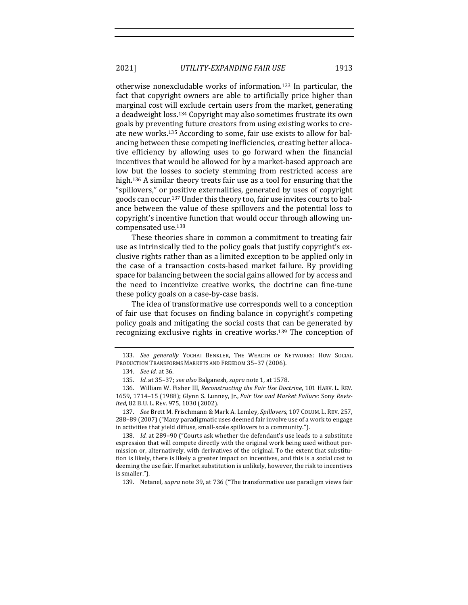2021] *UTILITY-EXPANDING FAIR USE* 1913

otherwise nonexcludable works of information.<sup>133</sup> In particular, the fact that copyright owners are able to artificially price higher than marginal cost will exclude certain users from the market, generating a deadweight loss.<sup>134</sup> Copyright may also sometimes frustrate its own goals by preventing future creators from using existing works to create new works.<sup>135</sup> According to some, fair use exists to allow for balancing between these competing inefficiencies, creating better allocative efficiency by allowing uses to go forward when the financial incentives that would be allowed for by a market-based approach are low but the losses to society stemming from restricted access are high.<sup>136</sup> A similar theory treats fair use as a tool for ensuring that the "spillovers," or positive externalities, generated by uses of copyright goods can occur.<sup>137</sup> Under this theory too, fair use invites courts to balance between the value of these spillovers and the potential loss to copyright's incentive function that would occur through allowing uncompensated use.<sup>138</sup>

These theories share in common a commitment to treating fair use as intrinsically tied to the policy goals that justify copyright's exclusive rights rather than as a limited exception to be applied only in the case of a transaction costs-based market failure. By providing space for balancing between the social gains allowed for by access and the need to incentivize creative works, the doctrine can fine-tune these policy goals on a case-by-case basis.

The idea of transformative use corresponds well to a conception of fair use that focuses on finding balance in copyright's competing policy goals and mitigating the social costs that can be generated by recognizing exclusive rights in creative works.<sup>139</sup> The conception of

<sup>133.</sup> See generally YOCHAI BENKLER, THE WEALTH OF NETWORKS: HOW SOCIAL PRODUCTION TRANSFORMS MARKETS AND FREEDOM 35-37 (2006).

<sup>134.</sup> *See id.* at 36.

<sup>135.</sup> *Id.* at 35–37; *see also* Balganesh, *supra* note 1, at 1578.

<sup>136.</sup> William W. Fisher III, *Reconstructing the Fair Use Doctrine*, 101 HARV. L. REV. 1659, 1714-15 (1988); Glynn S. Lunney, Jr., *Fair Use and Market Failure: Sony Revisited*, 82 B.U. L. REV. 975, 1030 (2002).

<sup>137.</sup> *See* Brett M. Frischmann & Mark A. Lemley, *Spillovers*, 107 COLUM. L. REV. 257, 288–89 (2007) ("Many paradigmatic uses deemed fair involve use of a work to engage in activities that yield diffuse, small-scale spillovers to a community.").

<sup>138.</sup> *Id.* at 289-90 ("Courts ask whether the defendant's use leads to a substitute expression that will compete directly with the original work being used without permission or, alternatively, with derivatives of the original. To the extent that substitution is likely, there is likely a greater impact on incentives, and this is a social cost to deeming the use fair. If market substitution is unlikely, however, the risk to incentives is smaller.").

<sup>139.</sup> Netanel, *supra* note 39, at 736 ("The transformative use paradigm views fair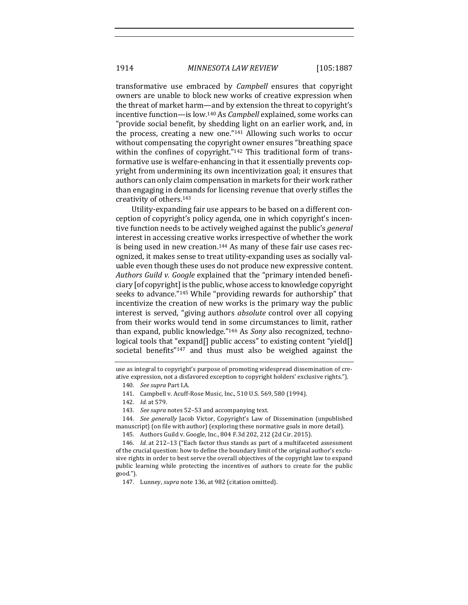transformative use embraced by *Campbell* ensures that copyright owners are unable to block new works of creative expression when the threat of market harm—and by extension the threat to copyright's incentive function—is low.<sup>140</sup> As *Campbell* explained, some works can "provide social benefit, by shedding light on an earlier work, and, in the process, creating a new one." $141$  Allowing such works to occur without compensating the copyright owner ensures "breathing space within the confines of copyright." $142$  This traditional form of transformative use is welfare-enhancing in that it essentially prevents copyright from undermining its own incentivization goal; it ensures that authors can only claim compensation in markets for their work rather than engaging in demands for licensing revenue that overly stifles the creativity of others.<sup>143</sup>

Utility-expanding fair use appears to be based on a different conception of copyright's policy agenda, one in which copyright's incentive function needs to be actively weighed against the public's *general* interest in accessing creative works irrespective of whether the work is being used in new creation.<sup>144</sup> As many of these fair use cases recognized, it makes sense to treat utility-expanding uses as socially valuable even though these uses do not produce new expressive content. Authors Guild v. Google explained that the "primary intended beneficiary [of copyright] is the public, whose access to knowledge copyright seeks to advance."<sup>145</sup> While "providing rewards for authorship" that incentivize the creation of new works is the primary way the public interest is served, "giving authors *absolute* control over all copying from their works would tend in some circumstances to limit, rather than expand, public knowledge."<sup>146</sup> As *Sony* also recognized, techno $logical$  tools that "expand $[]$  public access" to existing content "yield $[]$ societal benefits"147 and thus must also be weighed against the

use as integral to copyright's purpose of promoting widespread dissemination of creative expression, not a disfavored exception to copyright holders' exclusive rights.").

144. *See generally* Jacob Victor, Copyright's Law of Dissemination (unpublished manuscript) (on file with author) (exploring these normative goals in more detail).

<sup>140.</sup> *See supra* Part I.A.

<sup>141.</sup> Campbell v. Acuff-Rose Music, Inc., 510 U.S. 569, 580 (1994).

<sup>142.</sup> *Id.* at 579.

<sup>143.</sup> *See supra* notes 52-53 and accompanying text.

<sup>145.</sup> Authors Guild v. Google, Inc., 804 F.3d 202, 212 (2d Cir. 2015).

<sup>146.</sup> *Id.* at 212–13 ("Each factor thus stands as part of a multifaceted assessment of the crucial question: how to define the boundary limit of the original author's exclusive rights in order to best serve the overall objectives of the copyright law to expand public learning while protecting the incentives of authors to create for the public good.").

<sup>147.</sup> Lunney, *supra* note 136, at 982 (citation omitted).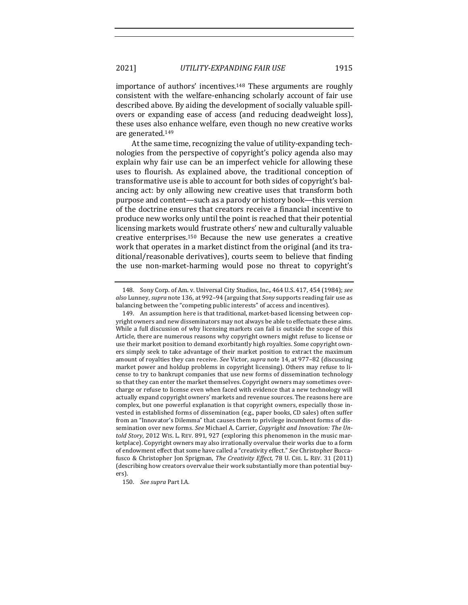importance of authors' incentives.148 These arguments are roughly consistent with the welfare-enhancing scholarly account of fair use described above. By aiding the development of socially valuable spillovers or expanding ease of access (and reducing deadweight loss), these uses also enhance welfare, even though no new creative works are generated.149

At the same time, recognizing the value of utility-expanding technologies from the perspective of copyright's policy agenda also may explain why fair use can be an imperfect vehicle for allowing these uses to flourish. As explained above, the traditional conception of transformative use is able to account for both sides of copyright's balancing act: by only allowing new creative uses that transform both purpose and content—such as a parody or history book—this version of the doctrine ensures that creators receive a financial incentive to produce new works only until the point is reached that their potential licensing markets would frustrate others' new and culturally valuable creative enterprises.<sup>150</sup> Because the new use generates a creative work that operates in a market distinct from the original (and its traditional/reasonable derivatives), courts seem to believe that finding the use non-market-harming would pose no threat to copyright's

150. *See supra Part I.A.* 

<sup>148.</sup> Sony Corp. of Am. v. Universal City Studios, Inc., 464 U.S. 417, 454 (1984); see also Lunney, *supra* note 136, at 992-94 (arguing that *Sony* supports reading fair use as balancing between the "competing public interests" of access and incentives).

<sup>149.</sup> An assumption here is that traditional, market-based licensing between copyright owners and new disseminators may not always be able to effectuate these aims. While a full discussion of why licensing markets can fail is outside the scope of this Article, there are numerous reasons why copyright owners might refuse to license or use their market position to demand exorbitantly high royalties. Some copyright owners simply seek to take advantage of their market position to extract the maximum amount of royalties they can receive. See Victor, *supra* note 14, at 977-82 (discussing market power and holdup problems in copyright licensing). Others may refuse to license to try to bankrupt companies that use new forms of dissemination technology so that they can enter the market themselves. Copyright owners may sometimes overcharge or refuse to license even when faced with evidence that a new technology will actually expand copyright owners' markets and revenue sources. The reasons here are complex, but one powerful explanation is that copyright owners, especially those invested in established forms of dissemination (e.g., paper books, CD sales) often suffer from an "Innovator's Dilemma" that causes them to privilege incumbent forms of dissemination over new forms. See Michael A. Carrier, *Copyright and Innovation: The Untold Story*, 2012 WIS. L. REV. 891, 927 (exploring this phenomenon in the music marketplace). Copyright owners may also irrationally overvalue their works due to a form of endowment effect that some have called a "creativity effect." See Christopher Buccafusco & Christopher Jon Sprigman, The Creativity Effect, 78 U. CHI. L. REV. 31 (2011) (describing how creators overvalue their work substantially more than potential buyers).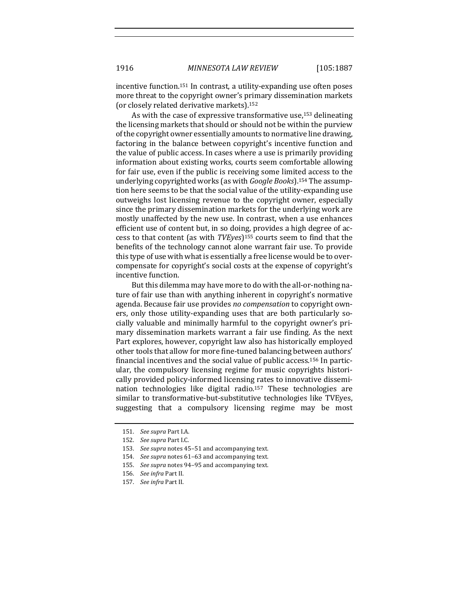incentive function.<sup>151</sup> In contrast, a utility-expanding use often poses more threat to the copyright owner's primary dissemination markets (or closely related derivative markets).<sup>152</sup>

As with the case of expressive transformative use, $153$  delineating the licensing markets that should or should not be within the purview of the copyright owner essentially amounts to normative line drawing, factoring in the balance between copyright's incentive function and the value of public access. In cases where a use is primarily providing information about existing works, courts seem comfortable allowing for fair use, even if the public is receiving some limited access to the underlying copyrighted works (as with *Google Books*).<sup>154</sup> The assumption here seems to be that the social value of the utility-expanding use outweighs lost licensing revenue to the copyright owner, especially since the primary dissemination markets for the underlying work are mostly unaffected by the new use. In contrast, when a use enhances efficient use of content but, in so doing, provides a high degree of access to that content (as with *TVEyes*)<sup>155</sup> courts seem to find that the benefits of the technology cannot alone warrant fair use. To provide this type of use with what is essentially a free license would be to overcompensate for copyright's social costs at the expense of copyright's incentive function.

But this dilemma may have more to do with the all-or-nothing nature of fair use than with anything inherent in copyright's normative agenda. Because fair use provides *no compensation* to copyright owners, only those utility-expanding uses that are both particularly socially valuable and minimally harmful to the copyright owner's primary dissemination markets warrant a fair use finding. As the next Part explores, however, copyright law also has historically employed other tools that allow for more fine-tuned balancing between authors' financial incentives and the social value of public access.<sup>156</sup> In particular, the compulsory licensing regime for music copyrights historically provided policy-informed licensing rates to innovative dissemination technologies like digital radio.<sup>157</sup> These technologies are similar to transformative-but-substitutive technologies like TVEyes, suggesting that a compulsory licensing regime may be most

<sup>151.</sup> *See supra* Part I.A.

<sup>152.</sup> *See supra Part I.C.* 

<sup>153.</sup> See supra notes 45-51 and accompanying text.

<sup>154.</sup> *See supra* notes 61-63 and accompanying text.

<sup>155.</sup> See supra notes 94-95 and accompanying text.

<sup>156.</sup> *See infra* Part II.

<sup>157.</sup> *See infra* Part II.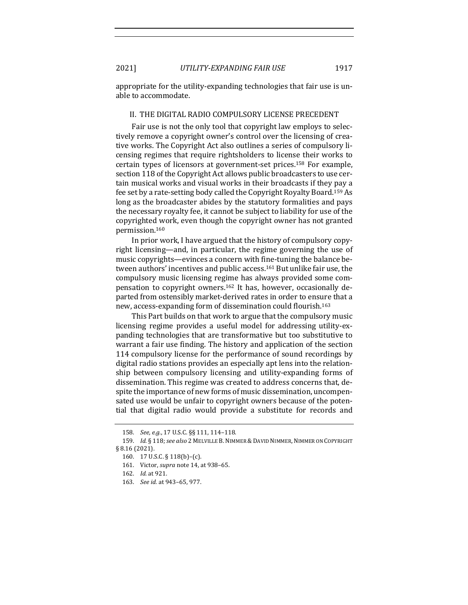2021] *UTILITY-EXPANDING FAIR USE* 1917

appropriate for the utility-expanding technologies that fair use is unable to accommodate.

### II. THE DIGITAL RADIO COMPULSORY LICENSE PRECEDENT

Fair use is not the only tool that copyright law employs to selectively remove a copyright owner's control over the licensing of creative works. The Copyright Act also outlines a series of compulsory licensing regimes that require rightsholders to license their works to certain types of licensors at government-set prices.<sup>158</sup> For example, section 118 of the Copyright Act allows public broadcasters to use certain musical works and visual works in their broadcasts if they pay a fee set by a rate-setting body called the Copyright Royalty Board.<sup>159</sup> As long as the broadcaster abides by the statutory formalities and pays the necessary royalty fee, it cannot be subject to liability for use of the copyrighted work, even though the copyright owner has not granted permission.160

In prior work, I have argued that the history of compulsory copyright licensing—and, in particular, the regime governing the use of music copyrights—evinces a concern with fine-tuning the balance between authors' incentives and public access.<sup>161</sup> But unlike fair use, the compulsory music licensing regime has always provided some compensation to copyright owners.<sup>162</sup> It has, however, occasionally departed from ostensibly market-derived rates in order to ensure that a new, access-expanding form of dissemination could flourish.<sup>163</sup>

This Part builds on that work to argue that the compulsory music licensing regime provides a useful model for addressing utility-expanding technologies that are transformative but too substitutive to warrant a fair use finding. The history and application of the section 114 compulsory license for the performance of sound recordings by digital radio stations provides an especially apt lens into the relationship between compulsory licensing and utility-expanding forms of dissemination. This regime was created to address concerns that, despite the importance of new forms of music dissemination, uncompensated use would be unfair to copyright owners because of the potential that digital radio would provide a substitute for records and

<sup>158.</sup> *See, e.g.*, 17 U.S.C. §§ 111, 114-118.

<sup>159.</sup> *Id.* § 118; see also 2 MELVILLE B. NIMMER & DAVID NIMMER, NIMMER ON COPYRIGHT § 8.16 (2021).

<sup>160. 17</sup> U.S.C. § 118(b)-(c).

<sup>161.</sup> Victor, *supra* note 14, at 938-65.

<sup>162.</sup> *Id.* at 921.

<sup>163.</sup> *See id.* at 943-65, 977.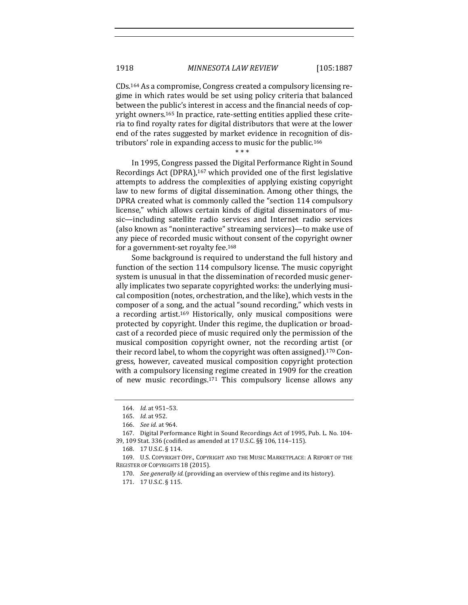$CDs<sup>164</sup>$  As a compromise, Congress created a compulsory licensing regime in which rates would be set using policy criteria that balanced between the public's interest in access and the financial needs of copyright owners.<sup>165</sup> In practice, rate-setting entities applied these criteria to find royalty rates for digital distributors that were at the lower end of the rates suggested by market evidence in recognition of distributors' role in expanding access to music for the public.<sup>166</sup>

\* \* \*

In 1995, Congress passed the Digital Performance Right in Sound Recordings Act (DPRA),<sup>167</sup> which provided one of the first legislative attempts to address the complexities of applying existing copyright law to new forms of digital dissemination. Among other things, the DPRA created what is commonly called the "section 114 compulsory license," which allows certain kinds of digital disseminators of music—including satellite radio services and Internet radio services (also known as "noninteractive" streaming services)—to make use of any piece of recorded music without consent of the copyright owner for a government-set royalty fee. $168$ 

Some background is required to understand the full history and function of the section 114 compulsory license. The music copyright system is unusual in that the dissemination of recorded music generally implicates two separate copyrighted works: the underlying musical composition (notes, orchestration, and the like), which vests in the composer of a song, and the actual "sound recording," which vests in a recording artist.<sup>169</sup> Historically, only musical compositions were protected by copyright. Under this regime, the duplication or broadcast of a recorded piece of music required only the permission of the musical composition copyright owner, not the recording artist (or their record label, to whom the copyright was often assigned).<sup>170</sup> Congress, however, caveated musical composition copyright protection with a compulsory licensing regime created in 1909 for the creation of new music recordings. $171$  This compulsory license allows any

<sup>164.</sup> *Id.* at 951-53.

<sup>165.</sup> *Id.* at 952.

<sup>166.</sup> *See id.* at 964.

<sup>167.</sup> Digital Performance Right in Sound Recordings Act of 1995, Pub. L. No. 104-39, 109 Stat. 336 (codified as amended at 17 U.S.C. §§ 106, 114-115).

<sup>168. 17</sup> U.S.C. § 114.

<sup>169.</sup> U.S. COPYRIGHT OFF., COPYRIGHT AND THE MUSIC MARKETPLACE: A REPORT OF THE REGISTER OF COPYRIGHTS 18 (2015).

<sup>170.</sup> *See generally id.* (providing an overview of this regime and its history).

<sup>171. 17</sup> U.S.C. § 115.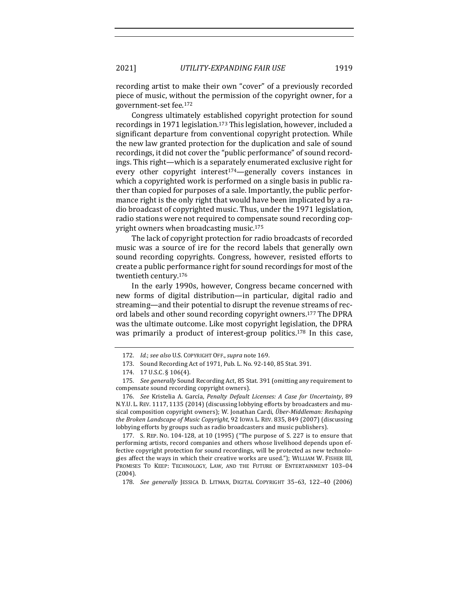recording artist to make their own "cover" of a previously recorded piece of music, without the permission of the copyright owner, for a government-set fee.<sup>172</sup>

Congress ultimately established copyright protection for sound recordings in 1971 legislation.<sup>173</sup> This legislation, however, included a significant departure from conventional copyright protection. While the new law granted protection for the duplication and sale of sound recordings, it did not cover the "public performance" of sound recordings. This right-which is a separately enumerated exclusive right for every other copyright interest<sup>174</sup>—generally covers instances in which a copyrighted work is performed on a single basis in public rather than copied for purposes of a sale. Importantly, the public performance right is the only right that would have been implicated by a radio broadcast of copyrighted music. Thus, under the 1971 legislation, radio stations were not required to compensate sound recording copyright owners when broadcasting music.<sup>175</sup>

The lack of copyright protection for radio broadcasts of recorded music was a source of ire for the record labels that generally own sound recording copyrights. Congress, however, resisted efforts to create a public performance right for sound recordings for most of the twentieth century.<sup>176</sup>

In the early 1990s, however, Congress became concerned with new forms of digital distribution—in particular, digital radio and streaming—and their potential to disrupt the revenue streams of record labels and other sound recording copyright owners.<sup>177</sup> The DPRA was the ultimate outcome. Like most copyright legislation, the DPRA was primarily a product of interest-group politics.<sup>178</sup> In this case,

177. S. REP. No.  $104-128$ , at  $10$  (1995) ("The purpose of S. 227 is to ensure that performing artists, record companies and others whose livelihood depends upon effective copyright protection for sound recordings, will be protected as new technologies affect the ways in which their creative works are used."); WILLIAM W. FISHER III, PROMISES TO KEEP: TECHNOLOGY, LAW, AND THE FUTURE OF ENTERTAINMENT 103-04 (2004).

178. *See generally* JESSICA D. LITMAN, DIGITAL COPYRIGHT 35–63, 122–40 (2006) 

<sup>172.</sup> *Id.*; see also U.S. COPYRIGHT OFF., supra note 169.

<sup>173.</sup> Sound Recording Act of 1971, Pub. L. No. 92-140, 85 Stat. 391.

<sup>174. 17</sup> U.S.C. § 106(4).

<sup>175.</sup> *See generally* Sound Recording Act, 85 Stat. 391 (omitting any requirement to compensate sound recording copyright owners).

<sup>176.</sup> *See* Kristelia A. García, *Penalty Default Licenses: A Case for Uncertainty*, 89 N.Y.U. L. REV. 1117, 1135 (2014) (discussing lobbying efforts by broadcasters and musical composition copyright owners); W. Jonathan Cardi, *Über-Middleman: Reshaping the Broken Landscape of Music Copyright*, 92 IOWA L. REV. 835, 849 (2007) (discussing lobbying efforts by groups such as radio broadcasters and music publishers).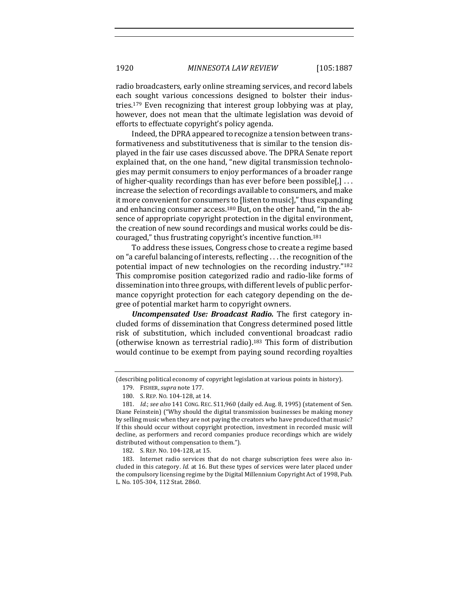radio broadcasters, early online streaming services, and record labels each sought various concessions designed to bolster their industries.<sup>179</sup> Even recognizing that interest group lobbying was at play, however, does not mean that the ultimate legislation was devoid of efforts to effectuate copyright's policy agenda.

Indeed, the DPRA appeared to recognize a tension between transformativeness and substitutiveness that is similar to the tension displayed in the fair use cases discussed above. The DPRA Senate report explained that, on the one hand, "new digital transmission technologies may permit consumers to enjoy performances of a broader range of higher-quality recordings than has ever before been possible[,]  $\dots$ increase the selection of recordings available to consumers, and make it more convenient for consumers to [listen to music]," thus expanding and enhancing consumer access.<sup>180</sup> But, on the other hand, "in the absence of appropriate copyright protection in the digital environment, the creation of new sound recordings and musical works could be discouraged," thus frustrating copyright's incentive function.<sup>181</sup>

To address these issues, Congress chose to create a regime based on "a careful balancing of interests, reflecting  $\dots$  the recognition of the potential impact of new technologies on the recording industry." $182$ This compromise position categorized radio and radio-like forms of dissemination into three groups, with different levels of public performance copyright protection for each category depending on the degree of potential market harm to copyright owners.

*Uncompensated Use: Broadcast Radio.* The first category included forms of dissemination that Congress determined posed little risk of substitution, which included conventional broadcast radio (otherwise known as terrestrial radio).<sup>183</sup> This form of distribution would continue to be exempt from paying sound recording royalties

<sup>(</sup>describing political economy of copyright legislation at various points in history). 179. FISHER, *supra* note 177.

<sup>180.</sup> S. REP. No. 104-128, at 14.

<sup>181.</sup> *Id.*; see also 141 CONG. REC. S11,960 (daily ed. Aug. 8, 1995) (statement of Sen. Diane Feinstein) ("Why should the digital transmission businesses be making money by selling music when they are not paying the creators who have produced that music? If this should occur without copyright protection, investment in recorded music will decline, as performers and record companies produce recordings which are widely distributed without compensation to them.").

<sup>182.</sup> S. REP. No. 104-128, at 15.

<sup>183.</sup> Internet radio services that do not charge subscription fees were also included in this category. *Id.* at 16. But these types of services were later placed under the compulsory licensing regime by the Digital Millennium Copyright Act of 1998, Pub. L. No. 105-304, 112 Stat. 2860.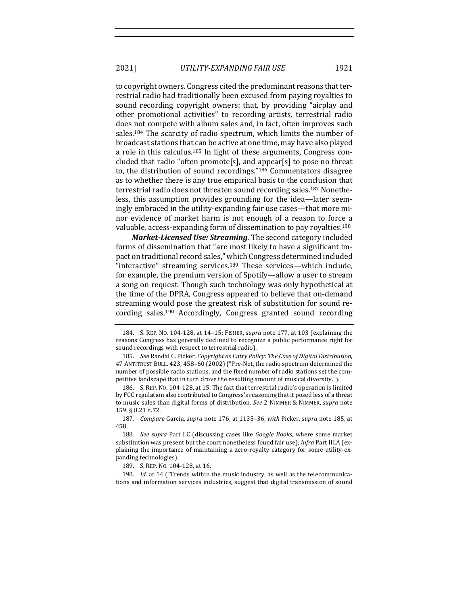2021] *UTILITY-EXPANDING FAIR USE* 1921

to copyright owners. Congress cited the predominant reasons that terrestrial radio had traditionally been excused from paying royalties to sound recording copyright owners: that, by providing "airplay and other promotional activities" to recording artists, terrestrial radio does not compete with album sales and, in fact, often improves such sales.<sup>184</sup> The scarcity of radio spectrum, which limits the number of broadcast stations that can be active at one time, may have also played a role in this calculus.<sup>185</sup> In light of these arguments, Congress concluded that radio "often promote[s], and appear[s] to pose no threat to, the distribution of sound recordings."<sup>186</sup> Commentators disagree as to whether there is any true empirical basis to the conclusion that terrestrial radio does not threaten sound recording sales.<sup>187</sup> Nonetheless, this assumption provides grounding for the idea—later seemingly embraced in the utility-expanding fair use cases—that more minor evidence of market harm is not enough of a reason to force a valuable, access-expanding form of dissemination to pay royalties.<sup>188</sup>

*Market-Licensed Use: Streaming.* The second category included forms of dissemination that "are most likely to have a significant impact on traditional record sales," which Congress determined included "interactive" streaming services.<sup>189</sup> These services—which include, for example, the premium version of Spotify—allow a user to stream a song on request. Though such technology was only hypothetical at the time of the DPRA, Congress appeared to believe that on-demand streaming would pose the greatest risk of substitution for sound recording sales.<sup>190</sup> Accordingly, Congress granted sound recording

<sup>184.</sup> S. REP. No. 104-128, at 14-15; FISHER, *supra* note 177, at 103 (explaining the reasons Congress has generally declined to recognize a public performance right for sound recordings with respect to terrestrial radio).

<sup>185.</sup> *See* Randal C. Picker, *Copyright as Entry Policy: The Case of Digital Distribution*, 47 ANTITRUST BULL. 423, 458-60 (2002) ("Pre-Net, the radio spectrum determined the number of possible radio stations, and the fixed number of radio stations set the competitive landscape that in turn drove the resulting amount of musical diversity.").

<sup>186.</sup> S. REP. No. 104-128, at 15. The fact that terrestrial radio's operation is limited by FCC regulation also contributed to Congress's reasoning that it posed less of a threat to music sales than digital forms of distribution. See 2 NIMMER & NIMMER, *supra* note 159, § 8.21 n.72.

<sup>187.</sup> Compare García, *supra* note 176, at 1135-36, with Picker, *supra* note 185, at 458.

<sup>188.</sup> *See supra* Part I.C (discussing cases like *Google Books*, where some market substitution was present but the court nonetheless found fair use); *infra* Part III.A (explaining the importance of maintaining a zero-royalty category for some utility-expanding technologies).

<sup>189.</sup> S. REP. No. 104-128, at 16.

<sup>190.</sup> *Id.* at 14 ("Trends within the music industry, as well as the telecommunications and information services industries, suggest that digital transmission of sound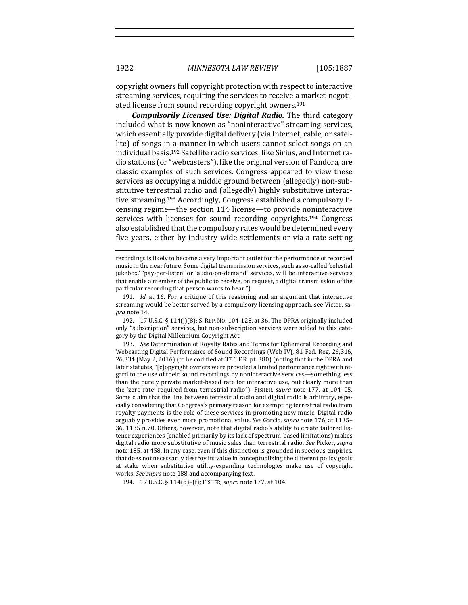copyright owners full copyright protection with respect to interactive streaming services, requiring the services to receive a market-negotiated license from sound recording copyright owners.<sup>191</sup>

*Compulsorily Licensed Use: Digital Radio. The third category* included what is now known as "noninteractive" streaming services, which essentially provide digital delivery (via Internet, cable, or satellite) of songs in a manner in which users cannot select songs on an individual basis.<sup>192</sup> Satellite radio services, like Sirius, and Internet radio stations (or "webcasters"), like the original version of Pandora, are classic examples of such services. Congress appeared to view these services as occupying a middle ground between (allegedly) non-substitutive terrestrial radio and (allegedly) highly substitutive interactive streaming.<sup>193</sup> Accordingly, Congress established a compulsory licensing regime—the section 114 license—to provide noninteractive services with licenses for sound recording copyrights.<sup>194</sup> Congress also established that the compulsory rates would be determined every five years, either by industry-wide settlements or via a rate-setting

191. *Id.* at 16. For a critique of this reasoning and an argument that interactive streaming would be better served by a compulsory licensing approach, see Victor, *su*pra note 14.

192. 17 U.S.C. § 114(j)(8); S. REP. NO. 104-128, at 36. The DPRA originally included only "subscription" services, but non-subscription services were added to this category by the Digital Millennium Copyright Act.

193. *See* Determination of Royalty Rates and Terms for Ephemeral Recording and Webcasting Digital Performance of Sound Recordings (Web IV), 81 Fed. Reg. 26,316,  $26,334$  (May 2, 2016) (to be codified at 37 C.F.R. pt. 380) (noting that in the DPRA and later statutes, "[c]opyright owners were provided a limited performance right with regard to the use of their sound recordings by noninteractive services—something less than the purely private market-based rate for interactive use, but clearly more than the 'zero rate' required from terrestrial radio"); FISHER, *supra* note 177, at 104-05. Some claim that the line between terrestrial radio and digital radio is arbitrary, especially considering that Congress's primary reason for exempting terrestrial radio from royalty payments is the role of these services in promoting new music. Digital radio arguably provides even more promotional value. See García, supra note 176, at 1135-36, 1135 n.70. Others, however, note that digital radio's ability to create tailored listener experiences (enabled primarily by its lack of spectrum-based limitations) makes digital radio more substitutive of music sales than terrestrial radio. See Picker, *supra* note 185, at 458. In any case, even if this distinction is grounded in specious empirics, that does not necessarily destroy its value in conceptualizing the different policy goals at stake when substitutive utility-expanding technologies make use of copyright works. See supra note 188 and accompanying text.

194. 17 U.S.C. § 114(d)-(f); FISHER, *supra* note 177, at 104.

recordings is likely to become a very important outlet for the performance of recorded music in the near future. Some digital transmission services, such as so-called 'celestial jukebox,' 'pay-per-listen' or 'audio-on-demand' services, will be interactive services that enable a member of the public to receive, on request, a digital transmission of the particular recording that person wants to hear.").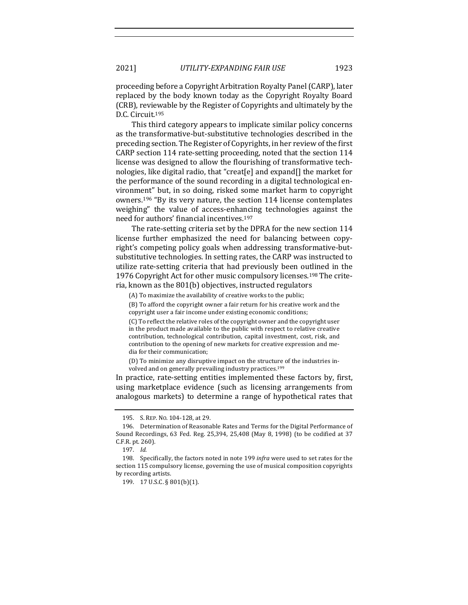proceeding before a Copyright Arbitration Royalty Panel (CARP), later replaced by the body known today as the Copyright Royalty Board (CRB), reviewable by the Register of Copyrights and ultimately by the D.C. Circuit.<sup>195</sup>

This third category appears to implicate similar policy concerns as the transformative-but-substitutive technologies described in the preceding section. The Register of Copyrights, in her review of the first CARP section 114 rate-setting proceeding, noted that the section 114 license was designed to allow the flourishing of transformative technologies, like digital radio, that "creat[e] and expand[] the market for the performance of the sound recording in a digital technological environment" but, in so doing, risked some market harm to copyright owners.<sup>196</sup> "By its very nature, the section 114 license contemplates weighing" the value of access-enhancing technologies against the need for authors' financial incentives.<sup>197</sup>

The rate-setting criteria set by the DPRA for the new section 114 license further emphasized the need for balancing between copyright's competing policy goals when addressing transformative-butsubstitutive technologies. In setting rates, the CARP was instructed to utilize rate-setting criteria that had previously been outlined in the 1976 Copyright Act for other music compulsory licenses.<sup>198</sup> The criteria, known as the 801(b) objectives, instructed regulators

(A) To maximize the availability of creative works to the public;

(B) To afford the copyright owner a fair return for his creative work and the copyright user a fair income under existing economic conditions;

(C) To reflect the relative roles of the copyright owner and the copyright user in the product made available to the public with respect to relative creative contribution, technological contribution, capital investment, cost, risk, and contribution to the opening of new markets for creative expression and media for their communication;

(D) To minimize any disruptive impact on the structure of the industries involved and on generally prevailing industry practices.<sup>199</sup>

In practice, rate-setting entities implemented these factors by, first, using marketplace evidence (such as licensing arrangements from analogous markets) to determine a range of hypothetical rates that

<sup>195.</sup> S. REP. NO. 104-128, at 29.

<sup>196.</sup> Determination of Reasonable Rates and Terms for the Digital Performance of Sound Recordings, 63 Fed. Reg. 25,394, 25,408 (May 8, 1998) (to be codified at 37 C.F.R. pt. 260).

<sup>197.</sup> *Id.*

<sup>198.</sup> Specifically, the factors noted in note 199 *infra* were used to set rates for the section 115 compulsory license, governing the use of musical composition copyrights by recording artists.

<sup>199. 17</sup> U.S.C. § 801(b)(1).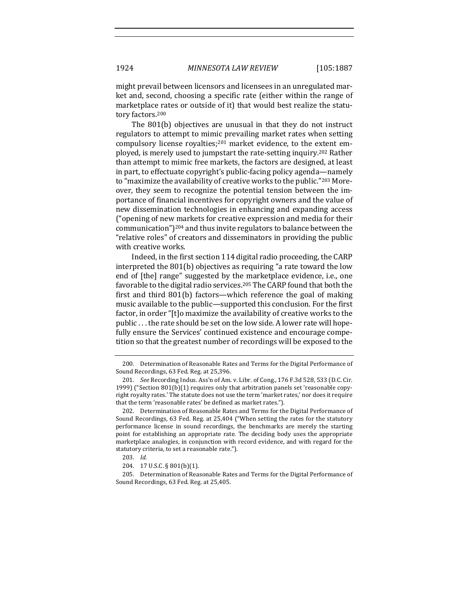might prevail between licensors and licensees in an unregulated market and, second, choosing a specific rate (either within the range of marketplace rates or outside of it) that would best realize the statutory factors.<sup>200</sup>

The  $801(b)$  objectives are unusual in that they do not instruct regulators to attempt to mimic prevailing market rates when setting compulsory license royalties; $201$  market evidence, to the extent employed, is merely used to jumpstart the rate-setting inquiry.<sup>202</sup> Rather than attempt to mimic free markets, the factors are designed, at least in part, to effectuate copyright's public-facing policy agenda—namely to "maximize the availability of creative works to the public."<sup>203</sup> Moreover, they seem to recognize the potential tension between the importance of financial incentives for copyright owners and the value of new dissemination technologies in enhancing and expanding access ("opening of new markets for creative expression and media for their communication")<sup>204</sup> and thus invite regulators to balance between the "relative roles" of creators and disseminators in providing the public with creative works.

Indeed, in the first section  $114$  digital radio proceeding, the CARP interpreted the  $801(b)$  objectives as requiring "a rate toward the low end of [the] range" suggested by the marketplace evidence, i.e., one favorable to the digital radio services.<sup>205</sup> The CARP found that both the first and third  $801(b)$  factors—which reference the goal of making music available to the public—supported this conclusion. For the first factor, in order "[t]o maximize the availability of creative works to the public . . . the rate should be set on the low side. A lower rate will hopefully ensure the Services' continued existence and encourage competition so that the greatest number of recordings will be exposed to the

<sup>200.</sup> Determination of Reasonable Rates and Terms for the Digital Performance of Sound Recordings, 63 Fed. Reg. at 25,396.

<sup>201.</sup> *See* Recording Indus. Ass'n of Am. v. Libr. of Cong., 176 F.3d 528, 533 (D.C. Cir. 1999) ("Section 801(b)(1) requires only that arbitration panels set 'reasonable copyright royalty rates.' The statute does not use the term 'market rates,' nor does it require that the term 'reasonable rates' be defined as market rates.").

<sup>202.</sup> Determination of Reasonable Rates and Terms for the Digital Performance of Sound Recordings, 63 Fed. Reg. at 25,404 ("When setting the rates for the statutory performance license in sound recordings, the benchmarks are merely the starting point for establishing an appropriate rate. The deciding body uses the appropriate marketplace analogies, in conjunction with record evidence, and with regard for the statutory criteria, to set a reasonable rate.").

<sup>203.</sup> *Id.*

<sup>204. 17</sup> U.S.C. § 801(b)(1).

<sup>205.</sup> Determination of Reasonable Rates and Terms for the Digital Performance of Sound Recordings, 63 Fed. Reg. at 25,405.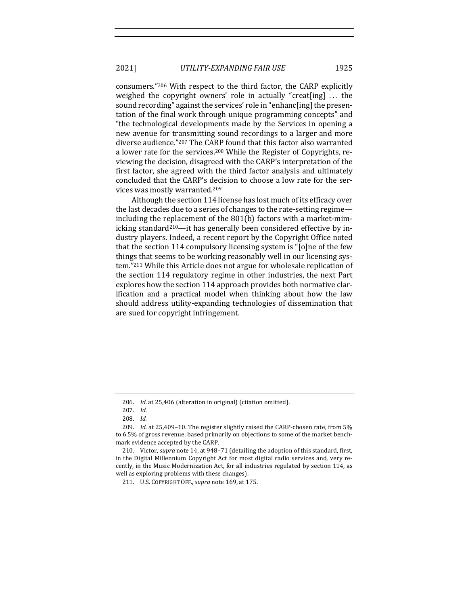2021] *UTILITY-EXPANDING FAIR USE* 1925

consumers."<sup>206</sup> With respect to the third factor, the CARP explicitly weighed the copyright owners' role in actually "creat[ing]  $\dots$  the sound recording" against the services' role in "enhanc[ing] the presentation of the final work through unique programming concepts" and "the technological developments made by the Services in opening a new avenue for transmitting sound recordings to a larger and more diverse audience."<sup>207</sup> The CARP found that this factor also warranted a lower rate for the services.<sup>208</sup> While the Register of Copyrights, reviewing the decision, disagreed with the CARP's interpretation of the first factor, she agreed with the third factor analysis and ultimately concluded that the CARP's decision to choose a low rate for the services was mostly warranted.<sup>209</sup>

Although the section 114 license has lost much of its efficacy over the last decades due to a series of changes to the rate-setting regime including the replacement of the  $801(b)$  factors with a market-mimicking standard<sup>210</sup>—it has generally been considered effective by industry players. Indeed, a recent report by the Copyright Office noted that the section 114 compulsory licensing system is " $[o]$ ne of the few things that seems to be working reasonably well in our licensing system."<sup>211</sup> While this Article does not argue for wholesale replication of the section 114 regulatory regime in other industries, the next Part explores how the section 114 approach provides both normative clarification and a practical model when thinking about how the law should address utility-expanding technologies of dissemination that are sued for copyright infringement.

<sup>206.</sup> *Id.* at 25,406 (alteration in original) (citation omitted).

<sup>207.</sup> *Id.*

<sup>208.</sup> *Id.*

<sup>209.</sup> *Id.* at 25,409-10. The register slightly raised the CARP-chosen rate, from 5% to 6.5% of gross revenue, based primarily on objections to some of the market benchmark evidence accepted by the CARP.

<sup>210.</sup> Victor, *supra* note 14, at 948-71 (detailing the adoption of this standard, first, in the Digital Millennium Copyright Act for most digital radio services and, very recently, in the Music Modernization Act, for all industries regulated by section 114, as well as exploring problems with these changes).

<sup>211.</sup> U.S. COPYRIGHT OFF.,*supra* note 169, at 175.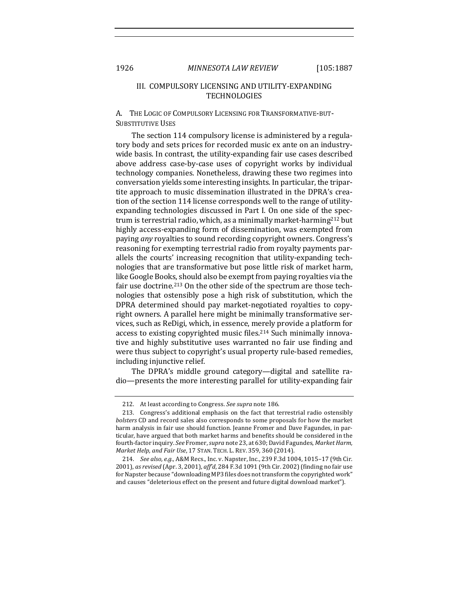## III. COMPULSORY LICENSING AND UTILITY-EXPANDING **TECHNOLOGIES**

A. THE LOGIC OF COMPULSORY LICENSING FOR TRANSFORMATIVE-BUT-SUBSTITUTIVE USES

The section 114 compulsory license is administered by a regulatory body and sets prices for recorded music ex ante on an industrywide basis. In contrast, the utility-expanding fair use cases described above address case-by-case uses of copyright works by individual technology companies. Nonetheless, drawing these two regimes into conversation yields some interesting insights. In particular, the tripartite approach to music dissemination illustrated in the DPRA's creation of the section 114 license corresponds well to the range of utilityexpanding technologies discussed in Part I. On one side of the spectrum is terrestrial radio, which, as a minimally market-harming<sup>212</sup> but highly access-expanding form of dissemination, was exempted from paying *any* royalties to sound recording copyright owners. Congress's reasoning for exempting terrestrial radio from royalty payments parallels the courts' increasing recognition that utility-expanding technologies that are transformative but pose little risk of market harm, like Google Books, should also be exempt from paying royalties via the fair use doctrine.<sup>213</sup> On the other side of the spectrum are those technologies that ostensibly pose a high risk of substitution, which the DPRA determined should pay market-negotiated royalties to copyright owners. A parallel here might be minimally transformative services, such as ReDigi, which, in essence, merely provide a platform for access to existing copyrighted music files.<sup>214</sup> Such minimally innovative and highly substitutive uses warranted no fair use finding and were thus subject to copyright's usual property rule-based remedies, including injunctive relief.

The DPRA's middle ground category-digital and satellite radio—presents the more interesting parallel for utility-expanding fair

<sup>212.</sup> At least according to Congress. See supra note 186.

<sup>213.</sup> Congress's additional emphasis on the fact that terrestrial radio ostensibly *bolsters* CD and record sales also corresponds to some proposals for how the market harm analysis in fair use should function. Jeanne Fromer and Dave Fagundes, in particular, have argued that both market harms and benefits should be considered in the fourth-factor inquiry. See Fromer, *supra* note 23, at 630; David Fagundes, Market Harm, *Market Help, and Fair Use, 17 STAN. TECH. L. REV. 359, 360 (2014).* 

<sup>214.</sup> *See also, e.g.*, A&M Recs., Inc. v. Napster, Inc., 239 F.3d 1004, 1015-17 (9th Cir. 2001), *as revised* (Apr. 3, 2001), *aff'd*, 284 F.3d 1091 (9th Cir. 2002) (finding no fair use for Napster because "downloading MP3 files does not transform the copyrighted work" and causes "deleterious effect on the present and future digital download market").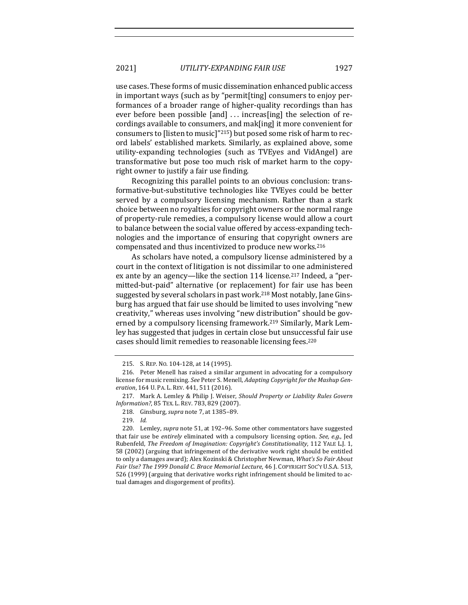use cases. These forms of music dissemination enhanced public access in important ways (such as by "permit[ting] consumers to enjoy performances of a broader range of higher-quality recordings than has ever before been possible  $[and] \ldots$  increas $[ing]$  the selection of recordings available to consumers, and mak[ing] it more convenient for consumers to [listen to music]"215) but posed some risk of harm to record labels' established markets. Similarly, as explained above, some utility-expanding technologies (such as TVEyes and VidAngel) are transformative but pose too much risk of market harm to the copyright owner to justify a fair use finding.

Recognizing this parallel points to an obvious conclusion: transformative-but-substitutive technologies like TVEyes could be better served by a compulsory licensing mechanism. Rather than a stark choice between no royalties for copyright owners or the normal range of property-rule remedies, a compulsory license would allow a court to balance between the social value offered by access-expanding technologies and the importance of ensuring that copyright owners are compensated and thus incentivized to produce new works.<sup>216</sup>

As scholars have noted, a compulsory license administered by a court in the context of litigation is not dissimilar to one administered ex ante by an agency—like the section 114 license.<sup>217</sup> Indeed, a "permitted-but-paid" alternative (or replacement) for fair use has been suggested by several scholars in past work.<sup>218</sup> Most notably, Jane Ginsburg has argued that fair use should be limited to uses involving "new creativity," whereas uses involving "new distribution" should be governed by a compulsory licensing framework.<sup>219</sup> Similarly, Mark Lemley has suggested that judges in certain close but unsuccessful fair use cases should limit remedies to reasonable licensing fees.<sup>220</sup>

<sup>215.</sup> S. REP. No. 104-128, at 14 (1995).

<sup>216.</sup> Peter Menell has raised a similar argument in advocating for a compulsory license for music remixing. See Peter S. Menell, *Adapting Copyright for the Mashup Generation*, 164 U. PA. L. REV. 441, 511 (2016).

<sup>217.</sup> Mark A. Lemley & Philip J. Weiser, *Should Property or Liability Rules Govern Information?*, 85 TEX. L. REV. 783, 829 (2007).

<sup>218.</sup> Ginsburg, *supra* note 7, at 1385–89.

<sup>219.</sup> *Id.*

<sup>220.</sup> Lemley, *supra* note 51, at 192-96. Some other commentators have suggested that fair use be *entirely* eliminated with a compulsory licensing option. See, e.g., Jed Rubenfeld, *The Freedom of Imagination: Copyright's Constitutionality*, 112 YALE L.J. 1, 58 (2002) (arguing that infringement of the derivative work right should be entitled to only a damages award); Alex Kozinski & Christopher Newman, *What's So Fair About Fair Use? The 1999 Donald C. Brace Memorial Lecture*, 46 J. COPYRIGHT SOC'Y U.S.A. 513, 526 (1999) (arguing that derivative works right infringement should be limited to actual damages and disgorgement of profits).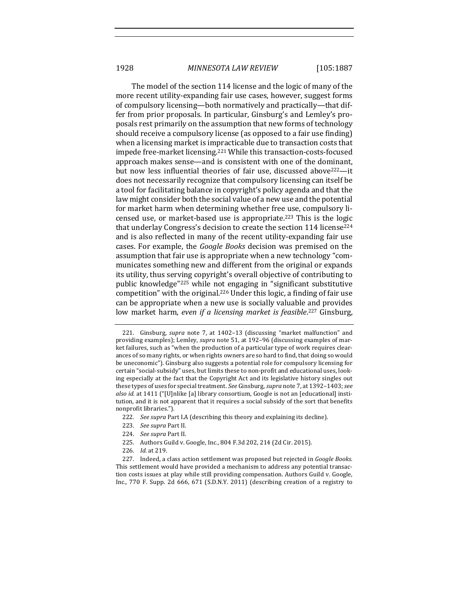The model of the section 114 license and the logic of many of the more recent utility-expanding fair use cases, however, suggest forms of compulsory licensing—both normatively and practically—that differ from prior proposals. In particular, Ginsburg's and Lemley's proposals rest primarily on the assumption that new forms of technology should receive a compulsory license (as opposed to a fair use finding) when a licensing market is impracticable due to transaction costs that impede free-market licensing.<sup>221</sup> While this transaction-costs-focused approach makes sense—and is consistent with one of the dominant, but now less influential theories of fair use, discussed above<sup>222</sup>—it does not necessarily recognize that compulsory licensing can itself be a tool for facilitating balance in copyright's policy agenda and that the law might consider both the social value of a new use and the potential for market harm when determining whether free use, compulsory licensed use, or market-based use is appropriate.<sup>223</sup> This is the logic that underlay Congress's decision to create the section 114 license<sup>224</sup> and is also reflected in many of the recent utility-expanding fair use cases. For example, the *Google Books* decision was premised on the assumption that fair use is appropriate when a new technology "communicates something new and different from the original or expands its utility, thus serving copyright's overall objective of contributing to public knowledge"<sup>225</sup> while not engaging in "significant substitutive competition" with the original.<sup>226</sup> Under this logic, a finding of fair use can be appropriate when a new use is socially valuable and provides low market harm, *even if a licensing market is feasible*.<sup>227</sup> Ginsburg,

225. Authors Guild v. Google, Inc., 804 F.3d 202, 214 (2d Cir. 2015).

<sup>221.</sup> Ginsburg, *supra* note 7, at 1402-13 (discussing "market malfunction" and providing examples); Lemley, *supra* note 51, at 192-96 (discussing examples of market failures, such as "when the production of a particular type of work requires clearances of so many rights, or when rights owners are so hard to find, that doing so would be uneconomic"). Ginsburg also suggests a potential role for compulsory licensing for certain "social-subsidy" uses, but limits these to non-profit and educational uses, looking especially at the fact that the Copyright Act and its legislative history singles out these types of uses for special treatment. See Ginsburg, supra note 7, at 1392-1403; see also id. at 1411 ("[U]nlike [a] library consortium, Google is not an [educational] institution, and it is not apparent that it requires a social subsidy of the sort that benefits nonprofit libraries.").

<sup>222.</sup> *See supra* Part I.A (describing this theory and explaining its decline).

<sup>223.</sup> *See supra* Part II.

<sup>224.</sup> *See supra* Part II.

<sup>226.</sup> *Id.* at 219.

<sup>227.</sup> Indeed, a class action settlement was proposed but rejected in *Google Books*. This settlement would have provided a mechanism to address any potential transaction costs issues at play while still providing compensation. Authors Guild v. Google, Inc., 770 F. Supp. 2d 666, 671 (S.D.N.Y. 2011) (describing creation of a registry to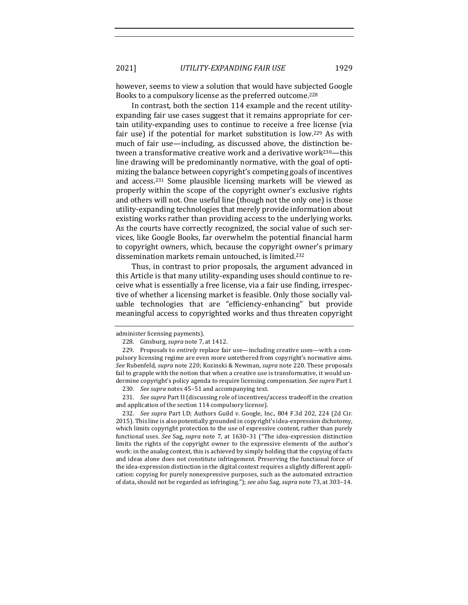however, seems to view a solution that would have subjected Google Books to a compulsory license as the preferred outcome.<sup>228</sup>

In contrast, both the section 114 example and the recent utilityexpanding fair use cases suggest that it remains appropriate for certain utility-expanding uses to continue to receive a free license (via fair use) if the potential for market substitution is low.<sup>229</sup> As with much of fair use—including, as discussed above, the distinction between a transformative creative work and a derivative work<sup>230</sup>—this line drawing will be predominantly normative, with the goal of optimizing the balance between copyright's competing goals of incentives and access.<sup>231</sup> Some plausible licensing markets will be viewed as properly within the scope of the copyright owner's exclusive rights and others will not. One useful line (though not the only one) is those utility-expanding technologies that merely provide information about existing works rather than providing access to the underlying works. As the courts have correctly recognized, the social value of such services, like Google Books, far overwhelm the potential financial harm to copyright owners, which, because the copyright owner's primary dissemination markets remain untouched, is limited.<sup>232</sup>

Thus, in contrast to prior proposals, the argument advanced in this Article is that many utility-expanding uses should continue to receive what is essentially a free license, via a fair use finding, irrespective of whether a licensing market is feasible. Only those socially valuable technologies that are "efficiency-enhancing" but provide meaningful access to copyrighted works and thus threaten copyright

232. *See supra* Part I.D; Authors Guild v. Google, Inc., 804 F.3d 202, 224 (2d Cir. 2015). This line is also potentially grounded in copyright's idea-expression dichotomy, which limits copyright protection to the use of expressive content, rather than purely functional uses. See Sag, supra note 7, at 1630-31 ("The idea-expression distinction limits the rights of the copyright owner to the expressive elements of the author's work: in the analog context, this is achieved by simply holding that the copying of facts and ideas alone does not constitute infringement. Preserving the functional force of the idea-expression distinction in the digital context requires a slightly different application: copying for purely nonexpressive purposes, such as the automated extraction of data, should not be regarded as infringing."); *see also* Sag, *supra* note 73, at 303-14.

administer licensing payments).

<sup>228.</sup> Ginsburg, *supra* note 7, at 1412.

<sup>229.</sup> Proposals to *entirely* replace fair use—including creative uses—with a compulsory licensing regime are even more untethered from copyright's normative aims. See Rubenfeld, *supra* note 220; Kozinski & Newman, *supra* note 220. These proposals fail to grapple with the notion that when a creative use is transformative, it would undermine copyright's policy agenda to require licensing compensation. See supra Part I.

<sup>230.</sup> *See supra* notes 45-51 and accompanying text.

<sup>231.</sup> *See supra* Part II (discussing role of incentives/access tradeoff in the creation and application of the section 114 compulsory license).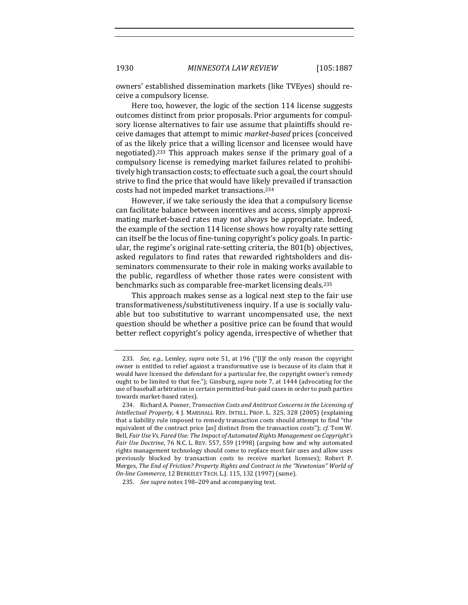owners' established dissemination markets (like TVEyes) should receive a compulsory license.

Here too, however, the logic of the section 114 license suggests outcomes distinct from prior proposals. Prior arguments for compulsory license alternatives to fair use assume that plaintiffs should receive damages that attempt to mimic *market-based* prices (conceived of as the likely price that a willing licensor and licensee would have negotiated).<sup>233</sup> This approach makes sense if the primary goal of a compulsory license is remedying market failures related to prohibitively high transaction costs; to effectuate such a goal, the court should strive to find the price that would have likely prevailed if transaction costs had not impeded market transactions.<sup>234</sup>

However, if we take seriously the idea that a compulsory license can facilitate balance between incentives and access, simply approximating market-based rates may not always be appropriate. Indeed, the example of the section 114 license shows how royalty rate setting can itself be the locus of fine-tuning copyright's policy goals. In particular, the regime's original rate-setting criteria, the  $801(b)$  objectives, asked regulators to find rates that rewarded rightsholders and disseminators commensurate to their role in making works available to the public, regardless of whether those rates were consistent with benchmarks such as comparable free-market licensing deals.<sup>235</sup>

This approach makes sense as a logical next step to the fair use transformativeness/substitutiveness inquiry. If a use is socially valuable but too substitutive to warrant uncompensated use, the next question should be whether a positive price can be found that would better reflect copyright's policy agenda, irrespective of whether that

<sup>233.</sup> *See, e.g.*, Lemley, *supra* note 51, at 196 ("[I]f the only reason the copyright owner is entitled to relief against a transformative use is because of its claim that it would have licensed the defendant for a particular fee, the copyright owner's remedy ought to be limited to that fee."); Ginsburg, *supra* note 7, at 1444 (advocating for the use of baseball arbitration in certain permitted-but-paid cases in order to push parties towards market-based rates).

<sup>234.</sup> Richard A. Posner, *Transaction Costs and Antitrust Concerns in the Licensing of Intellectual Property,* 4 J. MARSHALL REV. INTELL. PROP. L. 325, 328 (2005) (explaining that a liability rule imposed to remedy transaction costs should attempt to find "the equivalent of the contract price [as] distinct from the transaction costs"); *cf.* Tom W. Bell, *Fair Use Vs. Fared Use: The Impact of Automated Rights Management on Copyright's Fair Use Doctrine,* 76 N.C. L. REV. 557, 559 (1998) (arguing how and why automated rights management technology should come to replace most fair uses and allow uses previously blocked by transaction costs to receive market licenses); Robert P. Merges, *The End of Friction? Property Rights and Contract in the "Newtonian" World of On-line Commerce*, 12 BERKELEY TECH. L.J. 115, 132 (1997) (same).

<sup>235.</sup> *See supra* notes 198-209 and accompanying text.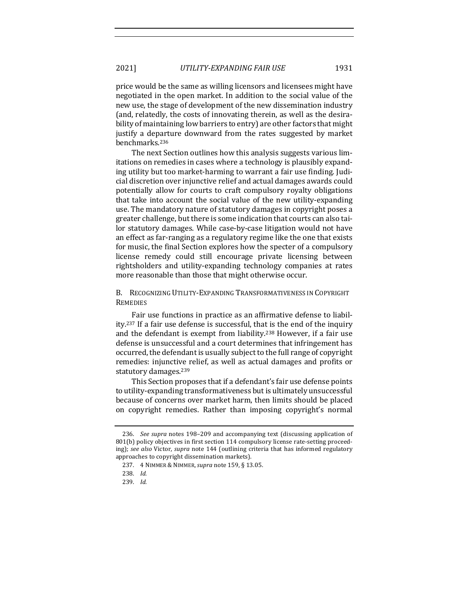price would be the same as willing licensors and licensees might have negotiated in the open market. In addition to the social value of the new use, the stage of development of the new dissemination industry (and, relatedly, the costs of innovating therein, as well as the desirability of maintaining low barriers to entry) are other factors that might justify a departure downward from the rates suggested by market benchmarks.236

The next Section outlines how this analysis suggests various limitations on remedies in cases where a technology is plausibly expanding utility but too market-harming to warrant a fair use finding. Judicial discretion over injunctive relief and actual damages awards could potentially allow for courts to craft compulsory royalty obligations that take into account the social value of the new utility-expanding use. The mandatory nature of statutory damages in copyright poses a greater challenge, but there is some indication that courts can also tailor statutory damages. While case-by-case litigation would not have an effect as far-ranging as a regulatory regime like the one that exists for music, the final Section explores how the specter of a compulsory license remedy could still encourage private licensing between rightsholders and utility-expanding technology companies at rates more reasonable than those that might otherwise occur.

B. RECOGNIZING UTILITY-EXPANDING TRANSFORMATIVENESS IN COPYRIGHT **REMEDIES** 

Fair use functions in practice as an affirmative defense to liability.<sup>237</sup> If a fair use defense is successful, that is the end of the inquiry and the defendant is exempt from liability.<sup>238</sup> However, if a fair use defense is unsuccessful and a court determines that infringement has occurred, the defendant is usually subject to the full range of copyright remedies: injunctive relief, as well as actual damages and profits or statutory damages.<sup>239</sup>

This Section proposes that if a defendant's fair use defense points to utility-expanding transformativeness but is ultimately unsuccessful because of concerns over market harm, then limits should be placed on copyright remedies. Rather than imposing copyright's normal

<sup>236.</sup> *See supra* notes 198–209 and accompanying text (discussing application of 801(b) policy objectives in first section 114 compulsory license rate-setting proceeding); see also Victor, supra note 144 (outlining criteria that has informed regulatory approaches to copyright dissemination markets).

<sup>237.</sup> 4 NIMMER & NIMMER,*supra* note 159, § 13.05.

<sup>238.</sup> *Id.*

<sup>239.</sup> *Id.*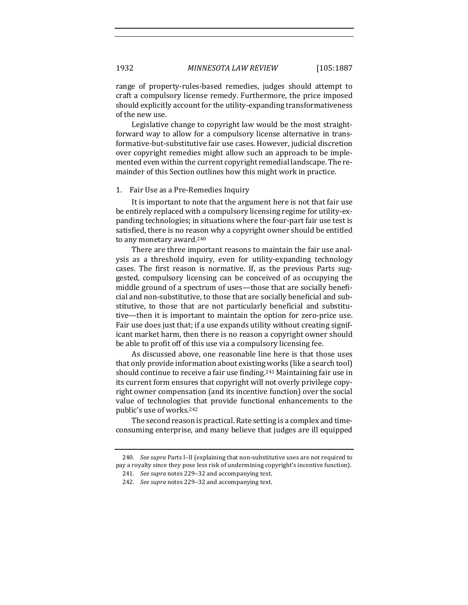range of property-rules-based remedies, judges should attempt to craft a compulsory license remedy. Furthermore, the price imposed should explicitly account for the utility-expanding transformativeness of the new use.

Legislative change to copyright law would be the most straightforward way to allow for a compulsory license alternative in transformative-but-substitutive fair use cases. However, judicial discretion over copyright remedies might allow such an approach to be implemented even within the current copyright remedial landscape. The remainder of this Section outlines how this might work in practice.

#### 1. Fair Use as a Pre-Remedies Inquiry

It is important to note that the argument here is not that fair use be entirely replaced with a compulsory licensing regime for utility-expanding technologies; in situations where the four-part fair use test is satisfied, there is no reason why a copyright owner should be entitled to any monetary award.<sup>240</sup>

There are three important reasons to maintain the fair use analysis as a threshold inquiry, even for utility-expanding technology cases. The first reason is normative. If, as the previous Parts suggested, compulsory licensing can be conceived of as occupying the middle ground of a spectrum of uses—those that are socially beneficial and non-substitutive, to those that are socially beneficial and substitutive, to those that are not particularly beneficial and substitutive—then it is important to maintain the option for zero-price use. Fair use does just that; if a use expands utility without creating significant market harm, then there is no reason a copyright owner should be able to profit off of this use via a compulsory licensing fee.

As discussed above, one reasonable line here is that those uses that only provide information about existing works (like a search tool) should continue to receive a fair use finding.<sup>241</sup> Maintaining fair use in its current form ensures that copyright will not overly privilege copyright owner compensation (and its incentive function) over the social value of technologies that provide functional enhancements to the public's use of works.<sup>242</sup>

The second reason is practical. Rate setting is a complex and timeconsuming enterprise, and many believe that judges are ill equipped

<sup>240.</sup> *See supra* Parts I-II (explaining that non-substitutive uses are not required to pay a royalty since they pose less risk of undermining copyright's incentive function). 241. *See supra* notes 229-32 and accompanying text.

<sup>242.</sup> *See supra* notes 229-32 and accompanying text.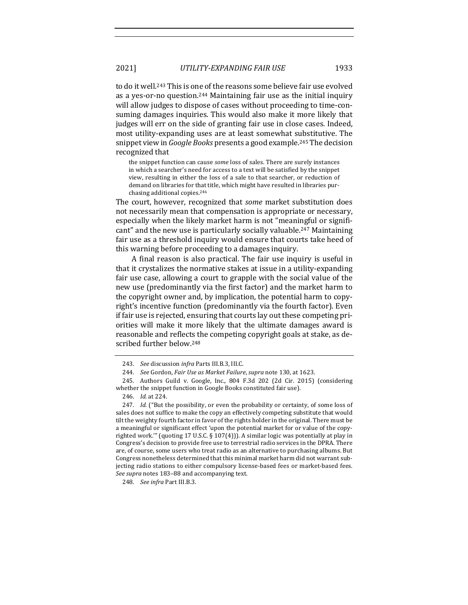2021] *UTILITY-EXPANDING FAIR USE* 1933

to do it well.<sup>243</sup> This is one of the reasons some believe fair use evolved as a yes-or-no question.<sup>244</sup> Maintaining fair use as the initial inquiry will allow judges to dispose of cases without proceeding to time-consuming damages inquiries. This would also make it more likely that judges will err on the side of granting fair use in close cases. Indeed, most utility-expanding uses are at least somewhat substitutive. The snippet view in *Google Books* presents a good example.<sup>245</sup> The decision recognized that

the snippet function can cause *some* loss of sales. There are surely instances in which a searcher's need for access to a text will be satisfied by the snippet view, resulting in either the loss of a sale to that searcher, or reduction of demand on libraries for that title, which might have resulted in libraries purchasing additional copies.<sup>246</sup>

The court, however, recognized that *some* market substitution does not necessarily mean that compensation is appropriate or necessary, especially when the likely market harm is not "meaningful or significant" and the new use is particularly socially valuable.<sup>247</sup> Maintaining fair use as a threshold inquiry would ensure that courts take heed of this warning before proceeding to a damages inquiry.

A final reason is also practical. The fair use inquiry is useful in that it crystalizes the normative stakes at issue in a utility-expanding fair use case, allowing a court to grapple with the social value of the new use (predominantly via the first factor) and the market harm to the copyright owner and, by implication, the potential harm to copyright's incentive function (predominantly via the fourth factor). Even if fair use is rejected, ensuring that courts lay out these competing priorities will make it more likely that the ultimate damages award is reasonable and reflects the competing copyright goals at stake, as described further below.<sup>248</sup>

248. *See infra Part III.B.3.* 

<sup>243.</sup> *See* discussion *infra* Parts III.B.3, III.C.

<sup>244.</sup> *See* Gordon, *Fair Use as Market Failure*, *supra* note 130, at 1623.

<sup>245.</sup> Authors Guild v. Google, Inc.,  $804$  F.3d  $202$  (2d Cir. 2015) (considering whether the snippet function in Google Books constituted fair use).

<sup>246.</sup> *Id.* at 224.

<sup>247.</sup> *Id.* ("But the possibility, or even the probability or certainty, of some loss of sales does not suffice to make the copy an effectively competing substitute that would tilt the weighty fourth factor in favor of the rights holder in the original. There must be a meaningful or significant effect 'upon the potential market for or value of the copyrighted work."" (quoting 17 U.S.C. § 107(4))). A similar logic was potentially at play in Congress's decision to provide free use to terrestrial radio services in the DPRA. There are, of course, some users who treat radio as an alternative to purchasing albums. But Congress nonetheless determined that this minimal market harm did not warrant subjecting radio stations to either compulsory license-based fees or market-based fees. See supra notes 183-88 and accompanying text.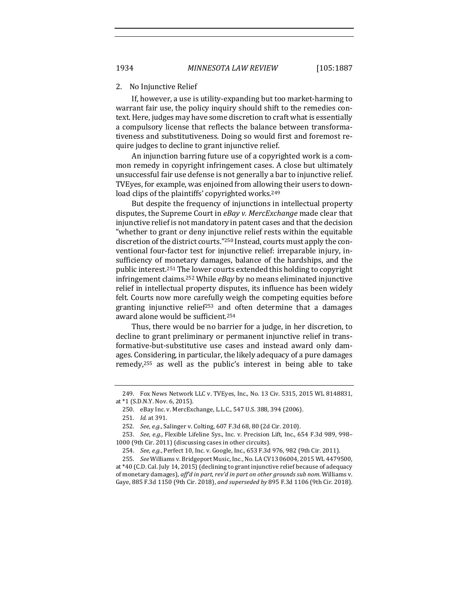#### 2. No Injunctive Relief

If, however, a use is utility-expanding but too market-harming to warrant fair use, the policy inquiry should shift to the remedies context. Here, judges may have some discretion to craft what is essentially a compulsory license that reflects the balance between transformativeness and substitutiveness. Doing so would first and foremost require judges to decline to grant injunctive relief.

An injunction barring future use of a copyrighted work is a common remedy in copyright infringement cases. A close but ultimately unsuccessful fair use defense is not generally a bar to injunctive relief. TVEyes, for example, was enjoined from allowing their users to download clips of the plaintiffs' copyrighted works.<sup>249</sup>

But despite the frequency of injunctions in intellectual property disputes, the Supreme Court in eBay v. MercExchange made clear that injunctive relief is not mandatory in patent cases and that the decision "whether to grant or deny injunctive relief rests within the equitable discretion of the district courts."<sup>250</sup> Instead, courts must apply the conventional four-factor test for injunctive relief: irreparable injury, insufficiency of monetary damages, balance of the hardships, and the public interest.<sup>251</sup> The lower courts extended this holding to copyright infringement claims.<sup>252</sup> While *eBay* by no means eliminated injunctive relief in intellectual property disputes, its influence has been widely felt. Courts now more carefully weigh the competing equities before granting injunctive relief<sup>253</sup> and often determine that a damages award alone would be sufficient.<sup>254</sup>

Thus, there would be no barrier for a judge, in her discretion, to decline to grant preliminary or permanent injunctive relief in transformative-but-substitutive use cases and instead award only damages. Considering, in particular, the likely adequacy of a pure damages remedy, $255$  as well as the public's interest in being able to take

<sup>249.</sup> Fox News Network LLC v. TVEyes, Inc., No. 13 Civ. 5315, 2015 WL 8148831, at  $*1$  (S.D.N.Y. Nov. 6, 2015).

<sup>250.</sup> eBay Inc. v. MercExchange, L.L.C., 547 U.S. 388, 394 (2006).

<sup>251.</sup> *Id.* at 391.

<sup>252.</sup> *See, e.g.*, Salinger v. Colting, 607 F.3d 68, 80 (2d Cir. 2010).

<sup>253.</sup> *See, e.g.*, Flexible Lifeline Sys., Inc. v. Precision Lift, Inc., 654 F.3d 989, 998-1000 (9th Cir. 2011) (discussing cases in other circuits).

<sup>254.</sup> *See, e.g.*, Perfect 10, Inc. v. Google, Inc., 653 F.3d 976, 982 (9th Cir. 2011).

<sup>255.</sup> *See* Williams v. Bridgeport Music, Inc., No. LA CV13 06004, 2015 WL 4479500, at \*40 (C.D. Cal. July 14, 2015) (declining to grant injunctive relief because of adequacy of monetary damages), aff'd in part, rev'd in part on other grounds sub nom. Williams v. Gaye, 885 F.3d 1150 (9th Cir. 2018), and superseded by 895 F.3d 1106 (9th Cir. 2018).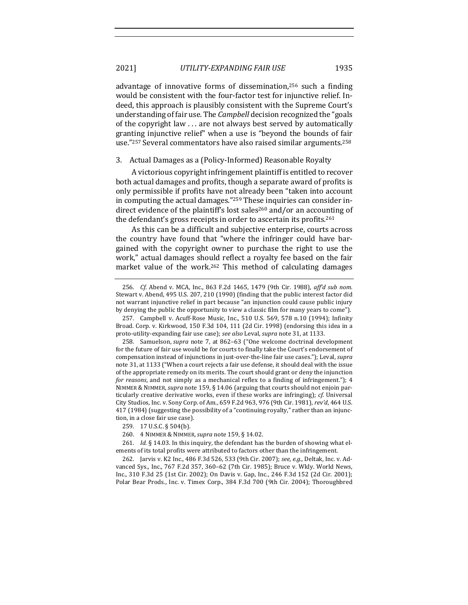advantage of innovative forms of dissemination,<sup>256</sup> such a finding would be consistent with the four-factor test for injunctive relief. Indeed, this approach is plausibly consistent with the Supreme Court's understanding of fair use. The *Campbell* decision recognized the "goals" of the copyright law  $\dots$  are not always best served by automatically granting injunctive relief" when a use is "beyond the bounds of fair use."<sup>257</sup> Several commentators have also raised similar arguments.<sup>258</sup>

## 3. Actual Damages as a (Policy-Informed) Reasonable Royalty

A victorious copyright infringement plaintiff is entitled to recover both actual damages and profits, though a separate award of profits is only permissible if profits have not already been "taken into account in computing the actual damages." $259$  These inquiries can consider indirect evidence of the plaintiff's lost sales<sup>260</sup> and/or an accounting of the defendant's gross receipts in order to ascertain its profits.<sup>261</sup>

As this can be a difficult and subjective enterprise, courts across the country have found that "where the infringer could have bargained with the copyright owner to purchase the right to use the work," actual damages should reflect a royalty fee based on the fair market value of the work.<sup>262</sup> This method of calculating damages

<sup>256.</sup> *Cf.* Abend v. MCA, Inc., 863 F.2d 1465, 1479 (9th Cir. 1988), aff'd sub nom. Stewart v. Abend, 495 U.S. 207, 210 (1990) (finding that the public interest factor did not warrant injunctive relief in part because "an injunction could cause public injury by denying the public the opportunity to view a classic film for many years to come").

<sup>257.</sup> Campbell v. Acuff-Rose Music, Inc., 510 U.S. 569, 578 n.10 (1994); Infinity Broad. Corp. v. Kirkwood, 150 F.3d 104, 111 (2d Cir. 1998) (endorsing this idea in a proto-utility-expanding fair use case); see also Leval, supra note 31, at 1133.

<sup>258.</sup> Samuelson, *supra* note 7, at 862-63 ("One welcome doctrinal development for the future of fair use would be for courts to finally take the Court's endorsement of compensation instead of injunctions in just-over-the-line fair use cases."); Leval, *supra* note 31, at 1133 ("When a court rejects a fair use defense, it should deal with the issue of the appropriate remedy on its merits. The court should grant or deny the injunction *for reasons*, and not simply as a mechanical reflex to a finding of infringement."); 4 NIMMER & NIMMER, *supra* note 159, § 14.06 (arguing that courts should not enjoin particularly creative derivative works, even if these works are infringing); *cf.* Universal City Studios, Inc. v. Sony Corp. of Am., 659 F.2d 963, 976 (9th Cir. 1981), *rev'd*, 464 U.S. 417 (1984) (suggesting the possibility of a "continuing royalty," rather than an injunction, in a close fair use case).

<sup>259. 17</sup> U.S.C. § 504(b).

<sup>260.</sup> 4 NIMMER & NIMMER,*supra* note 159, § 14.02.

<sup>261.</sup> *Id.*  $\S$  14.03. In this inquiry, the defendant has the burden of showing what elements of its total profits were attributed to factors other than the infringement.

<sup>262.</sup> Jarvis v. K2 Inc., 486 F.3d 526, 533 (9th Cir. 2007); see, e.g., Deltak, Inc. v. Advanced Sys., Inc., 767 F.2d 357, 360-62 (7th Cir. 1985); Bruce v. Wkly. World News, Inc., 310 F.3d 25 (1st Cir. 2002); On Davis v. Gap, Inc., 246 F.3d 152 (2d Cir. 2001); Polar Bear Prods., Inc. v. Timex Corp., 384 F.3d 700 (9th Cir. 2004); Thoroughbred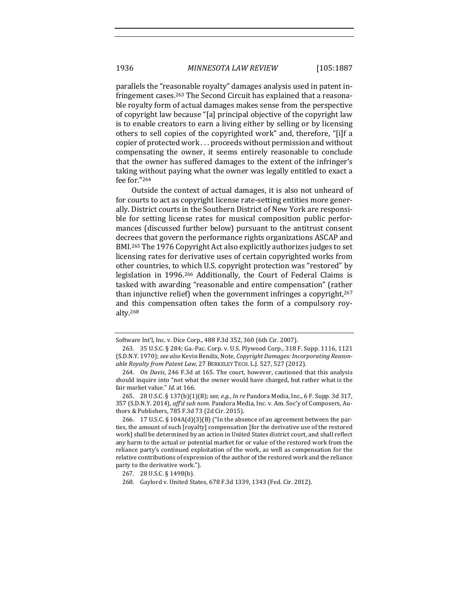parallels the "reasonable royalty" damages analysis used in patent infringement cases.<sup>263</sup> The Second Circuit has explained that a reasonable royalty form of actual damages makes sense from the perspective of copyright law because "[a] principal objective of the copyright law is to enable creators to earn a living either by selling or by licensing others to sell copies of the copyrighted work" and, therefore, "[i]f a copier of protected work . . . proceeds without permission and without compensating the owner, it seems entirely reasonable to conclude that the owner has suffered damages to the extent of the infringer's taking without paying what the owner was legally entitled to exact a fee for."264

Outside the context of actual damages, it is also not unheard of for courts to act as copyright license rate-setting entities more generally. District courts in the Southern District of New York are responsible for setting license rates for musical composition public performances (discussed further below) pursuant to the antitrust consent decrees that govern the performance rights organizations ASCAP and BMI.<sup>265</sup> The 1976 Copyright Act also explicitly authorizes judges to set licensing rates for derivative uses of certain copyrighted works from other countries, to which U.S. copyright protection was "restored" by legislation in 1996.<sup>266</sup> Additionally, the Court of Federal Claims is tasked with awarding "reasonable and entire compensation" (rather than injunctive relief) when the government infringes a copyright, $267$ and this compensation often takes the form of a compulsory royalty.268

Software Int'l, Inc. v. Dice Corp., 488 F.3d 352, 360 (6th Cir. 2007).

<sup>263. 35</sup> U.S.C. § 284; Ga.-Pac. Corp. v. U.S. Plywood Corp., 318 F. Supp. 1116, 1121 (S.D.N.Y. 1970); see also Kevin Bendix, Note, Copyright Damages: Incorporating Reasonable Royalty from Patent Law, 27 BERKELEY TECH. L.J. 527, 527 (2012).

<sup>264.</sup> *On Davis*, 246 F.3d at 165. The court, however, cautioned that this analysis should inquire into "not what the owner would have charged, but rather what is the fair market value." Id. at 166.

<sup>265. 28</sup> U.S.C. § 137(b)(1)(B); see, e.g., In re Pandora Media, Inc., 6 F. Supp. 3d 317, 357 (S.D.N.Y. 2014), aff'd sub nom. Pandora Media, Inc. v. Am. Soc'y of Composers, Authors & Publishers, 785 F.3d 73 (2d Cir. 2015).

<sup>266. 17</sup> U.S.C.  $\S$  104A(d)(3)(B) ("In the absence of an agreement between the parties, the amount of such [royalty] compensation [for the derivative use of the restored work] shall be determined by an action in United States district court, and shall reflect any harm to the actual or potential market for or value of the restored work from the reliance party's continued exploitation of the work, as well as compensation for the relative contributions of expression of the author of the restored work and the reliance party to the derivative work.").

<sup>267. 28</sup> U.S.C. § 1498(b).

<sup>268.</sup> Gaylord v. United States, 678 F.3d 1339, 1343 (Fed. Cir. 2012).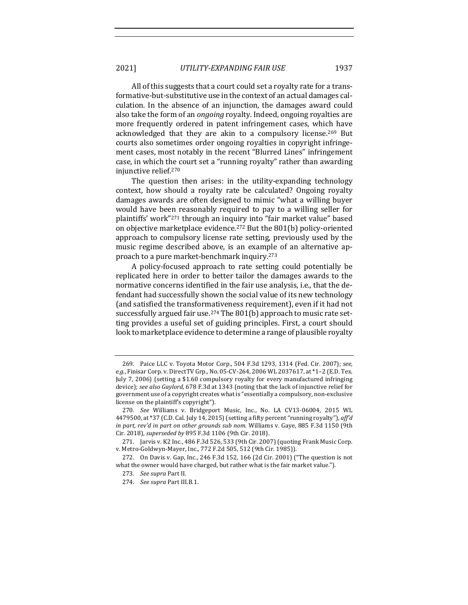All of this suggests that a court could set a royalty rate for a transformative-but-substitutive use in the context of an actual damages calculation. In the absence of an injunction, the damages award could also take the form of an *ongoing* royalty. Indeed, ongoing royalties are more frequently ordered in patent infringement cases, which have acknowledged that they are akin to a compulsory license.<sup>269</sup> But courts also sometimes order ongoing royalties in copyright infringement cases, most notably in the recent "Blurred Lines" infringement case, in which the court set a "running royalty" rather than awarding injunctive relief.<sup>270</sup>

The question then arises: in the utility-expanding technology context, how should a royalty rate be calculated? Ongoing royalty damages awards are often designed to mimic "what a willing buyer would have been reasonably required to pay to a willing seller for plaintiffs' work"<sup>271</sup> through an inquiry into "fair market value" based on objective marketplace evidence.<sup>272</sup> But the 801(b) policy-oriented approach to compulsory license rate setting, previously used by the music regime described above, is an example of an alternative approach to a pure market-benchmark inquiry.<sup>273</sup>

A policy-focused approach to rate setting could potentially be replicated here in order to better tailor the damages awards to the normative concerns identified in the fair use analysis, i.e., that the defendant had successfully shown the social value of its new technology (and satisfied the transformativeness requirement), even if it had not successfully argued fair use.<sup>274</sup> The  $801(b)$  approach to music rate setting provides a useful set of guiding principles. First, a court should look to marketplace evidence to determine a range of plausible royalty

<sup>269.</sup> Paice LLC v. Toyota Motor Corp., 504 F.3d 1293, 1314 (Fed. Cir. 2007); see, *e.g.*, Finisar Corp. v. DirectTV Grp., No. 05-CV-264, 2006 WL 2037617, at \*1-2 (E.D. Tex. July 7, 2006) (setting a \$1.60 compulsory royalty for every manufactured infringing device); see also Gaylord, 678 F.3d at 1343 (noting that the lack of injunctive relief for government use of a copyright creates what is "essentially a compulsory, non-exclusive license on the plaintiff's copyright").

<sup>270.</sup> See Williams v. Bridgeport Music, Inc., No. LA CV13-06004, 2015 WL 4479500, at \*37 (C.D. Cal. July 14, 2015) (setting a fifty percent "running royalty"), aff'd *in part, rev'd in part on other grounds sub nom.* Williams v. Gaye, 885 F.3d 1150 (9th Cir. 2018), *superseded by* 895 F.3d 1106 (9th Cir. 2018).

<sup>271.</sup> Jarvis v. K2 Inc., 486 F.3d 526, 533 (9th Cir. 2007) (quoting Frank Music Corp. v. Metro-Goldwyn-Mayer, Inc., 772 F.2d 505, 512 (9th Cir. 1985)).

<sup>272.</sup> On Davis v. Gap, Inc., 246 F.3d 152, 166 (2d Cir. 2001) ("The question is not what the owner would have charged, but rather what is the fair market value.").

<sup>273.</sup> *See supra* Part II.

<sup>274.</sup> *See supra* Part III.B.1.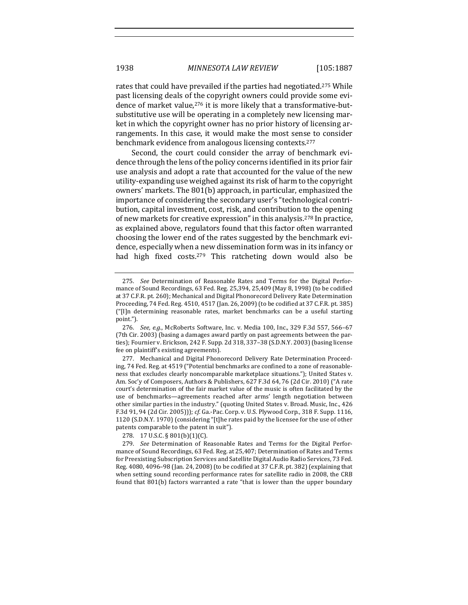rates that could have prevailed if the parties had negotiated.<sup>275</sup> While past licensing deals of the copyright owners could provide some evidence of market value,<sup>276</sup> it is more likely that a transformative-butsubstitutive use will be operating in a completely new licensing market in which the copyright owner has no prior history of licensing arrangements. In this case, it would make the most sense to consider benchmark evidence from analogous licensing contexts.<sup>277</sup>

Second, the court could consider the array of benchmark evidence through the lens of the policy concerns identified in its prior fair use analysis and adopt a rate that accounted for the value of the new utility-expanding use weighed against its risk of harm to the copyright owners' markets. The 801(b) approach, in particular, emphasized the importance of considering the secondary user's "technological contribution, capital investment, cost, risk, and contribution to the opening of new markets for creative expression" in this analysis.<sup>278</sup> In practice, as explained above, regulators found that this factor often warranted choosing the lower end of the rates suggested by the benchmark evidence, especially when a new dissemination form was in its infancy or had high fixed costs.<sup>279</sup> This ratcheting down would also be

278. 17 U.S.C. § 801(b)(1)(C).

279. *See* Determination of Reasonable Rates and Terms for the Digital Performance of Sound Recordings, 63 Fed. Reg. at 25,407; Determination of Rates and Terms for Preexisting Subscription Services and Satellite Digital Audio Radio Services, 73 Fed. Reg. 4080, 4096-98 (Jan. 24, 2008) (to be codified at 37 C.F.R. pt. 382) (explaining that when setting sound recording performance rates for satellite radio in 2008, the CRB found that  $801(b)$  factors warranted a rate "that is lower than the upper boundary

<sup>275.</sup> *See* Determination of Reasonable Rates and Terms for the Digital Performance of Sound Recordings, 63 Fed. Reg.  $25,394, 25,409$  (May 8, 1998) (to be codified at 37 C.F.R. pt. 260); Mechanical and Digital Phonorecord Delivery Rate Determination Proceeding, 74 Fed. Reg. 4510, 4517 (Jan. 26, 2009) (to be codified at 37 C.F.R. pt. 385) ("[I]n determining reasonable rates, market benchmarks can be a useful starting point.").

<sup>276.</sup> *See, e.g.*, McRoberts Software, Inc. v. Media 100, Inc., 329 F.3d 557, 566-67 (7th Cir. 2003) (basing a damages award partly on past agreements between the parties); Fournier v. Erickson, 242 F. Supp. 2d 318, 337-38 (S.D.N.Y. 2003) (basing license fee on plaintiff's existing agreements).

<sup>277.</sup> Mechanical and Digital Phonorecord Delivery Rate Determination Proceeding, 74 Fed. Reg. at 4519 ("Potential benchmarks are confined to a zone of reasonableness that excludes clearly noncomparable marketplace situations."); United States v. Am. Soc'y of Composers, Authors & Publishers, 627 F.3d 64, 76 (2d Cir. 2010) ("A rate court's determination of the fair market value of the music is often facilitated by the use of benchmarks—agreements reached after arms' length negotiation between other similar parties in the industry." (quoting United States v. Broad. Music, Inc., 426 F.3d 91, 94 (2d Cir. 2005))); cf. Ga.-Pac. Corp. v. U.S. Plywood Corp., 318 F. Supp. 1116, 1120 (S.D.N.Y. 1970) (considering "[t]he rates paid by the licensee for the use of other patents comparable to the patent in suit").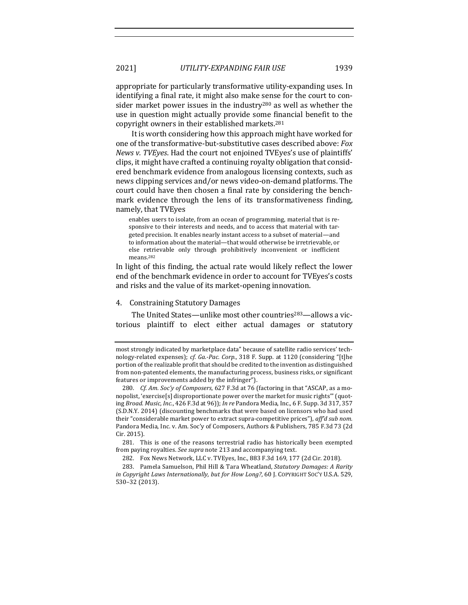appropriate for particularly transformative utility-expanding uses. In identifying a final rate, it might also make sense for the court to consider market power issues in the industry<sup>280</sup> as well as whether the use in question might actually provide some financial benefit to the copyright owners in their established markets.<sup>281</sup>

It is worth considering how this approach might have worked for one of the transformative-but-substitutive cases described above: *Fox News v. TVEyes.* Had the court not enjoined TVEyes's use of plaintiffs' clips, it might have crafted a continuing royalty obligation that considered benchmark evidence from analogous licensing contexts, such as news clipping services and/or news video-on-demand platforms. The court could have then chosen a final rate by considering the benchmark evidence through the lens of its transformativeness finding, namely, that TVEyes

enables users to isolate, from an ocean of programming, material that is responsive to their interests and needs, and to access that material with targeted precision. It enables nearly instant access to a subset of material—and to information about the material—that would otherwise be irretrievable, or else retrievable only through prohibitively inconvenient or inefficient means.282

In light of this finding, the actual rate would likely reflect the lower end of the benchmark evidence in order to account for TVEyes's costs and risks and the value of its market-opening innovation.

## 4. Constraining Statutory Damages

The United States—unlike most other countries<sup>283</sup>—allows a victorious plaintiff to elect either actual damages or statutory 

281. This is one of the reasons terrestrial radio has historically been exempted from paying royalties. See supra note 213 and accompanying text.

most strongly indicated by marketplace data" because of satellite radio services' technology-related expenses); *cf. Ga.-Pac. Corp.*, 318 F. Supp. at 1120 (considering "[t]he portion of the realizable profit that should be credited to the invention as distinguished from non-patented elements, the manufacturing process, business risks, or significant features or improvements added by the infringer").

<sup>280.</sup> *Cf. Am. Soc'y of Composers*, 627 F.3d at 76 (factoring in that "ASCAP, as a monopolist, 'exercise[s] disproportionate power over the market for music rights'" (quoting *Broad. Music, Inc.*, 426 F.3d at 96)); *In re* Pandora Media, Inc., 6 F. Supp. 3d 317, 357 (S.D.N.Y. 2014) (discounting benchmarks that were based on licensors who had used their "considerable market power to extract supra-competitive prices"), aff'd sub nom. Pandora Media, Inc. v. Am. Soc'y of Composers, Authors & Publishers, 785 F.3d 73 (2d Cir. 2015).

<sup>282.</sup> Fox News Network, LLC v. TVEyes, Inc., 883 F.3d 169, 177 (2d Cir. 2018).

<sup>283.</sup> Pamela Samuelson, Phil Hill & Tara Wheatland, *Statutory Damages: A Rarity in Copyright Laws Internationally, but for How Long?*, 60 J. COPYRIGHT SOC'Y U.S.A. 529, 530–32 (2013).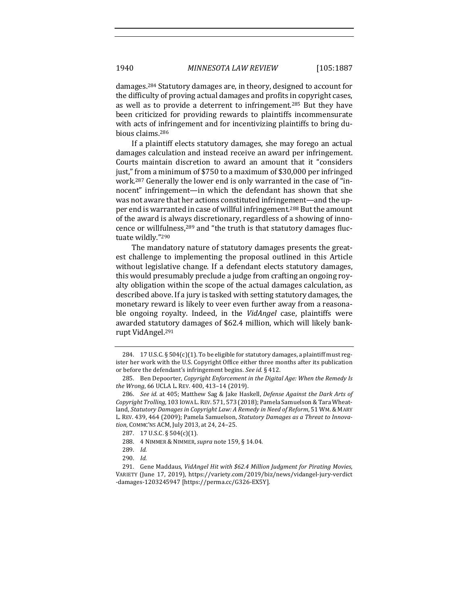damages.<sup>284</sup> Statutory damages are, in theory, designed to account for the difficulty of proving actual damages and profits in copyright cases, as well as to provide a deterrent to infringement.<sup>285</sup> But they have been criticized for providing rewards to plaintiffs incommensurate with acts of infringement and for incentivizing plaintiffs to bring dubious claims.286

If a plaintiff elects statutory damages, she may forego an actual damages calculation and instead receive an award per infringement. Courts maintain discretion to award an amount that it "considers just," from a minimum of \$750 to a maximum of \$30,000 per infringed work.<sup>287</sup> Generally the lower end is only warranted in the case of "innocent" infringement—in which the defendant has shown that she was not aware that her actions constituted infringement—and the upper end is warranted in case of willful infringement.<sup>288</sup> But the amount of the award is always discretionary, regardless of a showing of innocence or willfulness,<sup>289</sup> and "the truth is that statutory damages fluctuate wildly."290

The mandatory nature of statutory damages presents the greatest challenge to implementing the proposal outlined in this Article without legislative change. If a defendant elects statutory damages, this would presumably preclude a judge from crafting an ongoing royalty obligation within the scope of the actual damages calculation, as described above. If a jury is tasked with setting statutory damages, the monetary reward is likely to veer even further away from a reasonable ongoing royalty. Indeed, in the *VidAngel* case, plaintiffs were awarded statutory damages of \$62.4 million, which will likely bankrupt VidAngel.<sup>291</sup>

<sup>284. 17</sup> U.S.C.  $\S 504(c)(1)$ . To be eligible for statutory damages, a plaintiff must register her work with the U.S. Copyright Office either three months after its publication or before the defendant's infringement begins. See id. § 412.

<sup>285.</sup> Ben Depoorter, *Copyright Enforcement in the Digital Age: When the Remedy Is the Wrong*, 66 UCLA L. REV. 400, 413–14 (2019).

<sup>286.</sup> *See id.* at 405; Matthew Sag & Jake Haskell, *Defense Against the Dark Arts of Copyright Trolling*, 103 IOWA L. REV. 571, 573 (2018); Pamela Samuelson & Tara Wheatland, *Statutory Damages in Copyright Law: A Remedy in Need of Reform*, 51 WM.& MARY L. REV. 439, 464 (2009); Pamela Samuelson, *Statutory Damages as a Threat to Innova*tion, COMMC'NS ACM, July 2013, at 24, 24-25.

<sup>287. 17</sup> U.S.C. § 504(c)(1).

<sup>288.</sup> 4 NIMMER & NIMMER,*supra* note 159, § 14.04.

<sup>289.</sup> *Id.*

<sup>290.</sup> *Id.*

<sup>291.</sup> Gene Maddaus, VidAngel Hit with \$62.4 Million Judgment for Pirating Movies, VARIETY (June 17, 2019), https://variety.com/2019/biz/news/vidangel-jury-verdict -damages-1203245947 [https://perma.cc/G326-EX5Y].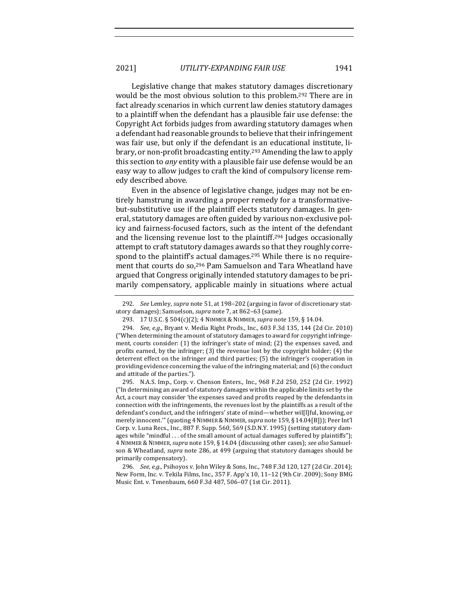Legislative change that makes statutory damages discretionary would be the most obvious solution to this problem.<sup>292</sup> There are in fact already scenarios in which current law denies statutory damages to a plaintiff when the defendant has a plausible fair use defense: the Copyright Act forbids judges from awarding statutory damages when a defendant had reasonable grounds to believe that their infringement was fair use, but only if the defendant is an educational institute, library, or non-profit broadcasting entity.<sup>293</sup> Amending the law to apply this section to *any* entity with a plausible fair use defense would be an easy way to allow judges to craft the kind of compulsory license remedy described above.

Even in the absence of legislative change, judges may not be entirely hamstrung in awarding a proper remedy for a transformativebut-substitutive use if the plaintiff elects statutory damages. In general, statutory damages are often guided by various non-exclusive policy and fairness-focused factors, such as the intent of the defendant and the licensing revenue lost to the plaintiff.<sup>294</sup> Judges occasionally attempt to craft statutory damages awards so that they roughly correspond to the plaintiff's actual damages.<sup>295</sup> While there is no requirement that courts do so,<sup>296</sup> Pam Samuelson and Tara Wheatland have argued that Congress originally intended statutory damages to be primarily compensatory, applicable mainly in situations where actual

295. N.A.S. Imp., Corp. v. Chenson Enters., Inc., 968 F.2d 250, 252 (2d Cir. 1992) ( $\lceil$ In determining an award of statutory damages within the applicable limits set by the Act, a court may consider 'the expenses saved and profits reaped by the defendants in connection with the infringements, the revenues lost by the plaintiffs as a result of the defendant's conduct, and the infringers' state of mind—whether wil[l]ful, knowing, or merely innocent."" (quoting 4 NIMMER & NIMMER, *supra* note 159, § 14.04[B])); Peer Int'l Corp. v. Luna Recs., Inc., 887 F. Supp. 560, 569 (S.D.N.Y. 1995) (setting statutory damages while "mindful  $\ldots$  of the small amount of actual damages suffered by plaintiffs"); 4 NIMMER & NIMMER,*supra* note 159, § 14.04 (discussing other cases); *see also* Samuelson & Wheatland, *supra* note 286, at 499 (arguing that statutory damages should be primarily compensatory).

296. *See, e.g.*, Psihoyos v. John Wiley & Sons, Inc., 748 F.3d 120, 127 (2d Cir. 2014); New Form, Inc. v. Tekila Films, Inc., 357 F. App'x 10, 11–12 (9th Cir. 2009); Sony BMG Music Ent. v. Tenenbaum, 660 F.3d 487, 506–07 (1st Cir. 2011).

<sup>292.</sup> *See* Lemley, *supra* note 51, at 198–202 (arguing in favor of discretionary statutory damages); Samuelson, *supra* note 7, at 862-63 (same).

<sup>293. 17</sup> U.S.C. § 504(c)(2); 4 NIMMER & NIMMER, *supra* note 159, § 14.04.

<sup>294.</sup> *See, e.g.*, Bryant v. Media Right Prods., Inc., 603 F.3d 135, 144 (2d Cir. 2010) ("When determining the amount of statutory damages to award for copyright infringement, courts consider:  $(1)$  the infringer's state of mind;  $(2)$  the expenses saved, and profits earned, by the infringer;  $(3)$  the revenue lost by the copyright holder;  $(4)$  the deterrent effect on the infringer and third parties; (5) the infringer's cooperation in providing evidence concerning the value of the infringing material; and  $(6)$  the conduct and attitude of the parties.").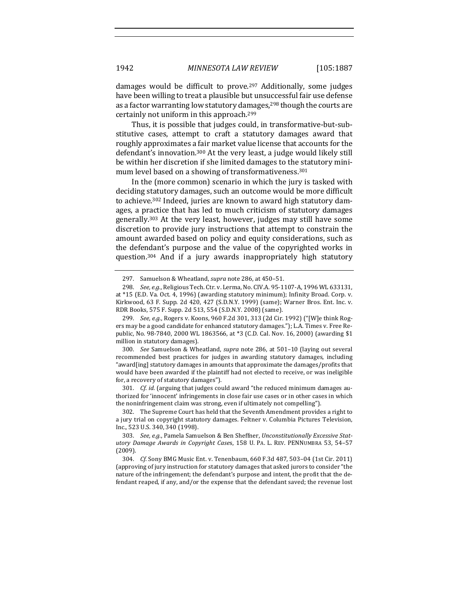damages would be difficult to prove.<sup>297</sup> Additionally, some judges have been willing to treat a plausible but unsuccessful fair use defense as a factor warranting low statutory damages,<sup>298</sup> though the courts are certainly not uniform in this approach.<sup>299</sup>

Thus, it is possible that judges could, in transformative-but-substitutive cases, attempt to craft a statutory damages award that roughly approximates a fair market value license that accounts for the defendant's innovation.<sup>300</sup> At the very least, a judge would likely still be within her discretion if she limited damages to the statutory minimum level based on a showing of transformativeness.<sup>301</sup>

In the (more common) scenario in which the jury is tasked with deciding statutory damages, such an outcome would be more difficult to achieve.<sup>302</sup> Indeed, juries are known to award high statutory damages, a practice that has led to much criticism of statutory damages generally.<sup>303</sup> At the very least, however, judges may still have some discretion to provide jury instructions that attempt to constrain the amount awarded based on policy and equity considerations, such as the defendant's purpose and the value of the copyrighted works in question.<sup>304</sup> And if a jury awards inappropriately high statutory

300. *See* Samuelson & Wheatland, *supra* note 286, at 501-10 (laying out several recommended best practices for judges in awarding statutory damages, including "award[ing] statutory damages in amounts that approximate the damages/profits that would have been awarded if the plaintiff had not elected to receive, or was ineligible for, a recovery of statutory damages").

301. *Cf. id.* (arguing that judges could award "the reduced minimum damages authorized for 'innocent' infringements in close fair use cases or in other cases in which the noninfringement claim was strong, even if ultimately not compelling").

302. The Supreme Court has held that the Seventh Amendment provides a right to a jury trial on copyright statutory damages. Feltner v. Columbia Pictures Television, Inc., 523 U.S. 340, 340 (1998).

<sup>297.</sup> Samuelson & Wheatland, *supra* note 286, at 450-51.

<sup>298.</sup> *See, e.g.*, Religious Tech. Ctr. v. Lerma, No. CIV.A. 95-1107-A, 1996 WL 633131, at \*15 (E.D. Va. Oct. 4, 1996) (awarding statutory minimum); Infinity Broad. Corp. v. Kirkwood, 63 F. Supp. 2d 420, 427 (S.D.N.Y. 1999) (same); Warner Bros. Ent. Inc. v. RDR Books, 575 F. Supp. 2d 513, 554 (S.D.N.Y. 2008) (same).

<sup>299.</sup> *See, e.g.*, Rogers v. Koons, 960 F.2d 301, 313 (2d Cir. 1992) ("[W]e think Rogers may be a good candidate for enhanced statutory damages."); L.A. Times v. Free Republic, No. 98-7840, 2000 WL 1863566, at \*3 (C.D. Cal. Nov. 16, 2000) (awarding \$1 million in statutory damages).

<sup>303.</sup> See, e.g., Pamela Samuelson & Ben Sheffner, *Unconstitutionally Excessive Statutory Damage Awards in Copyright Case*s, 158 U. PA. L. REV. PENNUMBRA 53, 54–57 (2009).

<sup>304.</sup> *Cf.* Sony BMG Music Ent. v. Tenenbaum, 660 F.3d 487, 503-04 (1st Cir. 2011) (approving of jury instruction for statutory damages that asked jurors to consider "the nature of the infringement; the defendant's purpose and intent, the profit that the defendant reaped, if any, and/or the expense that the defendant saved; the revenue lost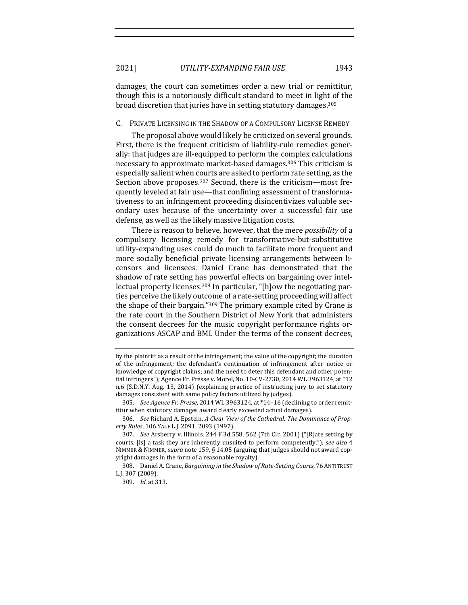damages, the court can sometimes order a new trial or remittitur, though this is a notoriously difficult standard to meet in light of the broad discretion that juries have in setting statutory damages.<sup>305</sup>

## C. PRIVATE LICENSING IN THE SHADOW OF A COMPULSORY LICENSE REMEDY

The proposal above would likely be criticized on several grounds. First, there is the frequent criticism of liability-rule remedies generally: that judges are ill-equipped to perform the complex calculations necessary to approximate market-based damages.<sup>306</sup> This criticism is especially salient when courts are asked to perform rate setting, as the Section above proposes.<sup>307</sup> Second, there is the criticism—most frequently leveled at fair use—that confining assessment of transformativeness to an infringement proceeding disincentivizes valuable secondary uses because of the uncertainty over a successful fair use defense, as well as the likely massive litigation costs.

There is reason to believe, however, that the mere *possibility* of a compulsory licensing remedy for transformative-but-substitutive utility-expanding uses could do much to facilitate more frequent and more socially beneficial private licensing arrangements between licensors and licensees. Daniel Crane has demonstrated that the shadow of rate setting has powerful effects on bargaining over intellectual property licenses.<sup>308</sup> In particular, "[h]ow the negotiating parties perceive the likely outcome of a rate-setting proceeding will affect the shape of their bargain." $309$  The primary example cited by Crane is the rate court in the Southern District of New York that administers the consent decrees for the music copyright performance rights organizations ASCAP and BMI. Under the terms of the consent decrees,

by the plaintiff as a result of the infringement; the value of the copyright; the duration of the infringement; the defendant's continuation of infringement after notice or knowledge of copyright claims; and the need to deter this defendant and other potential infringers"); Agence Fr. Presse v. Morel, No. 10-CV-2730, 2014 WL 3963124, at \*12 n.6 (S.D.N.Y. Aug. 13, 2014) (explaining practice of instructing jury to set statutory damages consistent with same policy factors utilized by judges).

<sup>305.</sup> See Agence Fr. Presse, 2014 WL 3963124, at \*14-16 (declining to order remittitur when statutory damages award clearly exceeded actual damages).

<sup>306.</sup> *See* Richard A. Epstein, *A Clear View of the Cathedral: The Dominance of Property Rules*, 106 YALE L.J. 2091, 2093 (1997).

<sup>307.</sup> *See* Arsberry v. Illinois, 244 F.3d 558, 562 (7th Cir. 2001) ("[R]ate setting by courts, [is] a task they are inherently unsuited to perform competently."); see also 4 NIMMER & NIMMER, *supra* note 159, § 14.05 (arguing that judges should not award copyright damages in the form of a reasonable royalty).

<sup>308.</sup> Daniel A. Crane, *Bargaining in the Shadow of Rate-Setting Courts*, 76 ANTITRUST L.J. 307 (2009).

<sup>309.</sup> *Id.* at 313.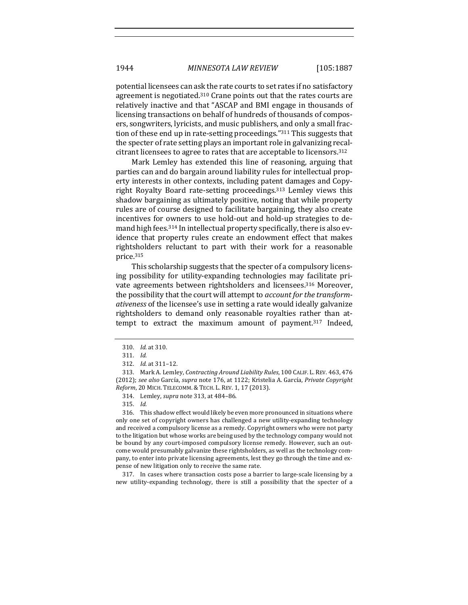potential licensees can ask the rate courts to set rates if no satisfactory agreement is negotiated.<sup>310</sup> Crane points out that the rates courts are relatively inactive and that "ASCAP and BMI engage in thousands of licensing transactions on behalf of hundreds of thousands of composers, songwriters, lyricists, and music publishers, and only a small fraction of these end up in rate-setting proceedings."<sup>311</sup> This suggests that the specter of rate setting plays an important role in galvanizing recalcitrant licensees to agree to rates that are acceptable to licensors.<sup>312</sup>

Mark Lemley has extended this line of reasoning, arguing that parties can and do bargain around liability rules for intellectual property interests in other contexts, including patent damages and Copyright Royalty Board rate-setting proceedings.<sup>313</sup> Lemley views this shadow bargaining as ultimately positive, noting that while property rules are of course designed to facilitate bargaining, they also create incentives for owners to use hold-out and hold-up strategies to demand high fees.<sup>314</sup> In intellectual property specifically, there is also evidence that property rules create an endowment effect that makes rightsholders reluctant to part with their work for a reasonable price.315

This scholarship suggests that the specter of a compulsory licensing possibility for utility-expanding technologies may facilitate private agreements between rightsholders and licensees.<sup>316</sup> Moreover, the possibility that the court will attempt to *account for the transformativeness* of the licensee's use in setting a rate would ideally galvanize rightsholders to demand only reasonable royalties rather than attempt to extract the maximum amount of payment.<sup>317</sup> Indeed,

- 314. Lemley, *supra* note 313, at 484-86.
- 315. *Id.*

316. This shadow effect would likely be even more pronounced in situations where only one set of copyright owners has challenged a new utility-expanding technology and received a compulsory license as a remedy. Copyright owners who were not party to the litigation but whose works are being used by the technology company would not be bound by any court-imposed compulsory license remedy. However, such an outcome would presumably galvanize these rightsholders, as well as the technology company, to enter into private licensing agreements, lest they go through the time and expense of new litigation only to receive the same rate.

317. In cases where transaction costs pose a barrier to large-scale licensing by a new utility-expanding technology, there is still a possibility that the specter of a

<sup>310.</sup> *Id.* at 310.

<sup>311.</sup> *Id.*

<sup>312.</sup> *Id.* at 311-12.

<sup>313.</sup> Mark A. Lemley, *Contracting Around Liability Rules*, 100 CALIF. L. REV. 463, 476 (2012); see also García, supra note 176, at 1122; Kristelia A. García, Private Copyright Reform, 20 MICH. TELECOMM. & TECH. L. REV. 1, 17 (2013).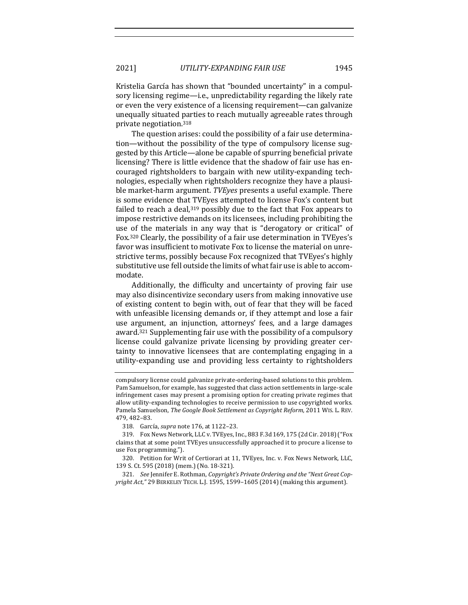Kristelia García has shown that "bounded uncertainty" in a compulsory licensing regime—i.e., unpredictability regarding the likely rate or even the very existence of a licensing requirement—can galvanize unequally situated parties to reach mutually agreeable rates through private negotiation.318

The question arises: could the possibility of a fair use determination—without the possibility of the type of compulsory license suggested by this Article—alone be capable of spurring beneficial private licensing? There is little evidence that the shadow of fair use has encouraged rightsholders to bargain with new utility-expanding technologies, especially when rightsholders recognize they have a plausible market-harm argument. *TVEyes* presents a useful example. There is some evidence that TVEyes attempted to license Fox's content but failed to reach a deal, $319$  possibly due to the fact that Fox appears to impose restrictive demands on its licensees, including prohibiting the use of the materials in any way that is "derogatory or critical" of Fox.<sup>320</sup> Clearly, the possibility of a fair use determination in TVEyes's favor was insufficient to motivate Fox to license the material on unrestrictive terms, possibly because Fox recognized that TVEyes's highly substitutive use fell outside the limits of what fair use is able to accommodate.

Additionally, the difficulty and uncertainty of proving fair use may also disincentivize secondary users from making innovative use of existing content to begin with, out of fear that they will be faced with unfeasible licensing demands or, if they attempt and lose a fair use argument, an injunction, attorneys' fees, and a large damages award.<sup>321</sup> Supplementing fair use with the possibility of a compulsory license could galvanize private licensing by providing greater certainty to innovative licensees that are contemplating engaging in a utility-expanding use and providing less certainty to rightsholders

compulsory license could galvanize private-ordering-based solutions to this problem. Pam Samuelson, for example, has suggested that class action settlements in large-scale infringement cases may present a promising option for creating private regimes that allow utility-expanding technologies to receive permission to use copyrighted works. Pamela Samuelson, *The Google Book Settlement as Copyright Reform*, 2011 WIS. L. REV. 479, 482–83.

<sup>318.</sup> García, *supra* note 176, at 1122-23.

<sup>319.</sup> Fox News Network, LLC v. TVEyes, Inc., 883 F.3d 169, 175 (2d Cir. 2018) ("Fox claims that at some point TVEyes unsuccessfully approached it to procure a license to use Fox programming.").

<sup>320.</sup> Petition for Writ of Certiorari at 11, TVEyes, Inc. v. Fox News Network, LLC, 139 S. Ct. 595 (2018) (mem.) (No. 18-321).

<sup>321.</sup> *See* Jennifer E. Rothman, *Copyright's Private Ordering and the "Next Great Copyright Act*," 29 BERKELEY TECH. L.J. 1595, 1599–1605 (2014) (making this argument).